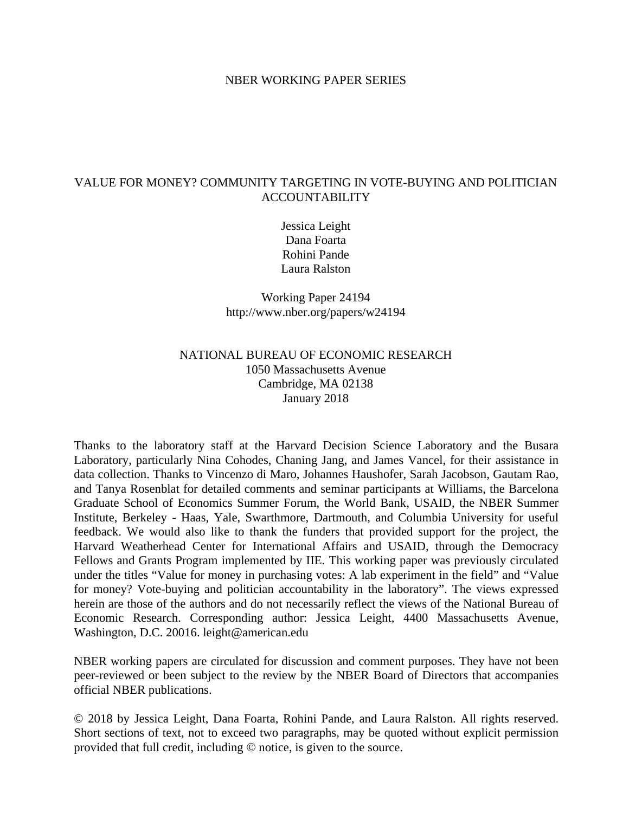### NBER WORKING PAPER SERIES

## VALUE FOR MONEY? COMMUNITY TARGETING IN VOTE-BUYING AND POLITICIAN ACCOUNTABILITY

Jessica Leight Dana Foarta Rohini Pande Laura Ralston

Working Paper 24194 http://www.nber.org/papers/w24194

## NATIONAL BUREAU OF ECONOMIC RESEARCH 1050 Massachusetts Avenue Cambridge, MA 02138 January 2018

Thanks to the laboratory staff at the Harvard Decision Science Laboratory and the Busara Laboratory, particularly Nina Cohodes, Chaning Jang, and James Vancel, for their assistance in data collection. Thanks to Vincenzo di Maro, Johannes Haushofer, Sarah Jacobson, Gautam Rao, and Tanya Rosenblat for detailed comments and seminar participants at Williams, the Barcelona Graduate School of Economics Summer Forum, the World Bank, USAID, the NBER Summer Institute, Berkeley - Haas, Yale, Swarthmore, Dartmouth, and Columbia University for useful feedback. We would also like to thank the funders that provided support for the project, the Harvard Weatherhead Center for International Affairs and USAID, through the Democracy Fellows and Grants Program implemented by IIE. This working paper was previously circulated under the titles "Value for money in purchasing votes: A lab experiment in the field" and "Value for money? Vote-buying and politician accountability in the laboratory". The views expressed herein are those of the authors and do not necessarily reflect the views of the National Bureau of Economic Research. Corresponding author: Jessica Leight, 4400 Massachusetts Avenue, Washington, D.C. 20016. leight@american.edu

NBER working papers are circulated for discussion and comment purposes. They have not been peer-reviewed or been subject to the review by the NBER Board of Directors that accompanies official NBER publications.

© 2018 by Jessica Leight, Dana Foarta, Rohini Pande, and Laura Ralston. All rights reserved. Short sections of text, not to exceed two paragraphs, may be quoted without explicit permission provided that full credit, including © notice, is given to the source.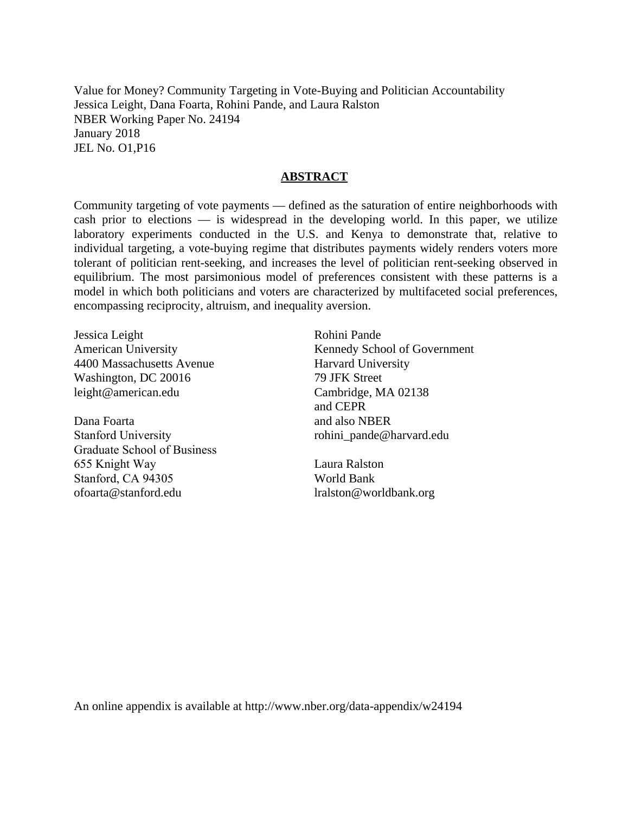Value for Money? Community Targeting in Vote-Buying and Politician Accountability Jessica Leight, Dana Foarta, Rohini Pande, and Laura Ralston NBER Working Paper No. 24194 January 2018 JEL No. O1,P16

## **ABSTRACT**

Community targeting of vote payments — defined as the saturation of entire neighborhoods with cash prior to elections — is widespread in the developing world. In this paper, we utilize laboratory experiments conducted in the U.S. and Kenya to demonstrate that, relative to individual targeting, a vote-buying regime that distributes payments widely renders voters more tolerant of politician rent-seeking, and increases the level of politician rent-seeking observed in equilibrium. The most parsimonious model of preferences consistent with these patterns is a model in which both politicians and voters are characterized by multifaceted social preferences, encompassing reciprocity, altruism, and inequality aversion.

Jessica Leight American University 4400 Massachusetts Avenue Washington, DC 20016 leight@american.edu

Dana Foarta Stanford University Graduate School of Business 655 Knight Way Stanford, CA 94305 ofoarta@stanford.edu

Rohini Pande Kennedy School of Government Harvard University 79 JFK Street Cambridge, MA 02138 and CEPR and also NBER rohini\_pande@harvard.edu

Laura Ralston World Bank lralston@worldbank.org

An online appendix is available at http://www.nber.org/data-appendix/w24194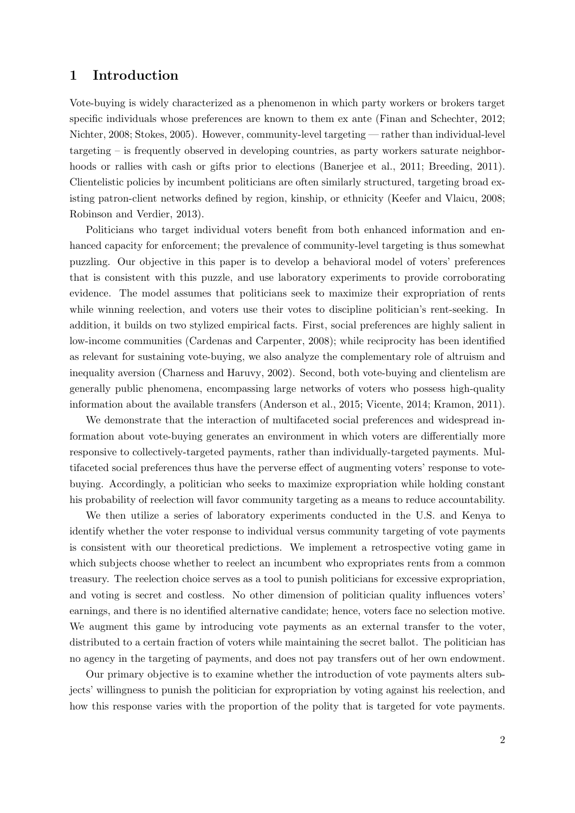## 1 Introduction

Vote-buying is widely characterized as a phenomenon in which party workers or brokers target specific individuals whose preferences are known to them ex ante [\(Finan and Schechter, 2012;](#page-30-0) [Nichter, 2008;](#page-31-0) [Stokes, 2005\)](#page-31-1). However, community-level targeting — rather than individual-level targeting – is frequently observed in developing countries, as party workers saturate neighbor-hoods or rallies with cash or gifts prior to elections [\(Banerjee et al., 2011;](#page-29-0) [Breeding, 2011\)](#page-29-1). Clientelistic policies by incumbent politicians are often similarly structured, targeting broad existing patron-client networks defined by region, kinship, or ethnicity [\(Keefer and Vlaicu, 2008;](#page-31-2) [Robinson and Verdier, 2013\)](#page-31-3).

Politicians who target individual voters benefit from both enhanced information and enhanced capacity for enforcement; the prevalence of community-level targeting is thus somewhat puzzling. Our objective in this paper is to develop a behavioral model of voters' preferences that is consistent with this puzzle, and use laboratory experiments to provide corroborating evidence. The model assumes that politicians seek to maximize their expropriation of rents while winning reelection, and voters use their votes to discipline politician's rent-seeking. In addition, it builds on two stylized empirical facts. First, social preferences are highly salient in low-income communities [\(Cardenas and Carpenter, 2008\)](#page-29-2); while reciprocity has been identified as relevant for sustaining vote-buying, we also analyze the complementary role of altruism and inequality aversion [\(Charness and Haruvy, 2002\)](#page-30-1). Second, both vote-buying and clientelism are generally public phenomena, encompassing large networks of voters who possess high-quality information about the available transfers [\(Anderson et al., 2015;](#page-29-3) [Vicente, 2014;](#page-31-4) [Kramon, 2011\)](#page-31-5).

We demonstrate that the interaction of multifaceted social preferences and widespread information about vote-buying generates an environment in which voters are differentially more responsive to collectively-targeted payments, rather than individually-targeted payments. Multifaceted social preferences thus have the perverse effect of augmenting voters' response to votebuying. Accordingly, a politician who seeks to maximize expropriation while holding constant his probability of reelection will favor community targeting as a means to reduce accountability.

We then utilize a series of laboratory experiments conducted in the U.S. and Kenya to identify whether the voter response to individual versus community targeting of vote payments is consistent with our theoretical predictions. We implement a retrospective voting game in which subjects choose whether to reelect an incumbent who expropriates rents from a common treasury. The reelection choice serves as a tool to punish politicians for excessive expropriation, and voting is secret and costless. No other dimension of politician quality influences voters' earnings, and there is no identified alternative candidate; hence, voters face no selection motive. We augment this game by introducing vote payments as an external transfer to the voter, distributed to a certain fraction of voters while maintaining the secret ballot. The politician has no agency in the targeting of payments, and does not pay transfers out of her own endowment.

Our primary objective is to examine whether the introduction of vote payments alters subjects' willingness to punish the politician for expropriation by voting against his reelection, and how this response varies with the proportion of the polity that is targeted for vote payments.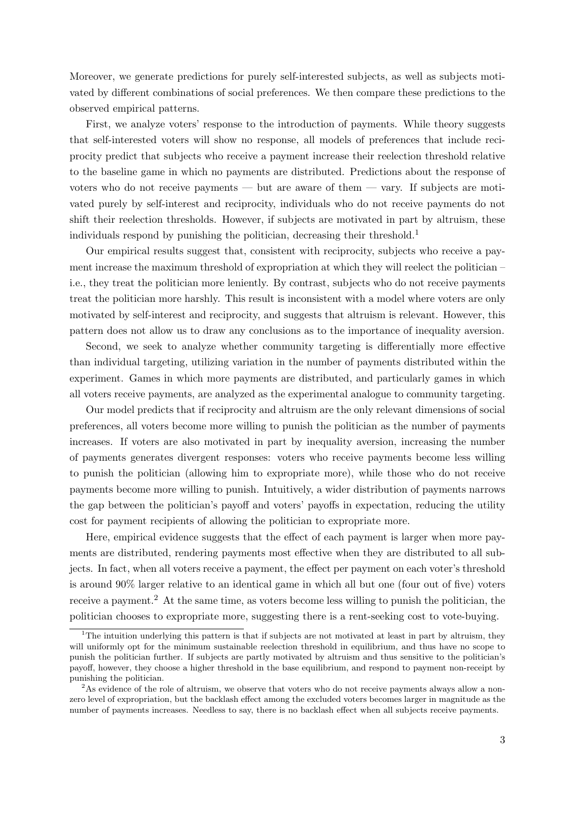Moreover, we generate predictions for purely self-interested subjects, as well as subjects motivated by different combinations of social preferences. We then compare these predictions to the observed empirical patterns.

First, we analyze voters' response to the introduction of payments. While theory suggests that self-interested voters will show no response, all models of preferences that include reciprocity predict that subjects who receive a payment increase their reelection threshold relative to the baseline game in which no payments are distributed. Predictions about the response of voters who do not receive payments — but are aware of them — vary. If subjects are motivated purely by self-interest and reciprocity, individuals who do not receive payments do not shift their reelection thresholds. However, if subjects are motivated in part by altruism, these individuals respond by punishing the politician, decreasing their threshold.<sup>[1](#page-3-0)</sup>

Our empirical results suggest that, consistent with reciprocity, subjects who receive a payment increase the maximum threshold of expropriation at which they will reelect the politician – i.e., they treat the politician more leniently. By contrast, subjects who do not receive payments treat the politician more harshly. This result is inconsistent with a model where voters are only motivated by self-interest and reciprocity, and suggests that altruism is relevant. However, this pattern does not allow us to draw any conclusions as to the importance of inequality aversion.

Second, we seek to analyze whether community targeting is differentially more effective than individual targeting, utilizing variation in the number of payments distributed within the experiment. Games in which more payments are distributed, and particularly games in which all voters receive payments, are analyzed as the experimental analogue to community targeting.

Our model predicts that if reciprocity and altruism are the only relevant dimensions of social preferences, all voters become more willing to punish the politician as the number of payments increases. If voters are also motivated in part by inequality aversion, increasing the number of payments generates divergent responses: voters who receive payments become less willing to punish the politician (allowing him to expropriate more), while those who do not receive payments become more willing to punish. Intuitively, a wider distribution of payments narrows the gap between the politician's payoff and voters' payoffs in expectation, reducing the utility cost for payment recipients of allowing the politician to expropriate more.

Here, empirical evidence suggests that the effect of each payment is larger when more payments are distributed, rendering payments most effective when they are distributed to all subjects. In fact, when all voters receive a payment, the effect per payment on each voter's threshold is around 90% larger relative to an identical game in which all but one (four out of five) voters receive a payment.<sup>[2](#page-3-1)</sup> At the same time, as voters become less willing to punish the politician, the politician chooses to expropriate more, suggesting there is a rent-seeking cost to vote-buying.

<span id="page-3-0"></span><sup>&</sup>lt;sup>1</sup>The intuition underlying this pattern is that if subjects are not motivated at least in part by altruism, they will uniformly opt for the minimum sustainable reelection threshold in equilibrium, and thus have no scope to punish the politician further. If subjects are partly motivated by altruism and thus sensitive to the politician's payoff, however, they choose a higher threshold in the base equilibrium, and respond to payment non-receipt by punishing the politician.

<span id="page-3-1"></span> $2<sup>2</sup>$ As evidence of the role of altruism, we observe that voters who do not receive payments always allow a nonzero level of expropriation, but the backlash effect among the excluded voters becomes larger in magnitude as the number of payments increases. Needless to say, there is no backlash effect when all subjects receive payments.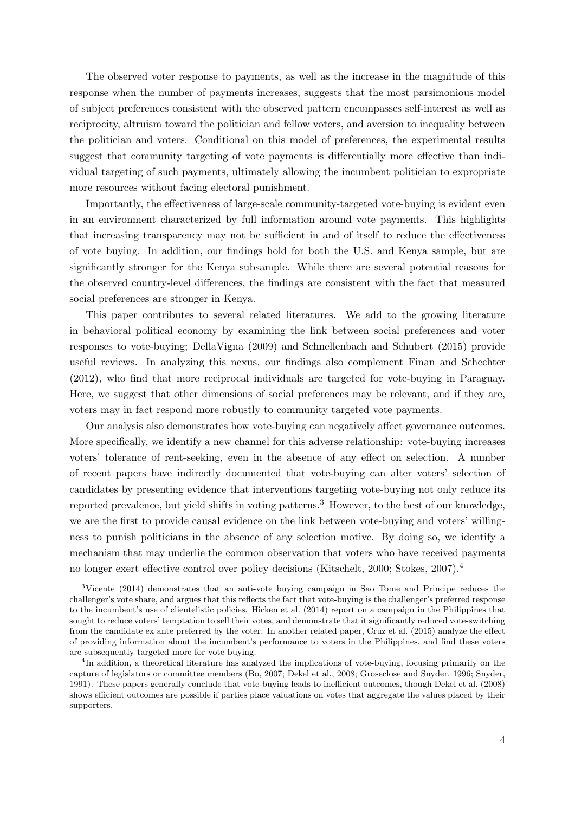The observed voter response to payments, as well as the increase in the magnitude of this response when the number of payments increases, suggests that the most parsimonious model of subject preferences consistent with the observed pattern encompasses self-interest as well as reciprocity, altruism toward the politician and fellow voters, and aversion to inequality between the politician and voters. Conditional on this model of preferences, the experimental results suggest that community targeting of vote payments is differentially more effective than individual targeting of such payments, ultimately allowing the incumbent politician to expropriate more resources without facing electoral punishment.

Importantly, the effectiveness of large-scale community-targeted vote-buying is evident even in an environment characterized by full information around vote payments. This highlights that increasing transparency may not be sufficient in and of itself to reduce the effectiveness of vote buying. In addition, our findings hold for both the U.S. and Kenya sample, but are significantly stronger for the Kenya subsample. While there are several potential reasons for the observed country-level differences, the findings are consistent with the fact that measured social preferences are stronger in Kenya.

This paper contributes to several related literatures. We add to the growing literature in behavioral political economy by examining the link between social preferences and voter responses to vote-buying; [DellaVigna](#page-30-2) [\(2009\)](#page-30-2) and [Schnellenbach and Schubert](#page-31-6) [\(2015\)](#page-31-6) provide useful reviews. In analyzing this nexus, our findings also complement [Finan and Schechter](#page-30-0) [\(2012\)](#page-30-0), who find that more reciprocal individuals are targeted for vote-buying in Paraguay. Here, we suggest that other dimensions of social preferences may be relevant, and if they are, voters may in fact respond more robustly to community targeted vote payments.

Our analysis also demonstrates how vote-buying can negatively affect governance outcomes. More specifically, we identify a new channel for this adverse relationship: vote-buying increases voters' tolerance of rent-seeking, even in the absence of any effect on selection. A number of recent papers have indirectly documented that vote-buying can alter voters' selection of candidates by presenting evidence that interventions targeting vote-buying not only reduce its reported prevalence, but yield shifts in voting patterns.<sup>[3](#page-4-0)</sup> However, to the best of our knowledge, we are the first to provide causal evidence on the link between vote-buying and voters' willingness to punish politicians in the absence of any selection motive. By doing so, we identify a mechanism that may underlie the common observation that voters who have received payments no longer exert effective control over policy decisions [\(Kitschelt, 2000;](#page-31-7) [Stokes, 2007\)](#page-31-8).[4](#page-4-1)

<span id="page-4-0"></span><sup>3</sup>[Vicente](#page-31-4) [\(2014\)](#page-31-4) demonstrates that an anti-vote buying campaign in Sao Tome and Principe reduces the challenger's vote share, and argues that this reflects the fact that vote-buying is the challenger's preferred response to the incumbent's use of clientelistic policies. [Hicken et al.](#page-30-3) [\(2014\)](#page-30-3) report on a campaign in the Philippines that sought to reduce voters' temptation to sell their votes, and demonstrate that it significantly reduced vote-switching from the candidate ex ante preferred by the voter. In another related paper, [Cruz et al.](#page-30-4) [\(2015\)](#page-30-4) analyze the effect of providing information about the incumbent's performance to voters in the Philippines, and find these voters are subsequently targeted more for vote-buying.

<span id="page-4-1"></span><sup>&</sup>lt;sup>4</sup>In addition, a theoretical literature has analyzed the implications of vote-buying, focusing primarily on the capture of legislators or committee members [\(Bo, 2007;](#page-29-4) [Dekel et al., 2008;](#page-30-5) [Groseclose and Snyder, 1996;](#page-30-6) [Snyder,](#page-31-9) [1991\)](#page-31-9). These papers generally conclude that vote-buying leads to inefficient outcomes, though [Dekel et al.](#page-30-5) [\(2008\)](#page-30-5) shows efficient outcomes are possible if parties place valuations on votes that aggregate the values placed by their supporters.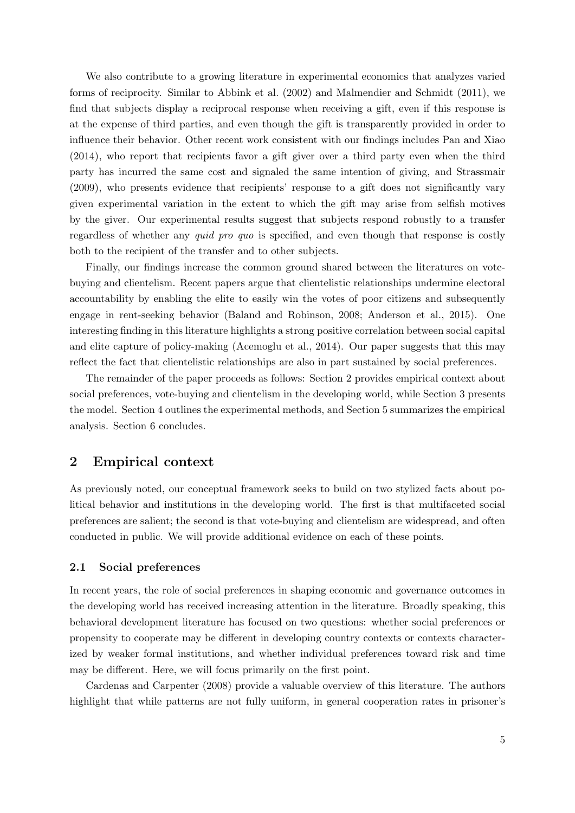We also contribute to a growing literature in experimental economics that analyzes varied forms of reciprocity. Similar to [Abbink et al.](#page-29-5) [\(2002\)](#page-29-5) and [Malmendier and Schmidt](#page-31-10) [\(2011\)](#page-31-10), we find that subjects display a reciprocal response when receiving a gift, even if this response is at the expense of third parties, and even though the gift is transparently provided in order to influence their behavior. Other recent work consistent with our findings includes [Pan and Xiao](#page-31-11) [\(2014\)](#page-31-11), who report that recipients favor a gift giver over a third party even when the third party has incurred the same cost and signaled the same intention of giving, and [Strassmair](#page-31-12) [\(2009\)](#page-31-12), who presents evidence that recipients' response to a gift does not significantly vary given experimental variation in the extent to which the gift may arise from selfish motives by the giver. Our experimental results suggest that subjects respond robustly to a transfer regardless of whether any quid pro quo is specified, and even though that response is costly both to the recipient of the transfer and to other subjects.

Finally, our findings increase the common ground shared between the literatures on votebuying and clientelism. Recent papers argue that clientelistic relationships undermine electoral accountability by enabling the elite to easily win the votes of poor citizens and subsequently engage in rent-seeking behavior [\(Baland and Robinson, 2008;](#page-29-6) [Anderson et al., 2015\)](#page-29-3). One interesting finding in this literature highlights a strong positive correlation between social capital and elite capture of policy-making [\(Acemoglu et al., 2014\)](#page-29-7). Our paper suggests that this may reflect the fact that clientelistic relationships are also in part sustained by social preferences.

The remainder of the paper proceeds as follows: Section [2](#page-5-0) provides empirical context about social preferences, vote-buying and clientelism in the developing world, while Section [3](#page-8-0) presents the model. Section [4](#page-16-0) outlines the experimental methods, and Section [5](#page-21-0) summarizes the empirical analysis. Section [6](#page-27-0) concludes.

## <span id="page-5-0"></span>2 Empirical context

As previously noted, our conceptual framework seeks to build on two stylized facts about political behavior and institutions in the developing world. The first is that multifaceted social preferences are salient; the second is that vote-buying and clientelism are widespread, and often conducted in public. We will provide additional evidence on each of these points.

### 2.1 Social preferences

In recent years, the role of social preferences in shaping economic and governance outcomes in the developing world has received increasing attention in the literature. Broadly speaking, this behavioral development literature has focused on two questions: whether social preferences or propensity to cooperate may be different in developing country contexts or contexts characterized by weaker formal institutions, and whether individual preferences toward risk and time may be different. Here, we will focus primarily on the first point.

[Cardenas and Carpenter](#page-29-2) [\(2008\)](#page-29-2) provide a valuable overview of this literature. The authors highlight that while patterns are not fully uniform, in general cooperation rates in prisoner's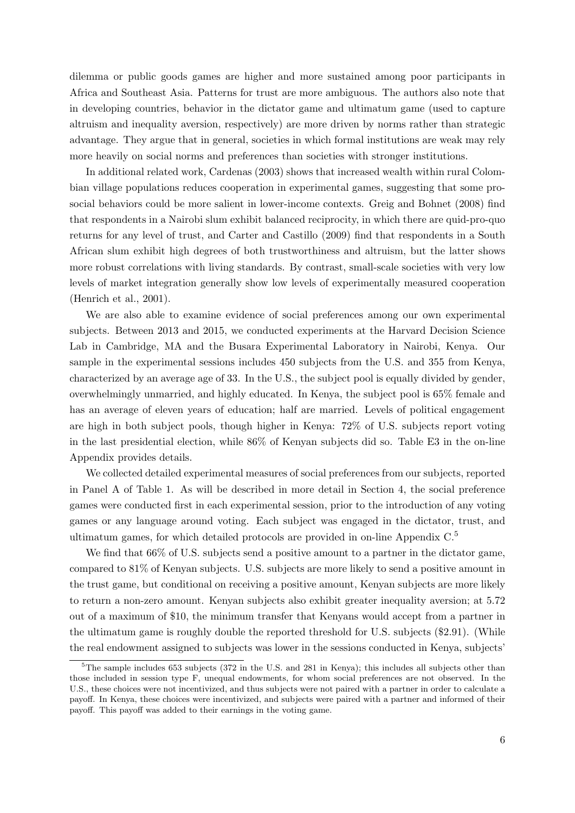dilemma or public goods games are higher and more sustained among poor participants in Africa and Southeast Asia. Patterns for trust are more ambiguous. The authors also note that in developing countries, behavior in the dictator game and ultimatum game (used to capture altruism and inequality aversion, respectively) are more driven by norms rather than strategic advantage. They argue that in general, societies in which formal institutions are weak may rely more heavily on social norms and preferences than societies with stronger institutions.

In additional related work, [Cardenas](#page-29-8) [\(2003\)](#page-29-8) shows that increased wealth within rural Colombian village populations reduces cooperation in experimental games, suggesting that some prosocial behaviors could be more salient in lower-income contexts. [Greig and Bohnet](#page-30-7) [\(2008\)](#page-30-7) find that respondents in a Nairobi slum exhibit balanced reciprocity, in which there are quid-pro-quo returns for any level of trust, and [Carter and Castillo](#page-29-9) [\(2009\)](#page-29-9) find that respondents in a South African slum exhibit high degrees of both trustworthiness and altruism, but the latter shows more robust correlations with living standards. By contrast, small-scale societies with very low levels of market integration generally show low levels of experimentally measured cooperation [\(Henrich et al., 2001\)](#page-30-8).

We are also able to examine evidence of social preferences among our own experimental subjects. Between 2013 and 2015, we conducted experiments at the Harvard Decision Science Lab in Cambridge, MA and the Busara Experimental Laboratory in Nairobi, Kenya. Our sample in the experimental sessions includes 450 subjects from the U.S. and 355 from Kenya, characterized by an average age of 33. In the U.S., the subject pool is equally divided by gender, overwhelmingly unmarried, and highly educated. In Kenya, the subject pool is 65% female and has an average of eleven years of education; half are married. Levels of political engagement are high in both subject pools, though higher in Kenya: 72% of U.S. subjects report voting in the last presidential election, while 86% of Kenyan subjects did so. Table E3 in the on-line Appendix provides details.

We collected detailed experimental measures of social preferences from our subjects, reported in Panel A of Table [1.](#page-32-0) As will be described in more detail in Section [4,](#page-16-0) the social preference games were conducted first in each experimental session, prior to the introduction of any voting games or any language around voting. Each subject was engaged in the dictator, trust, and ultimatum games, for which detailed protocols are provided in on-line Appendix  $C<sup>5</sup>$  $C<sup>5</sup>$  $C<sup>5</sup>$ 

We find that  $66\%$  of U.S. subjects send a positive amount to a partner in the dictator game, compared to 81% of Kenyan subjects. U.S. subjects are more likely to send a positive amount in the trust game, but conditional on receiving a positive amount, Kenyan subjects are more likely to return a non-zero amount. Kenyan subjects also exhibit greater inequality aversion; at 5.72 out of a maximum of \$10, the minimum transfer that Kenyans would accept from a partner in the ultimatum game is roughly double the reported threshold for U.S. subjects (\$2.91). (While the real endowment assigned to subjects was lower in the sessions conducted in Kenya, subjects'

<span id="page-6-0"></span> ${}^{5}$ The sample includes 653 subjects (372 in the U.S. and 281 in Kenya); this includes all subjects other than those included in session type F, unequal endowments, for whom social preferences are not observed. In the U.S., these choices were not incentivized, and thus subjects were not paired with a partner in order to calculate a payoff. In Kenya, these choices were incentivized, and subjects were paired with a partner and informed of their payoff. This payoff was added to their earnings in the voting game.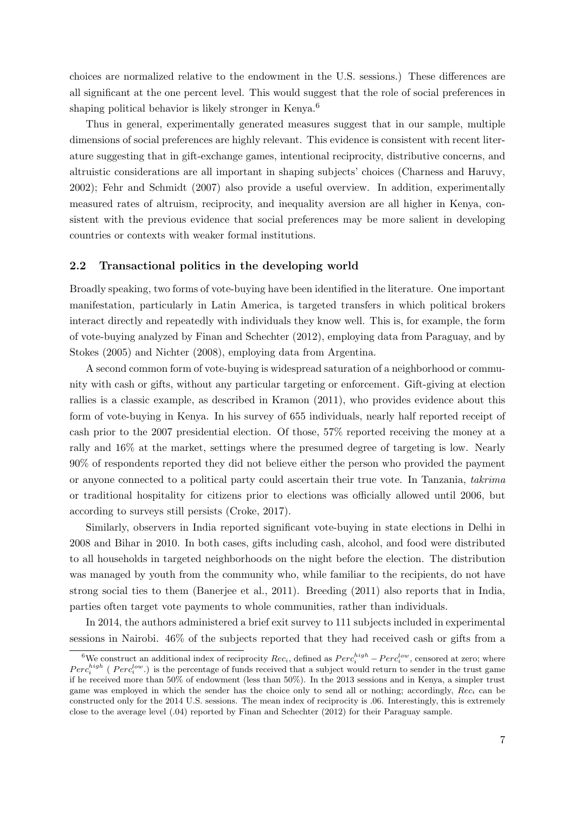choices are normalized relative to the endowment in the U.S. sessions.) These differences are all significant at the one percent level. This would suggest that the role of social preferences in shaping political behavior is likely stronger in Kenya.<sup>[6](#page-7-0)</sup>

Thus in general, experimentally generated measures suggest that in our sample, multiple dimensions of social preferences are highly relevant. This evidence is consistent with recent literature suggesting that in gift-exchange games, intentional reciprocity, distributive concerns, and altruistic considerations are all important in shaping subjects' choices [\(Charness and Haruvy,](#page-30-1) [2002\)](#page-30-1); [Fehr and Schmidt](#page-30-9) [\(2007\)](#page-30-9) also provide a useful overview. In addition, experimentally measured rates of altruism, reciprocity, and inequality aversion are all higher in Kenya, consistent with the previous evidence that social preferences may be more salient in developing countries or contexts with weaker formal institutions.

#### 2.2 Transactional politics in the developing world

Broadly speaking, two forms of vote-buying have been identified in the literature. One important manifestation, particularly in Latin America, is targeted transfers in which political brokers interact directly and repeatedly with individuals they know well. This is, for example, the form of vote-buying analyzed by [Finan and Schechter](#page-30-0) [\(2012\)](#page-30-0), employing data from Paraguay, and by [Stokes](#page-31-1) [\(2005\)](#page-31-1) and [Nichter](#page-31-0) [\(2008\)](#page-31-0), employing data from Argentina.

A second common form of vote-buying is widespread saturation of a neighborhood or community with cash or gifts, without any particular targeting or enforcement. Gift-giving at election rallies is a classic example, as described in [Kramon](#page-31-5) [\(2011\)](#page-31-5), who provides evidence about this form of vote-buying in Kenya. In his survey of 655 individuals, nearly half reported receipt of cash prior to the 2007 presidential election. Of those, 57% reported receiving the money at a rally and 16% at the market, settings where the presumed degree of targeting is low. Nearly 90% of respondents reported they did not believe either the person who provided the payment or anyone connected to a political party could ascertain their true vote. In Tanzania, takrima or traditional hospitality for citizens prior to elections was officially allowed until 2006, but according to surveys still persists [\(Croke, 2017\)](#page-30-10).

Similarly, observers in India reported significant vote-buying in state elections in Delhi in 2008 and Bihar in 2010. In both cases, gifts including cash, alcohol, and food were distributed to all households in targeted neighborhoods on the night before the election. The distribution was managed by youth from the community who, while familiar to the recipients, do not have strong social ties to them [\(Banerjee et al., 2011\)](#page-29-0). [Breeding](#page-29-1) [\(2011\)](#page-29-1) also reports that in India, parties often target vote payments to whole communities, rather than individuals.

In 2014, the authors administered a brief exit survey to 111 subjects included in experimental sessions in Nairobi. 46% of the subjects reported that they had received cash or gifts from a

<span id="page-7-0"></span><sup>&</sup>lt;sup>6</sup>We construct an additional index of reciprocity  $Rec_i$ , defined as  $Perc_i^{high} - Perc_i^{low}$ , censored at zero; where  $Perc_i^{high}$  ( $Perc_i^{low}$ .) is the percentage of funds received that a subject would return to sender in the trust game if he received more than 50% of endowment (less than 50%). In the 2013 sessions and in Kenya, a simpler trust game was employed in which the sender has the choice only to send all or nothing; accordingly,  $Rec<sub>i</sub>$  can be constructed only for the 2014 U.S. sessions. The mean index of reciprocity is .06. Interestingly, this is extremely close to the average level (.04) reported by [Finan and Schechter](#page-30-0) [\(2012\)](#page-30-0) for their Paraguay sample.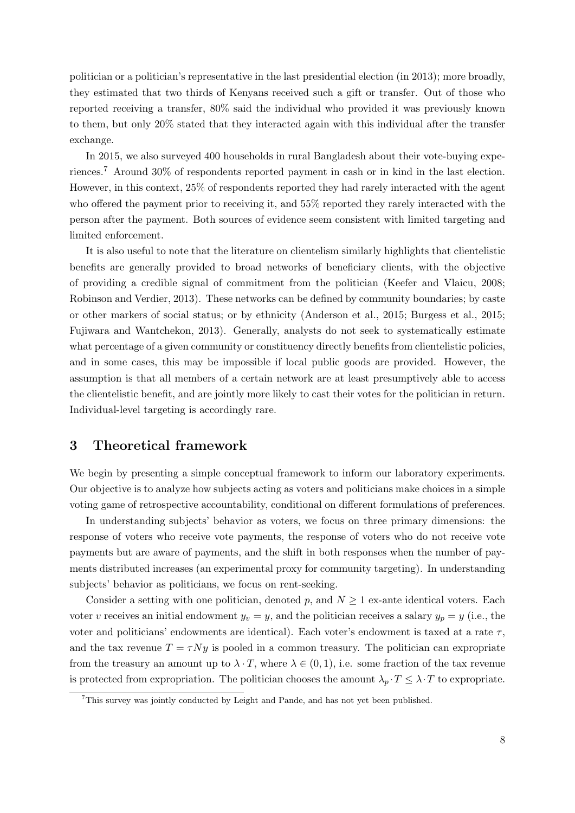politician or a politician's representative in the last presidential election (in 2013); more broadly, they estimated that two thirds of Kenyans received such a gift or transfer. Out of those who reported receiving a transfer, 80% said the individual who provided it was previously known to them, but only 20% stated that they interacted again with this individual after the transfer exchange.

In 2015, we also surveyed 400 households in rural Bangladesh about their vote-buying experiences.[7](#page-8-1) Around 30% of respondents reported payment in cash or in kind in the last election. However, in this context, 25% of respondents reported they had rarely interacted with the agent who offered the payment prior to receiving it, and 55% reported they rarely interacted with the person after the payment. Both sources of evidence seem consistent with limited targeting and limited enforcement.

It is also useful to note that the literature on clientelism similarly highlights that clientelistic benefits are generally provided to broad networks of beneficiary clients, with the objective of providing a credible signal of commitment from the politician [\(Keefer and Vlaicu, 2008;](#page-31-2) [Robinson and Verdier, 2013\)](#page-31-3). These networks can be defined by community boundaries; by caste or other markers of social status; or by ethnicity [\(Anderson et al., 2015;](#page-29-3) [Burgess et al., 2015;](#page-29-10) [Fujiwara and Wantchekon, 2013\)](#page-30-11). Generally, analysts do not seek to systematically estimate what percentage of a given community or constituency directly benefits from clientelistic policies, and in some cases, this may be impossible if local public goods are provided. However, the assumption is that all members of a certain network are at least presumptively able to access the clientelistic benefit, and are jointly more likely to cast their votes for the politician in return. Individual-level targeting is accordingly rare.

## <span id="page-8-0"></span>3 Theoretical framework

We begin by presenting a simple conceptual framework to inform our laboratory experiments. Our objective is to analyze how subjects acting as voters and politicians make choices in a simple voting game of retrospective accountability, conditional on different formulations of preferences.

In understanding subjects' behavior as voters, we focus on three primary dimensions: the response of voters who receive vote payments, the response of voters who do not receive vote payments but are aware of payments, and the shift in both responses when the number of payments distributed increases (an experimental proxy for community targeting). In understanding subjects' behavior as politicians, we focus on rent-seeking.

Consider a setting with one politician, denoted p, and  $N \geq 1$  ex-ante identical voters. Each voter v receives an initial endowment  $y_v = y$ , and the politician receives a salary  $y_p = y$  (i.e., the voter and politicians' endowments are identical). Each voter's endowment is taxed at a rate  $\tau$ , and the tax revenue  $T = \tau Ny$  is pooled in a common treasury. The politician can expropriate from the treasury an amount up to  $\lambda \cdot T$ , where  $\lambda \in (0,1)$ , i.e. some fraction of the tax revenue is protected from expropriation. The politician chooses the amount  $\lambda_p \cdot T \leq \lambda \cdot T$  to expropriate.

<span id="page-8-1"></span><sup>7</sup>This survey was jointly conducted by Leight and Pande, and has not yet been published.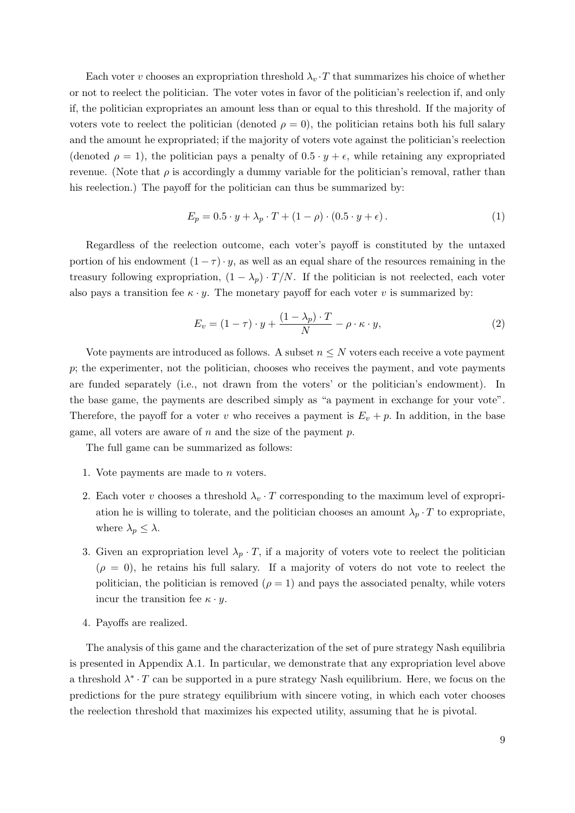Each voter v chooses an expropriation threshold  $\lambda_v \cdot T$  that summarizes his choice of whether or not to reelect the politician. The voter votes in favor of the politician's reelection if, and only if, the politician expropriates an amount less than or equal to this threshold. If the majority of voters vote to reelect the politician (denoted  $\rho = 0$ ), the politician retains both his full salary and the amount he expropriated; if the majority of voters vote against the politician's reelection (denoted  $\rho = 1$ ), the politician pays a penalty of  $0.5 \cdot y + \epsilon$ , while retaining any expropriated revenue. (Note that  $\rho$  is accordingly a dummy variable for the politician's removal, rather than his reelection.) The payoff for the politician can thus be summarized by:

$$
E_p = 0.5 \cdot y + \lambda_p \cdot T + (1 - \rho) \cdot (0.5 \cdot y + \epsilon).
$$
 (1)

Regardless of the reelection outcome, each voter's payoff is constituted by the untaxed portion of his endowment  $(1 - \tau) \cdot y$ , as well as an equal share of the resources remaining in the treasury following expropriation,  $(1 - \lambda_p) \cdot T/N$ . If the politician is not reelected, each voter also pays a transition fee  $\kappa \cdot y$ . The monetary payoff for each voter v is summarized by:

$$
E_v = (1 - \tau) \cdot y + \frac{(1 - \lambda_p) \cdot T}{N} - \rho \cdot \kappa \cdot y,\tag{2}
$$

Vote payments are introduced as follows. A subset  $n \leq N$  voters each receive a vote payment p; the experimenter, not the politician, chooses who receives the payment, and vote payments are funded separately (i.e., not drawn from the voters' or the politician's endowment). In the base game, the payments are described simply as "a payment in exchange for your vote". Therefore, the payoff for a voter v who receives a payment is  $E_v + p$ . In addition, in the base game, all voters are aware of  $n$  and the size of the payment  $p$ .

The full game can be summarized as follows:

- 1. Vote payments are made to n voters.
- 2. Each voter v chooses a threshold  $\lambda_v \cdot T$  corresponding to the maximum level of expropriation he is willing to tolerate, and the politician chooses an amount  $\lambda_p \cdot T$  to expropriate, where  $\lambda_p \leq \lambda$ .
- 3. Given an expropriation level  $\lambda_p \cdot T$ , if a majority of voters vote to reelect the politician  $(\rho = 0)$ , he retains his full salary. If a majority of voters do not vote to reelect the politician, the politician is removed  $(\rho = 1)$  and pays the associated penalty, while voters incur the transition fee  $\kappa \cdot \mathbf{v}$ .
- 4. Payoffs are realized.

The analysis of this game and the characterization of the set of pure strategy Nash equilibria is presented in Appendix [A.1.](#page-36-0) In particular, we demonstrate that any expropriation level above a threshold  $\lambda^* \cdot T$  can be supported in a pure strategy Nash equilibrium. Here, we focus on the predictions for the pure strategy equilibrium with sincere voting, in which each voter chooses the reelection threshold that maximizes his expected utility, assuming that he is pivotal.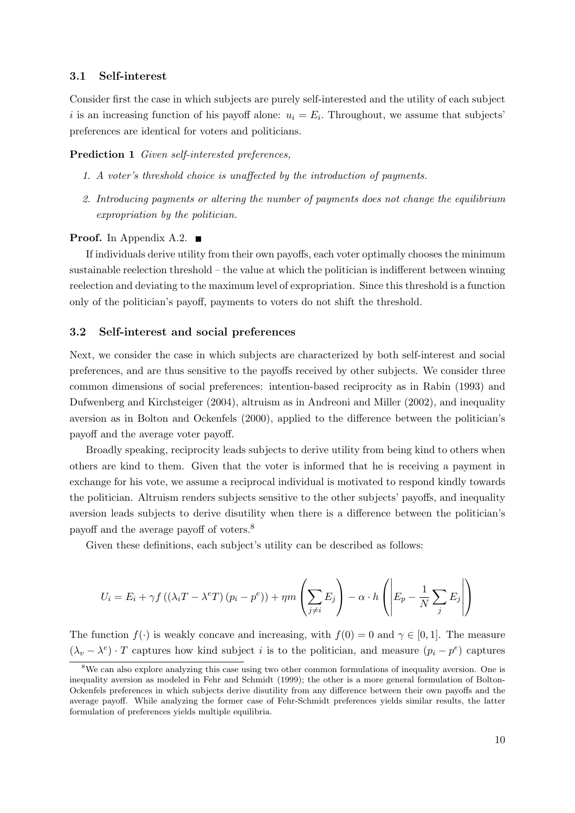## 3.1 Self-interest

Consider first the case in which subjects are purely self-interested and the utility of each subject i is an increasing function of his payoff alone:  $u_i = E_i$ . Throughout, we assume that subjects' preferences are identical for voters and politicians.

#### <span id="page-10-1"></span>Prediction 1 Given self-interested preferences.

- 1. A voter's threshold choice is unaffected by the introduction of payments.
- 2. Introducing payments or altering the number of payments does not change the equilibrium expropriation by the politician.

### **Proof.** In Appendix [A.2.](#page-36-1)  $\blacksquare$

If individuals derive utility from their own payoffs, each voter optimally chooses the minimum sustainable reelection threshold – the value at which the politician is indifferent between winning reelection and deviating to the maximum level of expropriation. Since this threshold is a function only of the politician's payoff, payments to voters do not shift the threshold.

### 3.2 Self-interest and social preferences

Next, we consider the case in which subjects are characterized by both self-interest and social preferences, and are thus sensitive to the payoffs received by other subjects. We consider three common dimensions of social preferences: intention-based reciprocity as in [Rabin](#page-31-13) [\(1993\)](#page-31-13) and [Dufwenberg and Kirchsteiger](#page-30-12) [\(2004\)](#page-30-12), altruism as in [Andreoni and Miller](#page-29-11) [\(2002\)](#page-29-11), and inequality aversion as in [Bolton and Ockenfels](#page-29-12) [\(2000\)](#page-29-12), applied to the difference between the politician's payoff and the average voter payoff.

Broadly speaking, reciprocity leads subjects to derive utility from being kind to others when others are kind to them. Given that the voter is informed that he is receiving a payment in exchange for his vote, we assume a reciprocal individual is motivated to respond kindly towards the politician. Altruism renders subjects sensitive to the other subjects' payoffs, and inequality aversion leads subjects to derive disutility when there is a difference between the politician's payoff and the average payoff of voters.[8](#page-10-0)

Given these definitions, each subject's utility can be described as follows:

$$
U_i = E_i + \gamma f \left( (\lambda_i T - \lambda^e T) (p_i - p^e) \right) + \eta m \left( \sum_{j \neq i} E_j \right) - \alpha \cdot h \left( \left| E_p - \frac{1}{N} \sum_j E_j \right| \right)
$$

The function  $f(.)$  is weakly concave and increasing, with  $f(0) = 0$  and  $\gamma \in [0, 1]$ . The measure  $(\lambda_v - \lambda^e) \cdot T$  captures how kind subject *i* is to the politician, and measure  $(p_i - p^e)$  captures

<span id="page-10-0"></span><sup>&</sup>lt;sup>8</sup>We can also explore analyzing this case using two other common formulations of inequality aversion. One is inequality aversion as modeled in [Fehr and Schmidt](#page-30-13) [\(1999\)](#page-30-13); the other is a more general formulation of Bolton-Ockenfels preferences in which subjects derive disutility from any difference between their own payoffs and the average payoff. While analyzing the former case of Fehr-Schmidt preferences yields similar results, the latter formulation of preferences yields multiple equilibria.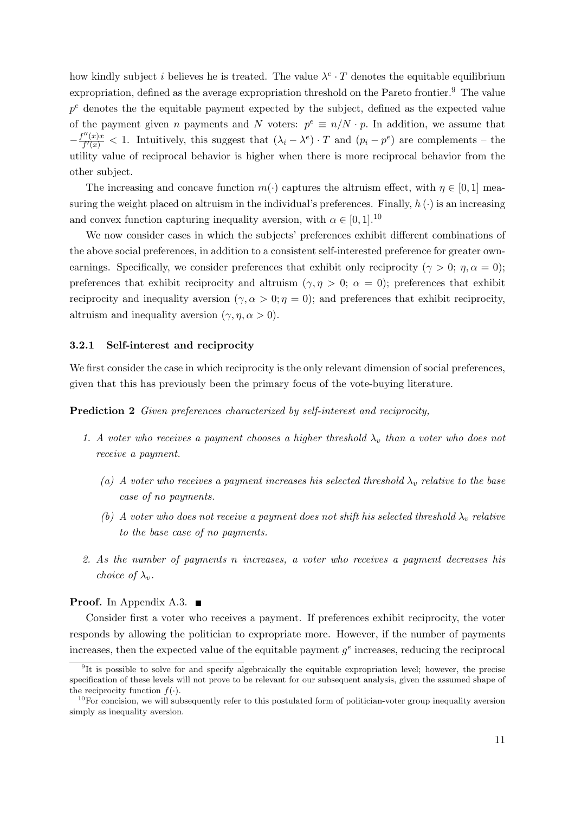how kindly subject *i* believes he is treated. The value  $\lambda^e \cdot T$  denotes the equitable equilibrium expropriation, defined as the average expropriation threshold on the Pareto frontier.<sup>[9](#page-11-0)</sup> The value  $p<sup>e</sup>$  denotes the the equitable payment expected by the subject, defined as the expected value of the payment given n payments and N voters:  $p^e \equiv n/N \cdot p$ . In addition, we assume that  $-\frac{f''(x)x}{f'(x)}$  $\frac{f''(x)x}{f'(x)} < 1$ . Intuitively, this suggest that  $(\lambda_i - \lambda^e) \cdot T$  and  $(p_i - p^e)$  are complements – the utility value of reciprocal behavior is higher when there is more reciprocal behavior from the other subject.

The increasing and concave function  $m(\cdot)$  captures the altruism effect, with  $\eta \in [0,1]$  measuring the weight placed on altruism in the individual's preferences. Finally,  $h(\cdot)$  is an increasing and convex function capturing inequality aversion, with  $\alpha \in [0, 1]$ .<sup>[10](#page-11-1)</sup>

We now consider cases in which the subjects' preferences exhibit different combinations of the above social preferences, in addition to a consistent self-interested preference for greater ownearnings. Specifically, we consider preferences that exhibit only reciprocity ( $\gamma > 0$ ;  $\eta$ ,  $\alpha = 0$ ); preferences that exhibit reciprocity and altruism ( $\gamma$ ,  $\eta > 0$ ;  $\alpha = 0$ ); preferences that exhibit reciprocity and inequality aversion  $(\gamma, \alpha > 0; \eta = 0)$ ; and preferences that exhibit reciprocity, altruism and inequality aversion  $(\gamma, \eta, \alpha > 0)$ .

#### 3.2.1 Self-interest and reciprocity

We first consider the case in which reciprocity is the only relevant dimension of social preferences, given that this has previously been the primary focus of the vote-buying literature.

<span id="page-11-2"></span>Prediction 2 Given preferences characterized by self-interest and reciprocity,

- 1. A voter who receives a payment chooses a higher threshold  $\lambda_v$  than a voter who does not receive a payment.
	- (a) A voter who receives a payment increases his selected threshold  $\lambda_v$  relative to the base case of no payments.
	- (b) A voter who does not receive a payment does not shift his selected threshold  $\lambda_v$  relative to the base case of no payments.
- 2. As the number of payments n increases, a voter who receives a payment decreases his choice of  $\lambda_v$ .

#### **Proof.** In Appendix [A.3.](#page-36-2)  $\blacksquare$

Consider first a voter who receives a payment. If preferences exhibit reciprocity, the voter responds by allowing the politician to expropriate more. However, if the number of payments increases, then the expected value of the equitable payment  $g^e$  increases, reducing the reciprocal

<span id="page-11-0"></span><sup>&</sup>lt;sup>9</sup>It is possible to solve for and specify algebraically the equitable expropriation level; however, the precise specification of these levels will not prove to be relevant for our subsequent analysis, given the assumed shape of the reciprocity function  $f(.)$ .

<span id="page-11-1"></span> $10$ For concision, we will subsequently refer to this postulated form of politician-voter group inequality aversion simply as inequality aversion.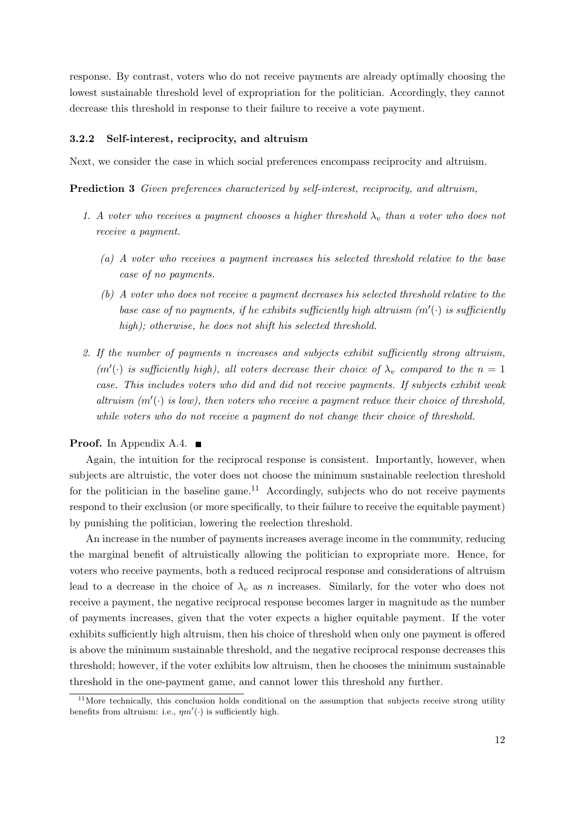response. By contrast, voters who do not receive payments are already optimally choosing the lowest sustainable threshold level of expropriation for the politician. Accordingly, they cannot decrease this threshold in response to their failure to receive a vote payment.

#### 3.2.2 Self-interest, reciprocity, and altruism

<span id="page-12-1"></span>Next, we consider the case in which social preferences encompass reciprocity and altruism.

Prediction 3 Given preferences characterized by self-interest, reciprocity, and altruism,

- 1. A voter who receives a payment chooses a higher threshold  $\lambda_v$  than a voter who does not receive a payment.
	- (a) A voter who receives a payment increases his selected threshold relative to the base case of no payments.
	- (b) A voter who does not receive a payment decreases his selected threshold relative to the base case of no payments, if he exhibits sufficiently high altruism  $(m'(\cdot))$  is sufficiently high); otherwise, he does not shift his selected threshold.
- 2. If the number of payments n increases and subjects exhibit sufficiently strong altruism,  $(m'(\cdot))$  is sufficiently high), all voters decrease their choice of  $\lambda_v$  compared to the  $n = 1$ case. This includes voters who did and did not receive payments. If subjects exhibit weak altruism  $(m'(\cdot)$  is low), then voters who receive a payment reduce their choice of threshold, while voters who do not receive a payment do not change their choice of threshold.

#### **Proof.** In Appendix [A.4.](#page-38-0)  $\blacksquare$

Again, the intuition for the reciprocal response is consistent. Importantly, however, when subjects are altruistic, the voter does not choose the minimum sustainable reelection threshold for the politician in the baseline game.<sup>[11](#page-12-0)</sup> Accordingly, subjects who do not receive payments respond to their exclusion (or more specifically, to their failure to receive the equitable payment) by punishing the politician, lowering the reelection threshold.

An increase in the number of payments increases average income in the community, reducing the marginal benefit of altruistically allowing the politician to expropriate more. Hence, for voters who receive payments, both a reduced reciprocal response and considerations of altruism lead to a decrease in the choice of  $\lambda_n$  as n increases. Similarly, for the voter who does not receive a payment, the negative reciprocal response becomes larger in magnitude as the number of payments increases, given that the voter expects a higher equitable payment. If the voter exhibits sufficiently high altruism, then his choice of threshold when only one payment is offered is above the minimum sustainable threshold, and the negative reciprocal response decreases this threshold; however, if the voter exhibits low altruism, then he chooses the minimum sustainable threshold in the one-payment game, and cannot lower this threshold any further.

<span id="page-12-0"></span> $11$ More technically, this conclusion holds conditional on the assumption that subjects receive strong utility benefits from altruism: i.e.,  $\eta m'(\cdot)$  is sufficiently high.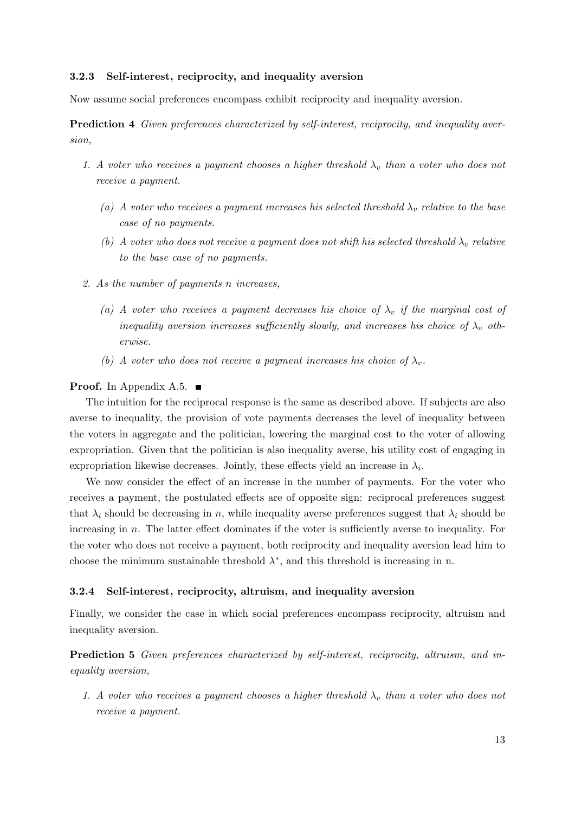#### 3.2.3 Self-interest, reciprocity, and inequality aversion

<span id="page-13-0"></span>Now assume social preferences encompass exhibit reciprocity and inequality aversion.

Prediction 4 Given preferences characterized by self-interest, reciprocity, and inequality aversion,

- 1. A voter who receives a payment chooses a higher threshold  $\lambda_v$  than a voter who does not receive a payment.
	- (a) A voter who receives a payment increases his selected threshold  $\lambda_v$  relative to the base case of no payments.
	- (b) A voter who does not receive a payment does not shift his selected threshold  $\lambda_v$  relative to the base case of no payments.
- 2. As the number of payments n increases,
	- (a) A voter who receives a payment decreases his choice of  $\lambda_v$  if the marginal cost of inequality aversion increases sufficiently slowly, and increases his choice of  $\lambda_v$  otherwise.
	- (b) A voter who does not receive a payment increases his choice of  $\lambda_v$ .

#### **Proof.** In Appendix [A.5.](#page-42-0)  $\blacksquare$

The intuition for the reciprocal response is the same as described above. If subjects are also averse to inequality, the provision of vote payments decreases the level of inequality between the voters in aggregate and the politician, lowering the marginal cost to the voter of allowing expropriation. Given that the politician is also inequality averse, his utility cost of engaging in expropriation likewise decreases. Jointly, these effects yield an increase in  $\lambda_i$ .

We now consider the effect of an increase in the number of payments. For the voter who receives a payment, the postulated effects are of opposite sign: reciprocal preferences suggest that  $\lambda_i$  should be decreasing in n, while inequality averse preferences suggest that  $\lambda_i$  should be increasing in n. The latter effect dominates if the voter is sufficiently averse to inequality. For the voter who does not receive a payment, both reciprocity and inequality aversion lead him to choose the minimum sustainable threshold  $\lambda^*$ , and this threshold is increasing in n.

#### 3.2.4 Self-interest, reciprocity, altruism, and inequality aversion

Finally, we consider the case in which social preferences encompass reciprocity, altruism and inequality aversion.

<span id="page-13-1"></span>Prediction 5 Given preferences characterized by self-interest, reciprocity, altruism, and inequality aversion,

1. A voter who receives a payment chooses a higher threshold  $\lambda_v$  than a voter who does not receive a payment.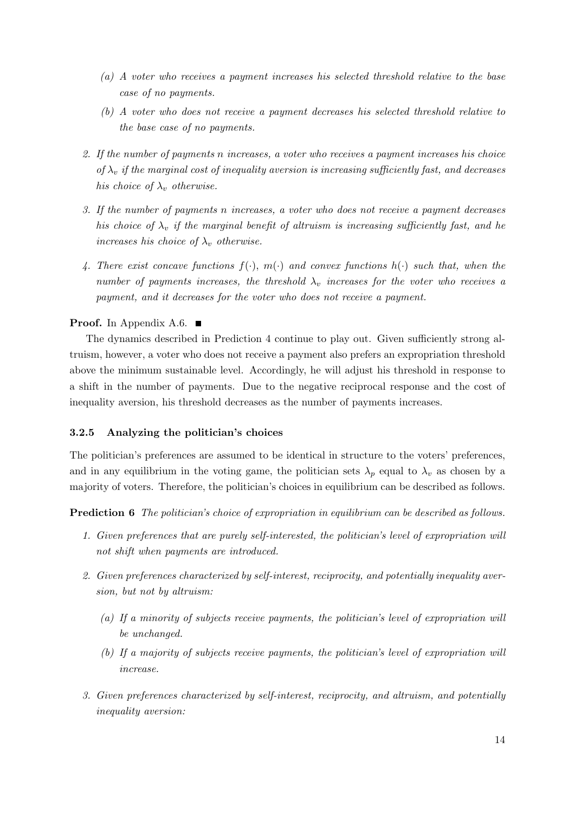- (a) A voter who receives a payment increases his selected threshold relative to the base case of no payments.
- (b) A voter who does not receive a payment decreases his selected threshold relative to the base case of no payments.
- 2. If the number of payments n increases, a voter who receives a payment increases his choice of  $\lambda_v$  if the marginal cost of inequality aversion is increasing sufficiently fast, and decreases his choice of  $\lambda_v$  otherwise.
- 3. If the number of payments n increases, a voter who does not receive a payment decreases his choice of  $\lambda_v$  if the marginal benefit of altruism is increasing sufficiently fast, and he increases his choice of  $\lambda_v$  otherwise.
- 4. There exist concave functions  $f(\cdot), m(\cdot)$  and convex functions  $h(\cdot)$  such that, when the number of payments increases, the threshold  $\lambda_v$  increases for the voter who receives a payment, and it decreases for the voter who does not receive a payment.

## **Proof.** In Appendix [A.6.](#page-45-0)  $\blacksquare$

The dynamics described in Prediction [4](#page-13-0) continue to play out. Given sufficiently strong altruism, however, a voter who does not receive a payment also prefers an expropriation threshold above the minimum sustainable level. Accordingly, he will adjust his threshold in response to a shift in the number of payments. Due to the negative reciprocal response and the cost of inequality aversion, his threshold decreases as the number of payments increases.

### 3.2.5 Analyzing the politician's choices

The politician's preferences are assumed to be identical in structure to the voters' preferences, and in any equilibrium in the voting game, the politician sets  $\lambda_p$  equal to  $\lambda_v$  as chosen by a majority of voters. Therefore, the politician's choices in equilibrium can be described as follows.

Prediction 6 The politician's choice of expropriation in equilibrium can be described as follows.

- 1. Given preferences that are purely self-interested, the politician's level of expropriation will not shift when payments are introduced.
- 2. Given preferences characterized by self-interest, reciprocity, and potentially inequality aversion, but not by altruism:
	- (a) If a minority of subjects receive payments, the politician's level of expropriation will be unchanged.
	- (b) If a majority of subjects receive payments, the politician's level of expropriation will increase.
- 3. Given preferences characterized by self-interest, reciprocity, and altruism, and potentially inequality aversion: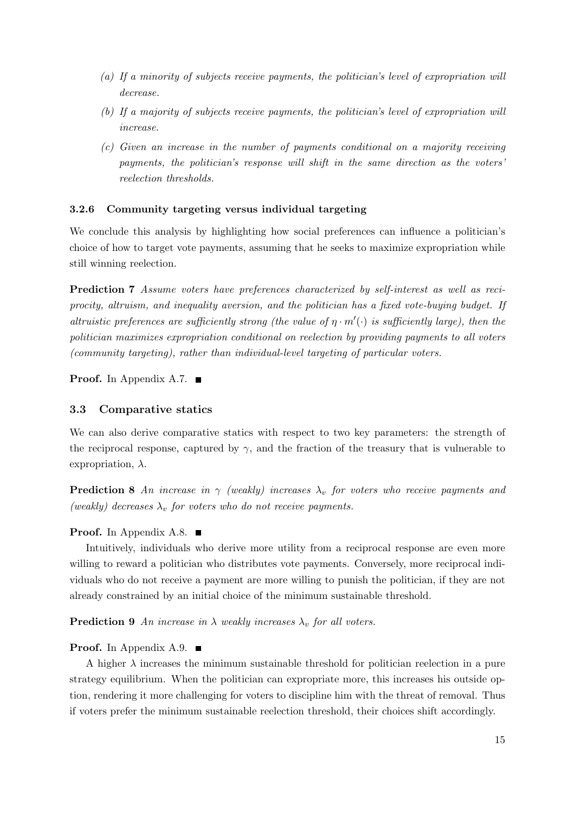- (a) If a minority of subjects receive payments, the politician's level of expropriation will decrease.
- (b) If a majority of subjects receive payments, the politician's level of expropriation will increase.
- (c) Given an increase in the number of payments conditional on a majority receiving payments, the politician's response will shift in the same direction as the voters' reelection thresholds.

### 3.2.6 Community targeting versus individual targeting

We conclude this analysis by highlighting how social preferences can influence a politician's choice of how to target vote payments, assuming that he seeks to maximize expropriation while still winning reelection.

<span id="page-15-0"></span>Prediction 7 Assume voters have preferences characterized by self-interest as well as reciprocity, altruism, and inequality aversion, and the politician has a fixed vote-buying budget. If altruistic preferences are sufficiently strong (the value of  $\eta \cdot m'(\cdot)$  is sufficiently large), then the politician maximizes expropriation conditional on reelection by providing payments to all voters (community targeting), rather than individual-level targeting of particular voters.

**Proof.** In Appendix [A.7.](#page-50-0)  $\blacksquare$ 

#### 3.3 Comparative statics

We can also derive comparative statics with respect to two key parameters: the strength of the reciprocal response, captured by  $\gamma$ , and the fraction of the treasury that is vulnerable to expropriation,  $\lambda$ .

<span id="page-15-1"></span>**Prediction 8** An increase in  $\gamma$  (weakly) increases  $\lambda_v$  for voters who receive payments and (weakly) decreases  $\lambda_v$  for voters who do not receive payments.

### **Proof.** In Appendix [A.8.](#page-52-0)  $\blacksquare$

Intuitively, individuals who derive more utility from a reciprocal response are even more willing to reward a politician who distributes vote payments. Conversely, more reciprocal individuals who do not receive a payment are more willing to punish the politician, if they are not already constrained by an initial choice of the minimum sustainable threshold.

<span id="page-15-2"></span>**Prediction 9** An increase in  $\lambda$  weakly increases  $\lambda_n$  for all voters.

#### **Proof.** In Appendix [A.9.](#page-53-0)  $\blacksquare$

A higher  $\lambda$  increases the minimum sustainable threshold for politician reelection in a pure strategy equilibrium. When the politician can expropriate more, this increases his outside option, rendering it more challenging for voters to discipline him with the threat of removal. Thus if voters prefer the minimum sustainable reelection threshold, their choices shift accordingly.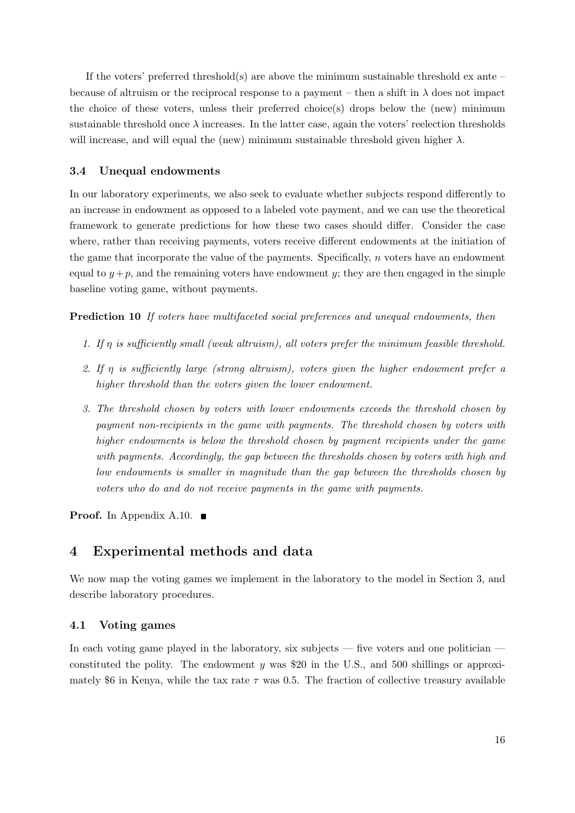If the voters' preferred threshold(s) are above the minimum sustainable threshold ex ante – because of altruism or the reciprocal response to a payment – then a shift in  $\lambda$  does not impact the choice of these voters, unless their preferred choice(s) drops below the (new) minimum sustainable threshold once  $\lambda$  increases. In the latter case, again the voters' reelection thresholds will increase, and will equal the (new) minimum sustainable threshold given higher  $\lambda$ .

## 3.4 Unequal endowments

In our laboratory experiments, we also seek to evaluate whether subjects respond differently to an increase in endowment as opposed to a labeled vote payment, and we can use the theoretical framework to generate predictions for how these two cases should differ. Consider the case where, rather than receiving payments, voters receive different endowments at the initiation of the game that incorporate the value of the payments. Specifically,  $n$  voters have an endowment equal to  $y+p$ , and the remaining voters have endowment y; they are then engaged in the simple baseline voting game, without payments.

<span id="page-16-1"></span>Prediction 10 If voters have multifaceted social preferences and unequal endowments, then

- 1. If η is sufficiently small (weak altruism), all voters prefer the minimum feasible threshold.
- 2. If  $\eta$  is sufficiently large (strong altruism), voters given the higher endowment prefer a higher threshold than the voters given the lower endowment.
- 3. The threshold chosen by voters with lower endowments exceeds the threshold chosen by payment non-recipients in the game with payments. The threshold chosen by voters with higher endowments is below the threshold chosen by payment recipients under the game with payments. Accordingly, the gap between the thresholds chosen by voters with high and low endowments is smaller in magnitude than the gap between the thresholds chosen by voters who do and do not receive payments in the game with payments.

**Proof.** In Appendix [A.10.](#page-53-1)  $\blacksquare$ 

## <span id="page-16-0"></span>4 Experimental methods and data

We now map the voting games we implement in the laboratory to the model in Section [3,](#page-8-0) and describe laboratory procedures.

### 4.1 Voting games

In each voting game played in the laboratory, six subjects — five voters and one politician constituted the polity. The endowment y was \$20 in the U.S., and 500 shillings or approximately \$6 in Kenya, while the tax rate  $\tau$  was 0.5. The fraction of collective treasury available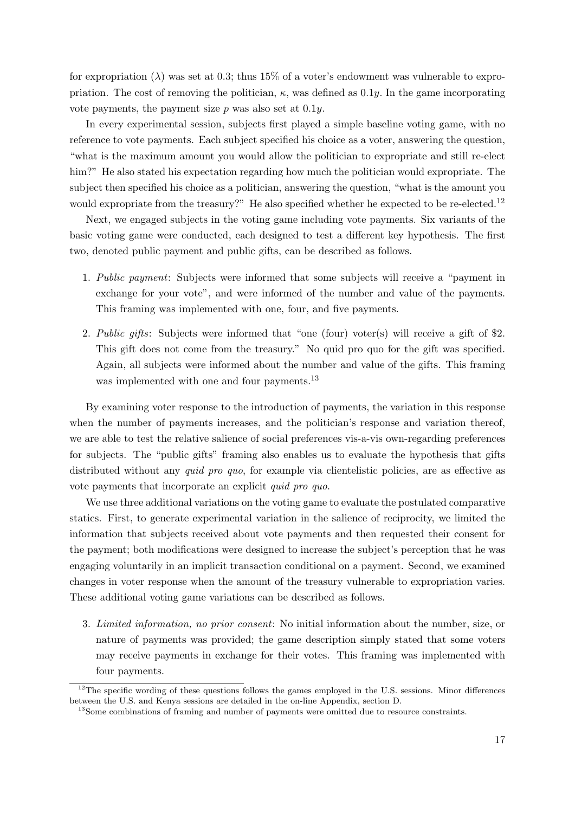for expropriation  $(\lambda)$  was set at 0.3; thus 15% of a voter's endowment was vulnerable to expropriation. The cost of removing the politician,  $\kappa$ , was defined as 0.1y. In the game incorporating vote payments, the payment size  $p$  was also set at 0.1 $y$ .

In every experimental session, subjects first played a simple baseline voting game, with no reference to vote payments. Each subject specified his choice as a voter, answering the question, "what is the maximum amount you would allow the politician to expropriate and still re-elect him?" He also stated his expectation regarding how much the politician would expropriate. The subject then specified his choice as a politician, answering the question, "what is the amount you would expropriate from the treasury?" He also specified whether he expected to be re-elected.<sup>[12](#page-17-0)</sup>

Next, we engaged subjects in the voting game including vote payments. Six variants of the basic voting game were conducted, each designed to test a different key hypothesis. The first two, denoted public payment and public gifts, can be described as follows.

- 1. Public payment: Subjects were informed that some subjects will receive a "payment in exchange for your vote", and were informed of the number and value of the payments. This framing was implemented with one, four, and five payments.
- 2. Public gifts: Subjects were informed that "one (four) voter(s) will receive a gift of \$2. This gift does not come from the treasury." No quid pro quo for the gift was specified. Again, all subjects were informed about the number and value of the gifts. This framing was implemented with one and four payments.<sup>[13](#page-17-1)</sup>

By examining voter response to the introduction of payments, the variation in this response when the number of payments increases, and the politician's response and variation thereof, we are able to test the relative salience of social preferences vis-a-vis own-regarding preferences for subjects. The "public gifts" framing also enables us to evaluate the hypothesis that gifts distributed without any *quid pro quo*, for example via clientelistic policies, are as effective as vote payments that incorporate an explicit quid pro quo.

We use three additional variations on the voting game to evaluate the postulated comparative statics. First, to generate experimental variation in the salience of reciprocity, we limited the information that subjects received about vote payments and then requested their consent for the payment; both modifications were designed to increase the subject's perception that he was engaging voluntarily in an implicit transaction conditional on a payment. Second, we examined changes in voter response when the amount of the treasury vulnerable to expropriation varies. These additional voting game variations can be described as follows.

3. Limited information, no prior consent: No initial information about the number, size, or nature of payments was provided; the game description simply stated that some voters may receive payments in exchange for their votes. This framing was implemented with four payments.

<span id="page-17-0"></span> $12$ The specific wording of these questions follows the games employed in the U.S. sessions. Minor differences between the U.S. and Kenya sessions are detailed in the on-line Appendix, section D.

<span id="page-17-1"></span><sup>&</sup>lt;sup>13</sup>Some combinations of framing and number of payments were omitted due to resource constraints.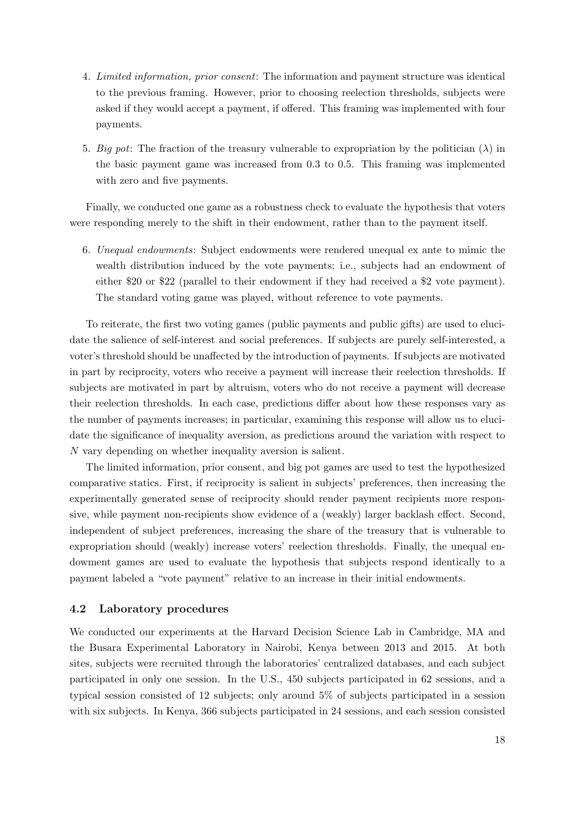- 4. Limited information, prior consent: The information and payment structure was identical to the previous framing. However, prior to choosing reelection thresholds, subjects were asked if they would accept a payment, if offered. This framing was implemented with four payments.
- 5. Big pot: The fraction of the treasury vulnerable to expropriation by the politician  $(\lambda)$  in the basic payment game was increased from 0.3 to 0.5. This framing was implemented with zero and five payments.

Finally, we conducted one game as a robustness check to evaluate the hypothesis that voters were responding merely to the shift in their endowment, rather than to the payment itself.

6. Unequal endowments: Subject endowments were rendered unequal ex ante to mimic the wealth distribution induced by the vote payments; i.e., subjects had an endowment of either \$20 or \$22 (parallel to their endowment if they had received a \$2 vote payment). The standard voting game was played, without reference to vote payments.

To reiterate, the first two voting games (public payments and public gifts) are used to elucidate the salience of self-interest and social preferences. If subjects are purely self-interested, a voter's threshold should be unaffected by the introduction of payments. If subjects are motivated in part by reciprocity, voters who receive a payment will increase their reelection thresholds. If subjects are motivated in part by altruism, voters who do not receive a payment will decrease their reelection thresholds. In each case, predictions differ about how these responses vary as the number of payments increases; in particular, examining this response will allow us to elucidate the significance of inequality aversion, as predictions around the variation with respect to N vary depending on whether inequality aversion is salient.

The limited information, prior consent, and big pot games are used to test the hypothesized comparative statics. First, if reciprocity is salient in subjects' preferences, then increasing the experimentally generated sense of reciprocity should render payment recipients more responsive, while payment non-recipients show evidence of a (weakly) larger backlash effect. Second, independent of subject preferences, increasing the share of the treasury that is vulnerable to expropriation should (weakly) increase voters' reelection thresholds. Finally, the unequal endowment games are used to evaluate the hypothesis that subjects respond identically to a payment labeled a "vote payment" relative to an increase in their initial endowments.

### 4.2 Laboratory procedures

We conducted our experiments at the Harvard Decision Science Lab in Cambridge, MA and the Busara Experimental Laboratory in Nairobi, Kenya between 2013 and 2015. At both sites, subjects were recruited through the laboratories' centralized databases, and each subject participated in only one session. In the U.S., 450 subjects participated in 62 sessions, and a typical session consisted of 12 subjects; only around 5% of subjects participated in a session with six subjects. In Kenya, 366 subjects participated in 24 sessions, and each session consisted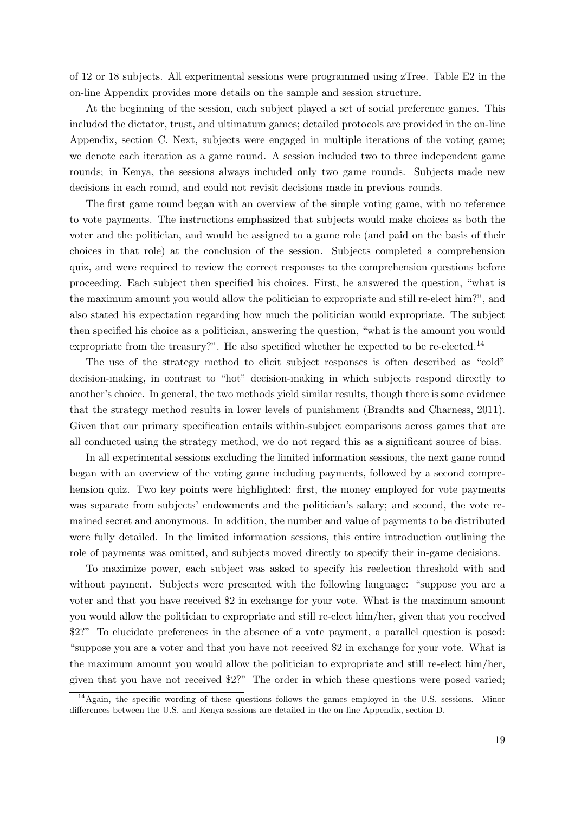of 12 or 18 subjects. All experimental sessions were programmed using zTree. Table E2 in the on-line Appendix provides more details on the sample and session structure.

At the beginning of the session, each subject played a set of social preference games. This included the dictator, trust, and ultimatum games; detailed protocols are provided in the on-line Appendix, section C. Next, subjects were engaged in multiple iterations of the voting game; we denote each iteration as a game round. A session included two to three independent game rounds; in Kenya, the sessions always included only two game rounds. Subjects made new decisions in each round, and could not revisit decisions made in previous rounds.

The first game round began with an overview of the simple voting game, with no reference to vote payments. The instructions emphasized that subjects would make choices as both the voter and the politician, and would be assigned to a game role (and paid on the basis of their choices in that role) at the conclusion of the session. Subjects completed a comprehension quiz, and were required to review the correct responses to the comprehension questions before proceeding. Each subject then specified his choices. First, he answered the question, "what is the maximum amount you would allow the politician to expropriate and still re-elect him?", and also stated his expectation regarding how much the politician would expropriate. The subject then specified his choice as a politician, answering the question, "what is the amount you would expropriate from the treasury?". He also specified whether he expected to be re-elected.<sup>[14](#page-19-0)</sup>

The use of the strategy method to elicit subject responses is often described as "cold" decision-making, in contrast to "hot" decision-making in which subjects respond directly to another's choice. In general, the two methods yield similar results, though there is some evidence that the strategy method results in lower levels of punishment [\(Brandts and Charness, 2011\)](#page-29-13). Given that our primary specification entails within-subject comparisons across games that are all conducted using the strategy method, we do not regard this as a significant source of bias.

In all experimental sessions excluding the limited information sessions, the next game round began with an overview of the voting game including payments, followed by a second comprehension quiz. Two key points were highlighted: first, the money employed for vote payments was separate from subjects' endowments and the politician's salary; and second, the vote remained secret and anonymous. In addition, the number and value of payments to be distributed were fully detailed. In the limited information sessions, this entire introduction outlining the role of payments was omitted, and subjects moved directly to specify their in-game decisions.

To maximize power, each subject was asked to specify his reelection threshold with and without payment. Subjects were presented with the following language: "suppose you are a voter and that you have received \$2 in exchange for your vote. What is the maximum amount you would allow the politician to expropriate and still re-elect him/her, given that you received \$2?" To elucidate preferences in the absence of a vote payment, a parallel question is posed: "suppose you are a voter and that you have not received \$2 in exchange for your vote. What is the maximum amount you would allow the politician to expropriate and still re-elect him/her, given that you have not received \$2?" The order in which these questions were posed varied;

<span id="page-19-0"></span> $14$ Again, the specific wording of these questions follows the games employed in the U.S. sessions. Minor differences between the U.S. and Kenya sessions are detailed in the on-line Appendix, section D.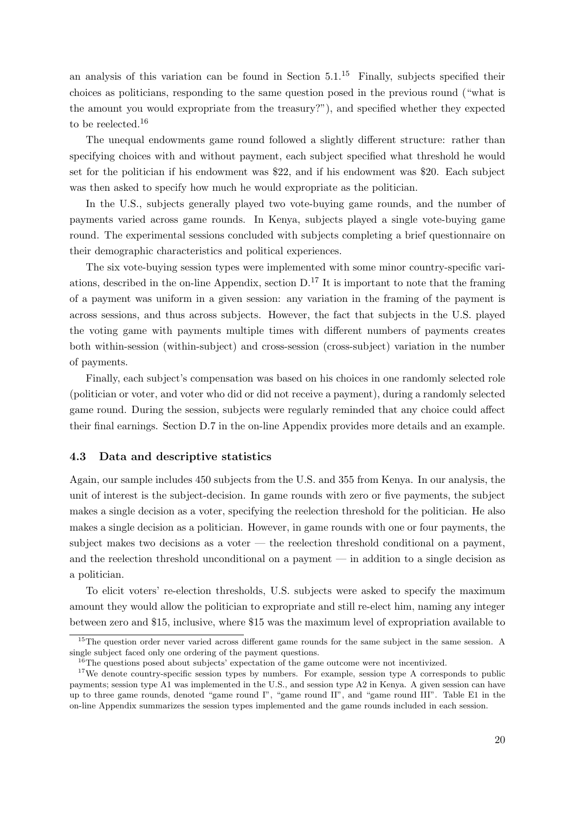an analysis of this variation can be found in Section  $5.1<sup>15</sup>$  $5.1<sup>15</sup>$  $5.1<sup>15</sup>$  Finally, subjects specified their choices as politicians, responding to the same question posed in the previous round ("what is the amount you would expropriate from the treasury?"), and specified whether they expected to be reelected.<sup>[16](#page-20-1)</sup>

The unequal endowments game round followed a slightly different structure: rather than specifying choices with and without payment, each subject specified what threshold he would set for the politician if his endowment was \$22, and if his endowment was \$20. Each subject was then asked to specify how much he would expropriate as the politician.

In the U.S., subjects generally played two vote-buying game rounds, and the number of payments varied across game rounds. In Kenya, subjects played a single vote-buying game round. The experimental sessions concluded with subjects completing a brief questionnaire on their demographic characteristics and political experiences.

The six vote-buying session types were implemented with some minor country-specific variations, described in the on-line Appendix, section  $D<sup>17</sup>$  $D<sup>17</sup>$  $D<sup>17</sup>$  It is important to note that the framing of a payment was uniform in a given session: any variation in the framing of the payment is across sessions, and thus across subjects. However, the fact that subjects in the U.S. played the voting game with payments multiple times with different numbers of payments creates both within-session (within-subject) and cross-session (cross-subject) variation in the number of payments.

Finally, each subject's compensation was based on his choices in one randomly selected role (politician or voter, and voter who did or did not receive a payment), during a randomly selected game round. During the session, subjects were regularly reminded that any choice could affect their final earnings. Section D.7 in the on-line Appendix provides more details and an example.

### 4.3 Data and descriptive statistics

Again, our sample includes 450 subjects from the U.S. and 355 from Kenya. In our analysis, the unit of interest is the subject-decision. In game rounds with zero or five payments, the subject makes a single decision as a voter, specifying the reelection threshold for the politician. He also makes a single decision as a politician. However, in game rounds with one or four payments, the subject makes two decisions as a voter — the reelection threshold conditional on a payment, and the reelection threshold unconditional on a payment — in addition to a single decision as a politician.

To elicit voters' re-election thresholds, U.S. subjects were asked to specify the maximum amount they would allow the politician to expropriate and still re-elect him, naming any integer between zero and \$15, inclusive, where \$15 was the maximum level of expropriation available to

<span id="page-20-0"></span><sup>&</sup>lt;sup>15</sup>The question order never varied across different game rounds for the same subject in the same session. A single subject faced only one ordering of the payment questions.

<span id="page-20-2"></span><span id="page-20-1"></span><sup>&</sup>lt;sup>16</sup>The questions posed about subjects' expectation of the game outcome were not incentivized.

<sup>&</sup>lt;sup>17</sup>We denote country-specific session types by numbers. For example, session type A corresponds to public payments; session type A1 was implemented in the U.S., and session type A2 in Kenya. A given session can have up to three game rounds, denoted "game round I", "game round II", and "game round III". Table E1 in the on-line Appendix summarizes the session types implemented and the game rounds included in each session.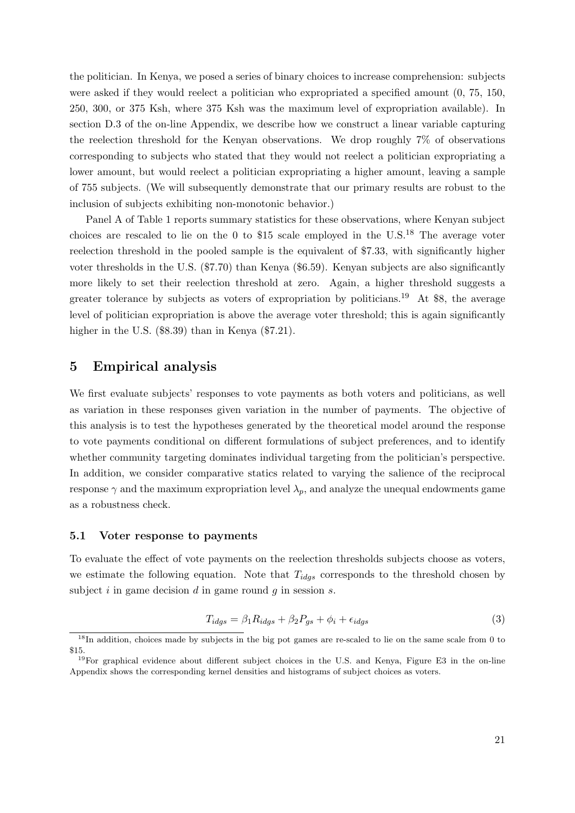the politician. In Kenya, we posed a series of binary choices to increase comprehension: subjects were asked if they would reelect a politician who expropriated a specified amount (0, 75, 150, 250, 300, or 375 Ksh, where 375 Ksh was the maximum level of expropriation available). In section D.3 of the on-line Appendix, we describe how we construct a linear variable capturing the reelection threshold for the Kenyan observations. We drop roughly 7% of observations corresponding to subjects who stated that they would not reelect a politician expropriating a lower amount, but would reelect a politician expropriating a higher amount, leaving a sample of 755 subjects. (We will subsequently demonstrate that our primary results are robust to the inclusion of subjects exhibiting non-monotonic behavior.)

Panel A of Table [1](#page-32-0) reports summary statistics for these observations, where Kenyan subject choices are rescaled to lie on the 0 to \$15 scale employed in the  $U.S.^{18}$  $U.S.^{18}$  $U.S.^{18}$  The average voter reelection threshold in the pooled sample is the equivalent of \$7.33, with significantly higher voter thresholds in the U.S. (\$7.70) than Kenya (\$6.59). Kenyan subjects are also significantly more likely to set their reelection threshold at zero. Again, a higher threshold suggests a greater tolerance by subjects as voters of expropriation by politicians.<sup>[19](#page-21-3)</sup> At \$8, the average level of politician expropriation is above the average voter threshold; this is again significantly higher in the U.S. (\$8.39) than in Kenya (\$7.21).

## <span id="page-21-0"></span>5 Empirical analysis

We first evaluate subjects' responses to vote payments as both voters and politicians, as well as variation in these responses given variation in the number of payments. The objective of this analysis is to test the hypotheses generated by the theoretical model around the response to vote payments conditional on different formulations of subject preferences, and to identify whether community targeting dominates individual targeting from the politician's perspective. In addition, we consider comparative statics related to varying the salience of the reciprocal response  $\gamma$  and the maximum expropriation level  $\lambda_p$ , and analyze the unequal endowments game as a robustness check.

#### <span id="page-21-1"></span>5.1 Voter response to payments

To evaluate the effect of vote payments on the reelection thresholds subjects choose as voters, we estimate the following equation. Note that  $T_{idqs}$  corresponds to the threshold chosen by subject  $i$  in game decision  $d$  in game round  $q$  in session  $s$ .

$$
T_{idgs} = \beta_1 R_{idgs} + \beta_2 P_{gs} + \phi_i + \epsilon_{idgs}
$$
\n<sup>(3)</sup>

<span id="page-21-2"></span><sup>&</sup>lt;sup>18</sup>In addition, choices made by subjects in the big pot games are re-scaled to lie on the same scale from 0 to \$15.

<span id="page-21-3"></span><sup>19</sup>For graphical evidence about different subject choices in the U.S. and Kenya, Figure E3 in the on-line Appendix shows the corresponding kernel densities and histograms of subject choices as voters.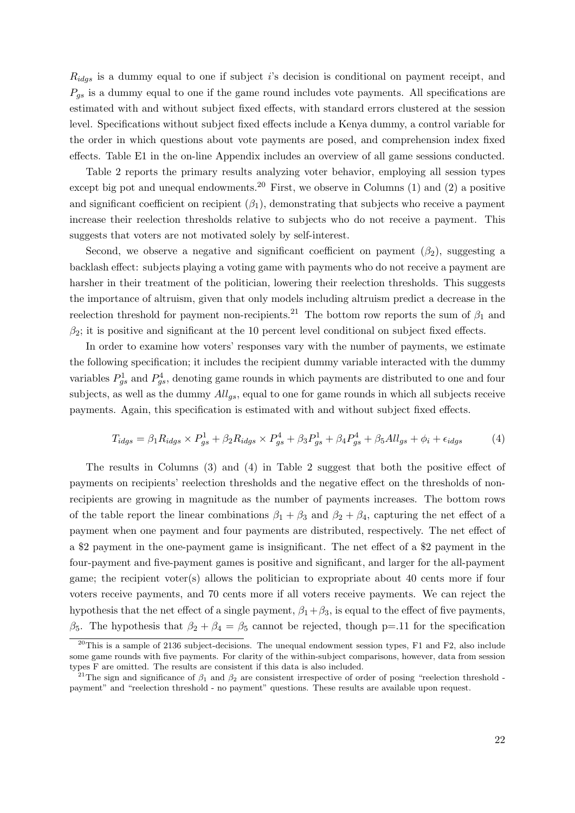$R_{idgs}$  is a dummy equal to one if subject i's decision is conditional on payment receipt, and  $P_{qs}$  is a dummy equal to one if the game round includes vote payments. All specifications are estimated with and without subject fixed effects, with standard errors clustered at the session level. Specifications without subject fixed effects include a Kenya dummy, a control variable for the order in which questions about vote payments are posed, and comprehension index fixed effects. Table E1 in the on-line Appendix includes an overview of all game sessions conducted.

Table [2](#page-33-0) reports the primary results analyzing voter behavior, employing all session types except big pot and unequal endowments.<sup>[20](#page-22-0)</sup> First, we observe in Columns  $(1)$  and  $(2)$  a positive and significant coefficient on recipient  $(\beta_1)$ , demonstrating that subjects who receive a payment increase their reelection thresholds relative to subjects who do not receive a payment. This suggests that voters are not motivated solely by self-interest.

Second, we observe a negative and significant coefficient on payment  $(\beta_2)$ , suggesting a backlash effect: subjects playing a voting game with payments who do not receive a payment are harsher in their treatment of the politician, lowering their reelection thresholds. This suggests the importance of altruism, given that only models including altruism predict a decrease in the reelection threshold for payment non-recipients.<sup>[21](#page-22-1)</sup> The bottom row reports the sum of  $\beta_1$  and  $\beta_2$ ; it is positive and significant at the 10 percent level conditional on subject fixed effects.

In order to examine how voters' responses vary with the number of payments, we estimate the following specification; it includes the recipient dummy variable interacted with the dummy variables  $P_{gs}^1$  and  $P_{gs}^4$ , denoting game rounds in which payments are distributed to one and four subjects, as well as the dummy  $All_{gs}$ , equal to one for game rounds in which all subjects receive payments. Again, this specification is estimated with and without subject fixed effects.

$$
T_{idgs} = \beta_1 R_{idgs} \times P_{gs}^1 + \beta_2 R_{idgs} \times P_{gs}^4 + \beta_3 P_{gs}^1 + \beta_4 P_{gs}^4 + \beta_5 All_{gs} + \phi_i + \epsilon_{idgs}
$$
 (4)

The results in Columns (3) and (4) in Table [2](#page-33-0) suggest that both the positive effect of payments on recipients' reelection thresholds and the negative effect on the thresholds of nonrecipients are growing in magnitude as the number of payments increases. The bottom rows of the table report the linear combinations  $\beta_1 + \beta_3$  and  $\beta_2 + \beta_4$ , capturing the net effect of a payment when one payment and four payments are distributed, respectively. The net effect of a \$2 payment in the one-payment game is insignificant. The net effect of a \$2 payment in the four-payment and five-payment games is positive and significant, and larger for the all-payment game; the recipient voter(s) allows the politician to expropriate about 40 cents more if four voters receive payments, and 70 cents more if all voters receive payments. We can reject the hypothesis that the net effect of a single payment,  $\beta_1 + \beta_3$ , is equal to the effect of five payments, β<sub>5</sub>. The hypothesis that  $β_2 + β_4 = β_5$  cannot be rejected, though p=.11 for the specification

<span id="page-22-0"></span> $^{20}$ This is a sample of 2136 subject-decisions. The unequal endowment session types, F1 and F2, also include some game rounds with five payments. For clarity of the within-subject comparisons, however, data from session types F are omitted. The results are consistent if this data is also included.

<span id="page-22-1"></span><sup>&</sup>lt;sup>21</sup>The sign and significance of  $\beta_1$  and  $\beta_2$  are consistent irrespective of order of posing "reelection threshold payment" and "reelection threshold - no payment" questions. These results are available upon request.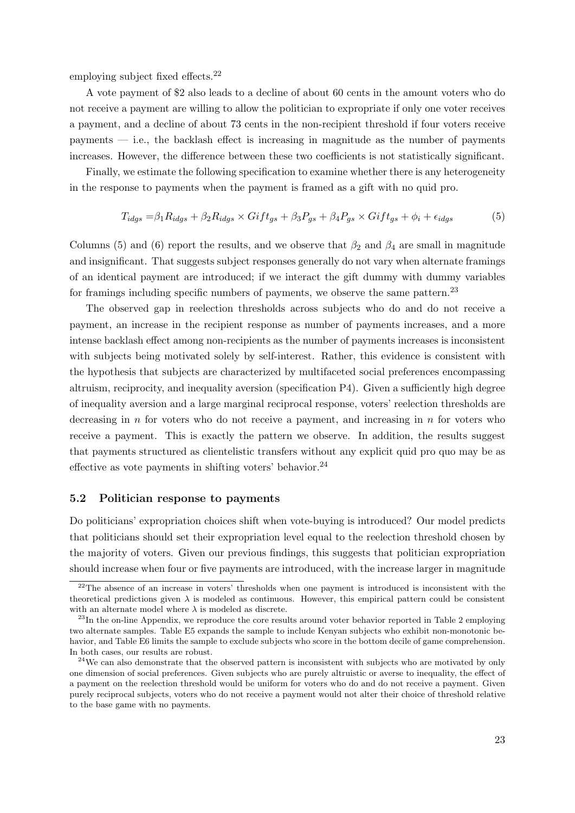employing subject fixed effects.[22](#page-23-0)

A vote payment of \$2 also leads to a decline of about 60 cents in the amount voters who do not receive a payment are willing to allow the politician to expropriate if only one voter receives a payment, and a decline of about 73 cents in the non-recipient threshold if four voters receive payments — i.e., the backlash effect is increasing in magnitude as the number of payments increases. However, the difference between these two coefficients is not statistically significant.

Finally, we estimate the following specification to examine whether there is any heterogeneity in the response to payments when the payment is framed as a gift with no quid pro.

$$
T_{idgs} = \beta_1 R_{idgs} + \beta_2 R_{idgs} \times Gift_{gs} + \beta_3 P_{gs} + \beta_4 P_{gs} \times Gift_{gs} + \phi_i + \epsilon_{idgs}
$$
(5)

Columns (5) and (6) report the results, and we observe that  $\beta_2$  and  $\beta_4$  are small in magnitude and insignificant. That suggests subject responses generally do not vary when alternate framings of an identical payment are introduced; if we interact the gift dummy with dummy variables for framings including specific numbers of payments, we observe the same pattern.[23](#page-23-1)

The observed gap in reelection thresholds across subjects who do and do not receive a payment, an increase in the recipient response as number of payments increases, and a more intense backlash effect among non-recipients as the number of payments increases is inconsistent with subjects being motivated solely by self-interest. Rather, this evidence is consistent with the hypothesis that subjects are characterized by multifaceted social preferences encompassing altruism, reciprocity, and inequality aversion (specification P4). Given a sufficiently high degree of inequality aversion and a large marginal reciprocal response, voters' reelection thresholds are decreasing in  $n$  for voters who do not receive a payment, and increasing in  $n$  for voters who receive a payment. This is exactly the pattern we observe. In addition, the results suggest that payments structured as clientelistic transfers without any explicit quid pro quo may be as effective as vote payments in shifting voters' behavior.<sup>[24](#page-23-2)</sup>

#### 5.2 Politician response to payments

Do politicians' expropriation choices shift when vote-buying is introduced? Our model predicts that politicians should set their expropriation level equal to the reelection threshold chosen by the majority of voters. Given our previous findings, this suggests that politician expropriation should increase when four or five payments are introduced, with the increase larger in magnitude

<span id="page-23-0"></span> $22$ The absence of an increase in voters' thresholds when one payment is introduced is inconsistent with the theoretical predictions given  $\lambda$  is modeled as continuous. However, this empirical pattern could be consistent with an alternate model where  $\lambda$  is modeled as discrete.

<span id="page-23-1"></span><sup>&</sup>lt;sup>23</sup>In the on-line Appendix, we reproduce the core results around voter behavior reported in Table [2](#page-33-0) employing two alternate samples. Table E5 expands the sample to include Kenyan subjects who exhibit non-monotonic behavior, and Table E6 limits the sample to exclude subjects who score in the bottom decile of game comprehension. In both cases, our results are robust.

<span id="page-23-2"></span> $24$ We can also demonstrate that the observed pattern is inconsistent with subjects who are motivated by only one dimension of social preferences. Given subjects who are purely altruistic or averse to inequality, the effect of a payment on the reelection threshold would be uniform for voters who do and do not receive a payment. Given purely reciprocal subjects, voters who do not receive a payment would not alter their choice of threshold relative to the base game with no payments.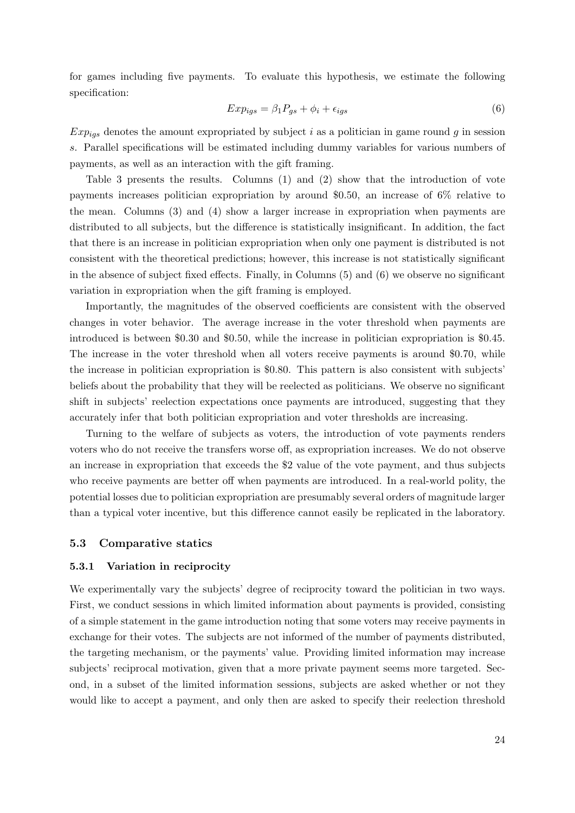for games including five payments. To evaluate this hypothesis, we estimate the following specification:

$$
Exp_{igs} = \beta_1 P_{gs} + \phi_i + \epsilon_{igs} \tag{6}
$$

 $Exp_{iqs}$  denotes the amount expropriated by subject i as a politician in game round g in session s. Parallel specifications will be estimated including dummy variables for various numbers of payments, as well as an interaction with the gift framing.

Table [3](#page-34-0) presents the results. Columns (1) and (2) show that the introduction of vote payments increases politician expropriation by around \$0.50, an increase of 6% relative to the mean. Columns (3) and (4) show a larger increase in expropriation when payments are distributed to all subjects, but the difference is statistically insignificant. In addition, the fact that there is an increase in politician expropriation when only one payment is distributed is not consistent with the theoretical predictions; however, this increase is not statistically significant in the absence of subject fixed effects. Finally, in Columns (5) and (6) we observe no significant variation in expropriation when the gift framing is employed.

Importantly, the magnitudes of the observed coefficients are consistent with the observed changes in voter behavior. The average increase in the voter threshold when payments are introduced is between \$0.30 and \$0.50, while the increase in politician expropriation is \$0.45. The increase in the voter threshold when all voters receive payments is around \$0.70, while the increase in politician expropriation is \$0.80. This pattern is also consistent with subjects' beliefs about the probability that they will be reelected as politicians. We observe no significant shift in subjects' reelection expectations once payments are introduced, suggesting that they accurately infer that both politician expropriation and voter thresholds are increasing.

Turning to the welfare of subjects as voters, the introduction of vote payments renders voters who do not receive the transfers worse off, as expropriation increases. We do not observe an increase in expropriation that exceeds the \$2 value of the vote payment, and thus subjects who receive payments are better off when payments are introduced. In a real-world polity, the potential losses due to politician expropriation are presumably several orders of magnitude larger than a typical voter incentive, but this difference cannot easily be replicated in the laboratory.

#### 5.3 Comparative statics

#### 5.3.1 Variation in reciprocity

We experimentally vary the subjects' degree of reciprocity toward the politician in two ways. First, we conduct sessions in which limited information about payments is provided, consisting of a simple statement in the game introduction noting that some voters may receive payments in exchange for their votes. The subjects are not informed of the number of payments distributed, the targeting mechanism, or the payments' value. Providing limited information may increase subjects' reciprocal motivation, given that a more private payment seems more targeted. Second, in a subset of the limited information sessions, subjects are asked whether or not they would like to accept a payment, and only then are asked to specify their reelection threshold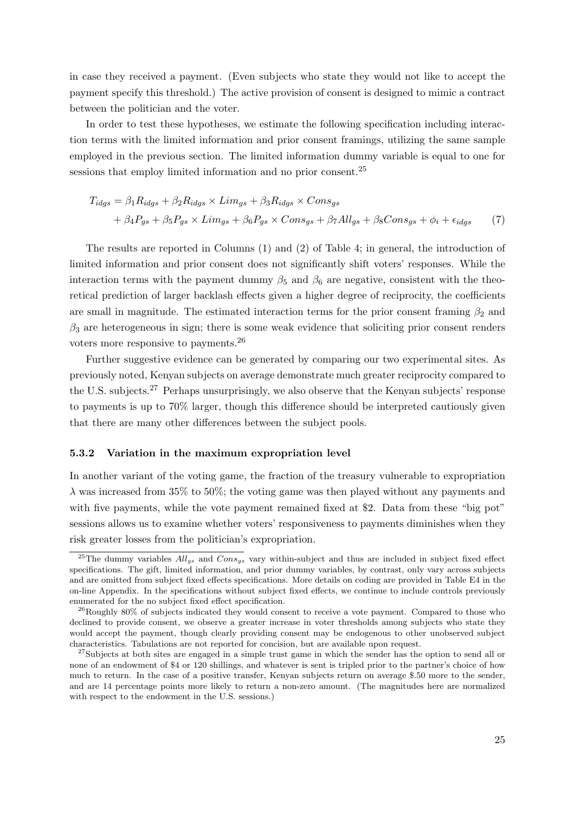in case they received a payment. (Even subjects who state they would not like to accept the payment specify this threshold.) The active provision of consent is designed to mimic a contract between the politician and the voter.

In order to test these hypotheses, we estimate the following specification including interaction terms with the limited information and prior consent framings, utilizing the same sample employed in the previous section. The limited information dummy variable is equal to one for sessions that employ limited information and no prior consent.<sup>[25](#page-25-0)</sup>

$$
T_{idgs} = \beta_1 R_{idgs} + \beta_2 R_{idgs} \times Lim_{gs} + \beta_3 R_{idgs} \times Cons_{gs}
$$
  
+  $\beta_4 P_{gs} + \beta_5 P_{gs} \times Lim_{gs} + \beta_6 P_{gs} \times Cons_{gs} + \beta_7 All_{gs} + \beta_8 Cons_{gs} + \phi_i + \epsilon_{idgs}$  (7)

The results are reported in Columns (1) and (2) of Table [4;](#page-35-0) in general, the introduction of limited information and prior consent does not significantly shift voters' responses. While the interaction terms with the payment dummy  $\beta_5$  and  $\beta_6$  are negative, consistent with the theoretical prediction of larger backlash effects given a higher degree of reciprocity, the coefficients are small in magnitude. The estimated interaction terms for the prior consent framing  $\beta_2$  and  $\beta_3$  are heterogeneous in sign; there is some weak evidence that soliciting prior consent renders voters more responsive to payments.[26](#page-25-1)

Further suggestive evidence can be generated by comparing our two experimental sites. As previously noted, Kenyan subjects on average demonstrate much greater reciprocity compared to the U.S. subjects.<sup>[27](#page-25-2)</sup> Perhaps unsurprisingly, we also observe that the Kenyan subjects' response to payments is up to 70% larger, though this difference should be interpreted cautiously given that there are many other differences between the subject pools.

#### 5.3.2 Variation in the maximum expropriation level

In another variant of the voting game, the fraction of the treasury vulnerable to expropriation  $\lambda$  was increased from 35% to 50%; the voting game was then played without any payments and with five payments, while the vote payment remained fixed at \$2. Data from these "big pot" sessions allows us to examine whether voters' responsiveness to payments diminishes when they risk greater losses from the politician's expropriation.

<span id="page-25-0"></span><sup>&</sup>lt;sup>25</sup>The dummy variables  $All_{gs}$  and  $Cons_{gs}$  vary within-subject and thus are included in subject fixed effect specifications. The gift, limited information, and prior dummy variables, by contrast, only vary across subjects and are omitted from subject fixed effects specifications. More details on coding are provided in Table E4 in the on-line Appendix. In the specifications without subject fixed effects, we continue to include controls previously enumerated for the no subject fixed effect specification.

<span id="page-25-1"></span> $^{26}$ Roughly 80% of subjects indicated they would consent to receive a vote payment. Compared to those who declined to provide consent, we observe a greater increase in voter thresholds among subjects who state they would accept the payment, though clearly providing consent may be endogenous to other unobserved subject characteristics. Tabulations are not reported for concision, but are available upon request.

<span id="page-25-2"></span><sup>&</sup>lt;sup>27</sup>Subjects at both sites are engaged in a simple trust game in which the sender has the option to send all or none of an endowment of \$4 or 120 shillings, and whatever is sent is tripled prior to the partner's choice of how much to return. In the case of a positive transfer, Kenyan subjects return on average \$.50 more to the sender, and are 14 percentage points more likely to return a non-zero amount. (The magnitudes here are normalized with respect to the endowment in the U.S. sessions.)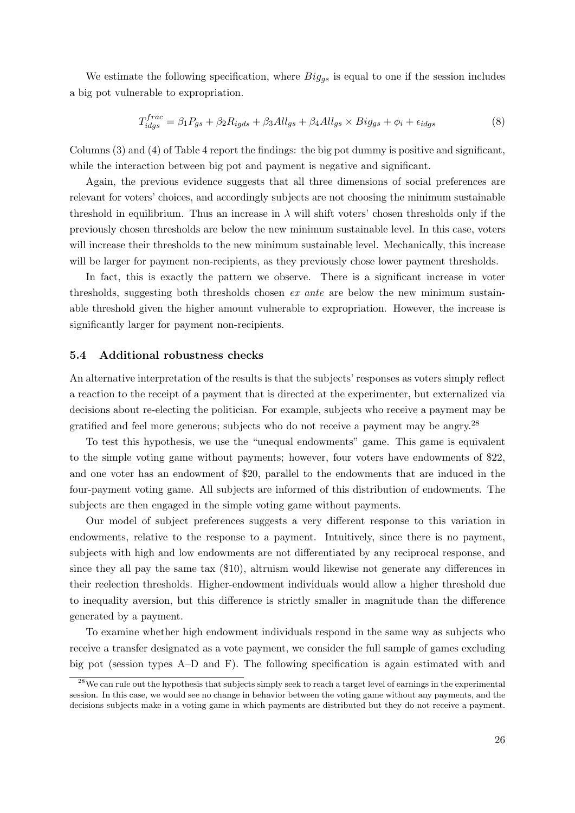We estimate the following specification, where  $Big_{ggs}$  is equal to one if the session includes a big pot vulnerable to expropriation.

$$
T_{idgs}^{frac} = \beta_1 P_{gs} + \beta_2 R_{igds} + \beta_3 All_{gs} + \beta_4 All_{gs} \times Big_{gs} + \phi_i + \epsilon_{idgs}
$$
\n(8)

Columns (3) and (4) of Table [4](#page-35-0) report the findings: the big pot dummy is positive and significant, while the interaction between big pot and payment is negative and significant.

Again, the previous evidence suggests that all three dimensions of social preferences are relevant for voters' choices, and accordingly subjects are not choosing the minimum sustainable threshold in equilibrium. Thus an increase in  $\lambda$  will shift voters' chosen thresholds only if the previously chosen thresholds are below the new minimum sustainable level. In this case, voters will increase their thresholds to the new minimum sustainable level. Mechanically, this increase will be larger for payment non-recipients, as they previously chose lower payment thresholds.

In fact, this is exactly the pattern we observe. There is a significant increase in voter thresholds, suggesting both thresholds chosen ex ante are below the new minimum sustainable threshold given the higher amount vulnerable to expropriation. However, the increase is significantly larger for payment non-recipients.

#### 5.4 Additional robustness checks

An alternative interpretation of the results is that the subjects' responses as voters simply reflect a reaction to the receipt of a payment that is directed at the experimenter, but externalized via decisions about re-electing the politician. For example, subjects who receive a payment may be gratified and feel more generous; subjects who do not receive a payment may be angry.[28](#page-26-0)

To test this hypothesis, we use the "unequal endowments" game. This game is equivalent to the simple voting game without payments; however, four voters have endowments of \$22, and one voter has an endowment of \$20, parallel to the endowments that are induced in the four-payment voting game. All subjects are informed of this distribution of endowments. The subjects are then engaged in the simple voting game without payments.

Our model of subject preferences suggests a very different response to this variation in endowments, relative to the response to a payment. Intuitively, since there is no payment, subjects with high and low endowments are not differentiated by any reciprocal response, and since they all pay the same tax (\$10), altruism would likewise not generate any differences in their reelection thresholds. Higher-endowment individuals would allow a higher threshold due to inequality aversion, but this difference is strictly smaller in magnitude than the difference generated by a payment.

To examine whether high endowment individuals respond in the same way as subjects who receive a transfer designated as a vote payment, we consider the full sample of games excluding big pot (session types A–D and F). The following specification is again estimated with and

<span id="page-26-0"></span><sup>&</sup>lt;sup>28</sup>We can rule out the hypothesis that subjects simply seek to reach a target level of earnings in the experimental session. In this case, we would see no change in behavior between the voting game without any payments, and the decisions subjects make in a voting game in which payments are distributed but they do not receive a payment.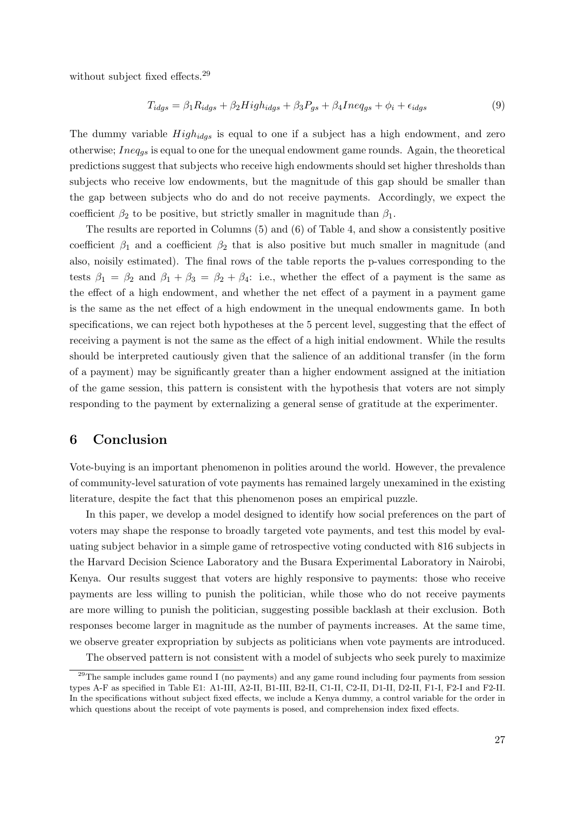without subject fixed effects.<sup>[29](#page-27-1)</sup>

$$
T_{idgs} = \beta_1 R_{idgs} + \beta_2 High_{idgs} + \beta_3 P_{gs} + \beta_4 Ineq_{gs} + \phi_i + \epsilon_{idgs}
$$
\n
$$
\tag{9}
$$

The dummy variable  $High_{idqs}$  is equal to one if a subject has a high endowment, and zero otherwise;  $Ineq<sub>gs</sub>$  is equal to one for the unequal endowment game rounds. Again, the theoretical predictions suggest that subjects who receive high endowments should set higher thresholds than subjects who receive low endowments, but the magnitude of this gap should be smaller than the gap between subjects who do and do not receive payments. Accordingly, we expect the coefficient  $\beta_2$  to be positive, but strictly smaller in magnitude than  $\beta_1$ .

The results are reported in Columns (5) and (6) of Table [4,](#page-35-0) and show a consistently positive coefficient  $\beta_1$  and a coefficient  $\beta_2$  that is also positive but much smaller in magnitude (and also, noisily estimated). The final rows of the table reports the p-values corresponding to the tests  $\beta_1 = \beta_2$  and  $\beta_1 + \beta_3 = \beta_2 + \beta_4$ : i.e., whether the effect of a payment is the same as the effect of a high endowment, and whether the net effect of a payment in a payment game is the same as the net effect of a high endowment in the unequal endowments game. In both specifications, we can reject both hypotheses at the 5 percent level, suggesting that the effect of receiving a payment is not the same as the effect of a high initial endowment. While the results should be interpreted cautiously given that the salience of an additional transfer (in the form of a payment) may be significantly greater than a higher endowment assigned at the initiation of the game session, this pattern is consistent with the hypothesis that voters are not simply responding to the payment by externalizing a general sense of gratitude at the experimenter.

# <span id="page-27-0"></span>6 Conclusion

Vote-buying is an important phenomenon in polities around the world. However, the prevalence of community-level saturation of vote payments has remained largely unexamined in the existing literature, despite the fact that this phenomenon poses an empirical puzzle.

In this paper, we develop a model designed to identify how social preferences on the part of voters may shape the response to broadly targeted vote payments, and test this model by evaluating subject behavior in a simple game of retrospective voting conducted with 816 subjects in the Harvard Decision Science Laboratory and the Busara Experimental Laboratory in Nairobi, Kenya. Our results suggest that voters are highly responsive to payments: those who receive payments are less willing to punish the politician, while those who do not receive payments are more willing to punish the politician, suggesting possible backlash at their exclusion. Both responses become larger in magnitude as the number of payments increases. At the same time, we observe greater expropriation by subjects as politicians when vote payments are introduced.

<span id="page-27-1"></span>The observed pattern is not consistent with a model of subjects who seek purely to maximize

<sup>&</sup>lt;sup>29</sup>The sample includes game round I (no payments) and any game round including four payments from session types A-F as specified in Table E1: A1-III, A2-II, B1-III, B2-II, C1-II, C2-II, D1-II, D2-II, F1-I, F2-I and F2-II. In the specifications without subject fixed effects, we include a Kenya dummy, a control variable for the order in which questions about the receipt of vote payments is posed, and comprehension index fixed effects.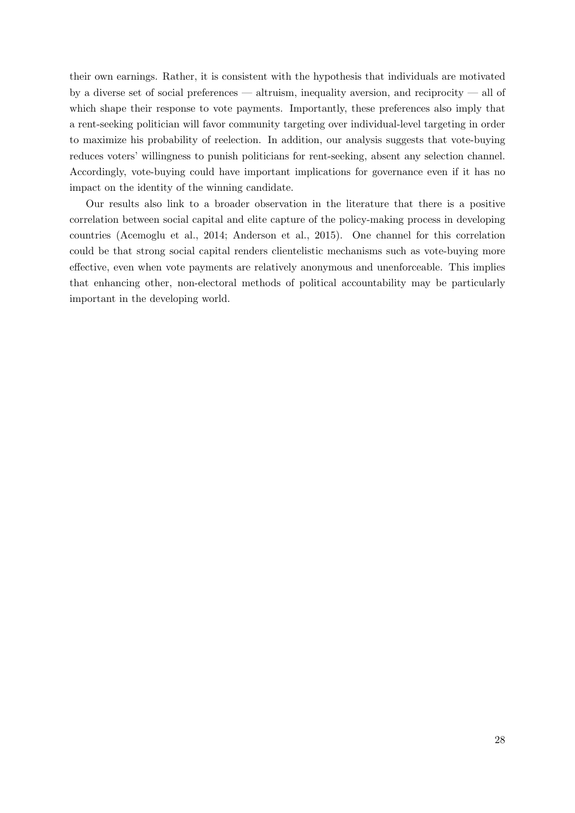their own earnings. Rather, it is consistent with the hypothesis that individuals are motivated by a diverse set of social preferences — altruism, inequality aversion, and reciprocity — all of which shape their response to vote payments. Importantly, these preferences also imply that a rent-seeking politician will favor community targeting over individual-level targeting in order to maximize his probability of reelection. In addition, our analysis suggests that vote-buying reduces voters' willingness to punish politicians for rent-seeking, absent any selection channel. Accordingly, vote-buying could have important implications for governance even if it has no impact on the identity of the winning candidate.

Our results also link to a broader observation in the literature that there is a positive correlation between social capital and elite capture of the policy-making process in developing countries [\(Acemoglu et al., 2014;](#page-29-7) [Anderson et al., 2015\)](#page-29-3). One channel for this correlation could be that strong social capital renders clientelistic mechanisms such as vote-buying more effective, even when vote payments are relatively anonymous and unenforceable. This implies that enhancing other, non-electoral methods of political accountability may be particularly important in the developing world.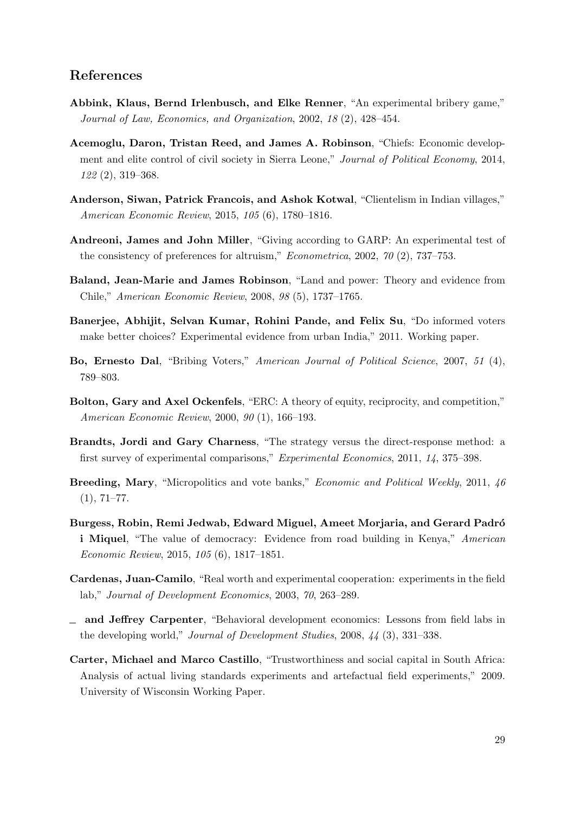## References

- <span id="page-29-5"></span>Abbink, Klaus, Bernd Irlenbusch, and Elke Renner, "An experimental bribery game," Journal of Law, Economics, and Organization, 2002, 18 (2), 428–454.
- <span id="page-29-7"></span>Acemoglu, Daron, Tristan Reed, and James A. Robinson, "Chiefs: Economic development and elite control of civil society in Sierra Leone," Journal of Political Economy, 2014, 122 (2), 319–368.
- <span id="page-29-3"></span>Anderson, Siwan, Patrick Francois, and Ashok Kotwal, "Clientelism in Indian villages," American Economic Review, 2015, 105 (6), 1780–1816.
- <span id="page-29-11"></span>Andreoni, James and John Miller, "Giving according to GARP: An experimental test of the consistency of preferences for altruism," Econometrica, 2002, 70 (2), 737-753.
- <span id="page-29-6"></span>Baland, Jean-Marie and James Robinson, "Land and power: Theory and evidence from Chile," American Economic Review, 2008, 98 (5), 1737–1765.
- <span id="page-29-0"></span>Banerjee, Abhijit, Selvan Kumar, Rohini Pande, and Felix Su, "Do informed voters make better choices? Experimental evidence from urban India," 2011. Working paper.
- <span id="page-29-4"></span>Bo, Ernesto Dal, "Bribing Voters," American Journal of Political Science, 2007, 51 (4), 789–803.
- <span id="page-29-12"></span>Bolton, Gary and Axel Ockenfels, "ERC: A theory of equity, reciprocity, and competition," American Economic Review, 2000, 90 (1), 166–193.
- <span id="page-29-13"></span>Brandts, Jordi and Gary Charness, "The strategy versus the direct-response method: a first survey of experimental comparisons," Experimental Economics, 2011, 14, 375–398.
- <span id="page-29-1"></span>Breeding, Mary, "Micropolitics and vote banks," Economic and Political Weekly, 2011, 46  $(1), 71-77.$
- <span id="page-29-10"></span>Burgess, Robin, Remi Jedwab, Edward Miguel, Ameet Morjaria, and Gerard Padró i Miquel, "The value of democracy: Evidence from road building in Kenya," American Economic Review, 2015, 105 (6), 1817–1851.
- <span id="page-29-8"></span>Cardenas, Juan-Camilo, "Real worth and experimental cooperation: experiments in the field lab," Journal of Development Economics, 2003, 70, 263–289.
- <span id="page-29-2"></span>and Jeffrey Carpenter, "Behavioral development economics: Lessons from field labs in the developing world," Journal of Development Studies, 2008, 44 (3), 331–338.
- <span id="page-29-9"></span>Carter, Michael and Marco Castillo, "Trustworthiness and social capital in South Africa: Analysis of actual living standards experiments and artefactual field experiments," 2009. University of Wisconsin Working Paper.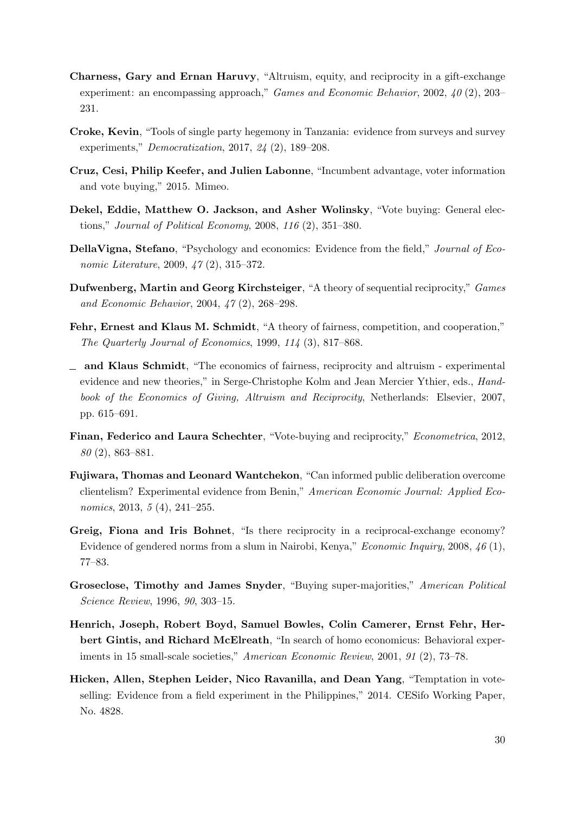- <span id="page-30-1"></span>Charness, Gary and Ernan Haruvy, "Altruism, equity, and reciprocity in a gift-exchange experiment: an encompassing approach," Games and Economic Behavior, 2002, 40 (2), 203– 231.
- <span id="page-30-10"></span>Croke, Kevin, "Tools of single party hegemony in Tanzania: evidence from surveys and survey experiments," Democratization, 2017, 24 (2), 189–208.
- <span id="page-30-4"></span>Cruz, Cesi, Philip Keefer, and Julien Labonne, "Incumbent advantage, voter information and vote buying," 2015. Mimeo.
- <span id="page-30-5"></span>Dekel, Eddie, Matthew O. Jackson, and Asher Wolinsky, "Vote buying: General elections," Journal of Political Economy, 2008, 116 (2), 351–380.
- <span id="page-30-2"></span>DellaVigna, Stefano, "Psychology and economics: Evidence from the field," Journal of Economic Literature, 2009, 47 (2), 315–372.
- <span id="page-30-12"></span>Dufwenberg, Martin and Georg Kirchsteiger, "A theory of sequential reciprocity," Games and Economic Behavior, 2004, 47 (2), 268–298.
- <span id="page-30-13"></span>Fehr, Ernest and Klaus M. Schmidt, "A theory of fairness, competition, and cooperation," The Quarterly Journal of Economics, 1999, 114 (3), 817–868.
- <span id="page-30-9"></span> $\Box$  and Klaus Schmidt, "The economics of fairness, reciprocity and altruism - experimental evidence and new theories," in Serge-Christophe Kolm and Jean Mercier Ythier, eds., Handbook of the Economics of Giving, Altruism and Reciprocity, Netherlands: Elsevier, 2007, pp. 615–691.
- <span id="page-30-0"></span>Finan, Federico and Laura Schechter, "Vote-buying and reciprocity," Econometrica, 2012, 80 (2), 863–881.
- <span id="page-30-11"></span>Fujiwara, Thomas and Leonard Wantchekon, "Can informed public deliberation overcome clientelism? Experimental evidence from Benin," American Economic Journal: Applied Economics, 2013, 5 (4), 241–255.
- <span id="page-30-7"></span>Greig, Fiona and Iris Bohnet, "Is there reciprocity in a reciprocal-exchange economy? Evidence of gendered norms from a slum in Nairobi, Kenya," Economic Inquiry, 2008, 46 (1), 77–83.
- <span id="page-30-6"></span>Groseclose, Timothy and James Snyder, "Buying super-majorities," American Political Science Review, 1996, 90, 303–15.
- <span id="page-30-8"></span>Henrich, Joseph, Robert Boyd, Samuel Bowles, Colin Camerer, Ernst Fehr, Herbert Gintis, and Richard McElreath, "In search of homo economicus: Behavioral experiments in 15 small-scale societies," American Economic Review, 2001, 91 (2), 73–78.
- <span id="page-30-3"></span>Hicken, Allen, Stephen Leider, Nico Ravanilla, and Dean Yang, "Temptation in voteselling: Evidence from a field experiment in the Philippines," 2014. CESifo Working Paper, No. 4828.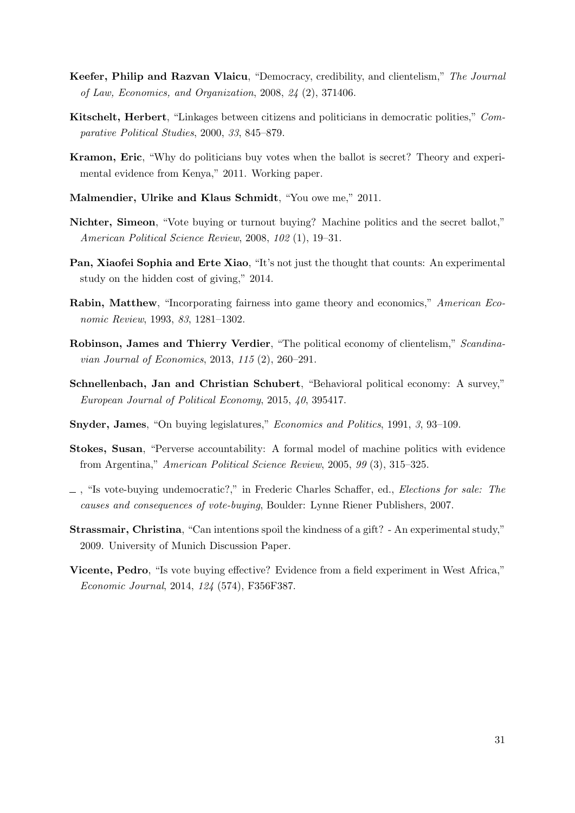- <span id="page-31-2"></span>Keefer, Philip and Razvan Vlaicu, "Democracy, credibility, and clientelism," The Journal of Law, Economics, and Organization, 2008, 24 (2), 371406.
- <span id="page-31-7"></span>Kitschelt, Herbert, "Linkages between citizens and politicians in democratic polities," Comparative Political Studies, 2000, 33, 845–879.
- <span id="page-31-5"></span>Kramon, Eric, "Why do politicians buy votes when the ballot is secret? Theory and experimental evidence from Kenya," 2011. Working paper.
- <span id="page-31-10"></span>Malmendier, Ulrike and Klaus Schmidt, "You owe me," 2011.
- <span id="page-31-0"></span>Nichter, Simeon, "Vote buying or turnout buying? Machine politics and the secret ballot," American Political Science Review, 2008, 102 (1), 19–31.
- <span id="page-31-11"></span>Pan, Xiaofei Sophia and Erte Xiao, "It's not just the thought that counts: An experimental study on the hidden cost of giving," 2014.
- <span id="page-31-13"></span>Rabin, Matthew, "Incorporating fairness into game theory and economics," American Economic Review, 1993, 83, 1281–1302.
- <span id="page-31-3"></span>Robinson, James and Thierry Verdier, "The political economy of clientelism," Scandinavian Journal of Economics, 2013, 115 (2), 260–291.
- <span id="page-31-6"></span>Schnellenbach, Jan and Christian Schubert, "Behavioral political economy: A survey," European Journal of Political Economy, 2015, 40, 395417.
- <span id="page-31-9"></span>Snyder, James, "On buying legislatures," Economics and Politics, 1991, 3, 93–109.
- <span id="page-31-1"></span>Stokes, Susan, "Perverse accountability: A formal model of machine politics with evidence from Argentina," American Political Science Review, 2005, 99 (3), 315–325.
- <span id="page-31-8"></span> $\Box$ , "Is vote-buying undemocratic?," in Frederic Charles Schaffer, ed., *Elections for sale: The* causes and consequences of vote-buying, Boulder: Lynne Riener Publishers, 2007.
- <span id="page-31-12"></span>Strassmair, Christina, "Can intentions spoil the kindness of a gift? - An experimental study," 2009. University of Munich Discussion Paper.
- <span id="page-31-4"></span>Vicente, Pedro, "Is vote buying effective? Evidence from a field experiment in West Africa," Economic Journal, 2014, 124 (574), F356F387.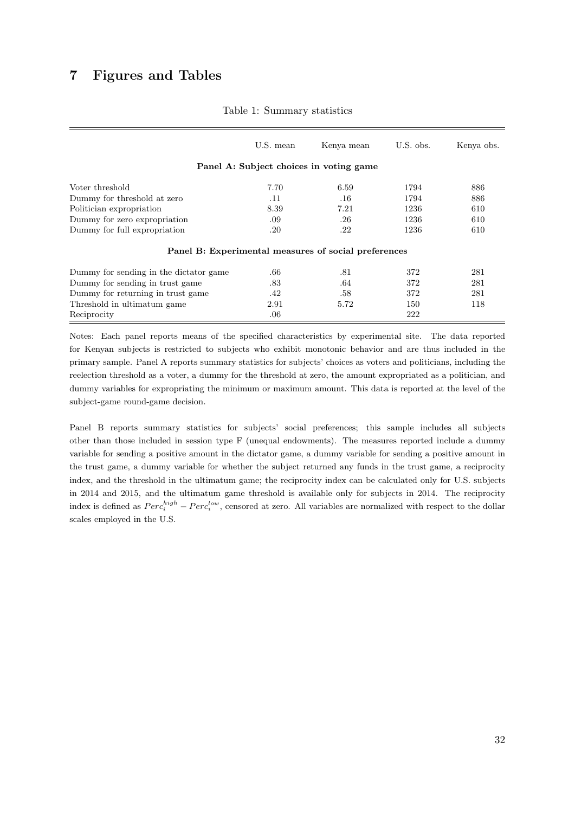# <span id="page-32-0"></span>7 Figures and Tables

|                                                      | U.S. mean | Kenya mean                              | U.S. obs. | Kenya obs. |
|------------------------------------------------------|-----------|-----------------------------------------|-----------|------------|
|                                                      |           | Panel A: Subject choices in voting game |           |            |
| Voter threshold                                      | 7.70      | 6.59                                    | 1794      | 886        |
| Dummy for threshold at zero                          | .11       | .16                                     | 1794      | 886        |
| Politician expropriation                             | 8.39      | 7.21                                    | 1236      | 610        |
| Dummy for zero expropriation                         | .09       | .26                                     | 1236      | 610        |
| Dummy for full expropriation                         | .20       | .22                                     | 1236      | 610        |
| Panel B: Experimental measures of social preferences |           |                                         |           |            |
| Dummy for sending in the dictator game               | .66       | .81                                     | 372       | 281        |
| Dummy for sending in trust game.                     | .83       | .64                                     | 372       | 281        |
| Dummy for returning in trust game.                   | .42       | .58                                     | 372       | 281        |
| Threshold in ultimatum game                          | 2.91      | 5.72                                    | 150       | 118        |
| Reciprocity                                          | .06       |                                         | 222       |            |

#### Table 1: Summary statistics

Notes: Each panel reports means of the specified characteristics by experimental site. The data reported for Kenyan subjects is restricted to subjects who exhibit monotonic behavior and are thus included in the primary sample. Panel A reports summary statistics for subjects' choices as voters and politicians, including the reelection threshold as a voter, a dummy for the threshold at zero, the amount expropriated as a politician, and dummy variables for expropriating the minimum or maximum amount. This data is reported at the level of the subject-game round-game decision.

Panel B reports summary statistics for subjects' social preferences; this sample includes all subjects other than those included in session type F (unequal endowments). The measures reported include a dummy variable for sending a positive amount in the dictator game, a dummy variable for sending a positive amount in the trust game, a dummy variable for whether the subject returned any funds in the trust game, a reciprocity index, and the threshold in the ultimatum game; the reciprocity index can be calculated only for U.S. subjects in 2014 and 2015, and the ultimatum game threshold is available only for subjects in 2014. The reciprocity index is defined as  $Perc_i^{high} - Perc_i^{low}$ , censored at zero. All variables are normalized with respect to the dollar scales employed in the U.S.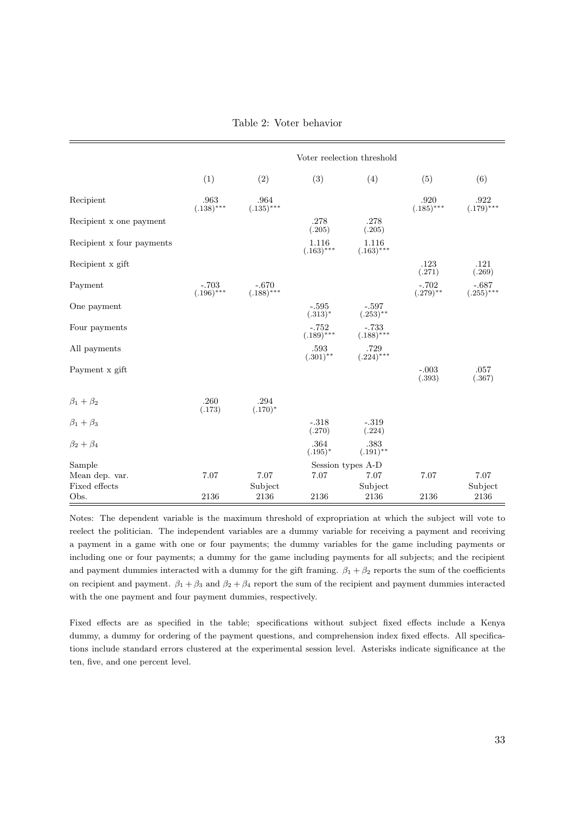Table 2: Voter behavior

<span id="page-33-0"></span>

|                           | Voter reelection threshold |                         |                         |                         |                        |                         |
|---------------------------|----------------------------|-------------------------|-------------------------|-------------------------|------------------------|-------------------------|
|                           | (1)                        | (2)                     | (3)                     | (4)                     | (5)                    | (6)                     |
| Recipient                 | .963<br>$(.138)$ ***       | .964<br>$(.135)$ ***    |                         |                         | .920<br>$(.185)$ ***   | .922<br>$(.179)$ ***    |
| Recipient x one payment   |                            |                         | .278<br>(.205)          | .278<br>(.205)          |                        |                         |
| Recipient x four payments |                            |                         | 1.116<br>$(.163)***$    | 1.116<br>$(.163)$ ***   |                        |                         |
| Recipient x gift          |                            |                         |                         |                         | .123<br>(.271)         | .121<br>(.269)          |
| Payment                   | $-.703$<br>$(.196)$ ***    | $-.670$<br>$(.188)$ *** |                         |                         | $-.702$<br>$(.279)$ ** | $-.687$<br>$(.255)$ *** |
| One payment               |                            |                         | $-.595$<br>$(.313)^*$   | $-.597$<br>$(.253)$ **  |                        |                         |
| Four payments             |                            |                         | $-.752$<br>$(.189)$ *** | $-.733$<br>$(.188)$ *** |                        |                         |
| All payments              |                            |                         | .593<br>$(.301)$ **     | .729<br>$(.224)$ ***    |                        |                         |
| Payment x gift            |                            |                         |                         |                         | $-.003$<br>(.393)      | .057<br>(.367)          |
| $\beta_1+\beta_2$         | .260<br>(.173)             | .294<br>$(.170)^*$      |                         |                         |                        |                         |
| $\beta_1 + \beta_3$       |                            |                         | $-.318$<br>(.270)       | $-.319$<br>(.224)       |                        |                         |
| $\beta_2+\beta_4$         |                            |                         | .364<br>$(.195)^*$      | .383<br>$(.191)$ **     |                        |                         |
| Sample                    |                            |                         |                         | Session types A-D       |                        |                         |
| Mean dep. var.            | 7.07                       | 7.07                    | 7.07                    | 7.07                    | 7.07                   | 7.07                    |
| Fixed effects             |                            | Subject                 |                         | Subject                 |                        | Subject                 |
| Obs.                      | 2136                       | 2136                    | 2136                    | 2136                    | 2136                   | $\boldsymbol{2136}$     |

Notes: The dependent variable is the maximum threshold of expropriation at which the subject will vote to reelect the politician. The independent variables are a dummy variable for receiving a payment and receiving a payment in a game with one or four payments; the dummy variables for the game including payments or including one or four payments; a dummy for the game including payments for all subjects; and the recipient and payment dummies interacted with a dummy for the gift framing.  $\beta_1 + \beta_2$  reports the sum of the coefficients on recipient and payment.  $\beta_1 + \beta_3$  and  $\beta_2 + \beta_4$  report the sum of the recipient and payment dummies interacted with the one payment and four payment dummies, respectively.

Fixed effects are as specified in the table; specifications without subject fixed effects include a Kenya dummy, a dummy for ordering of the payment questions, and comprehension index fixed effects. All specifications include standard errors clustered at the experimental session level. Asterisks indicate significance at the ten, five, and one percent level.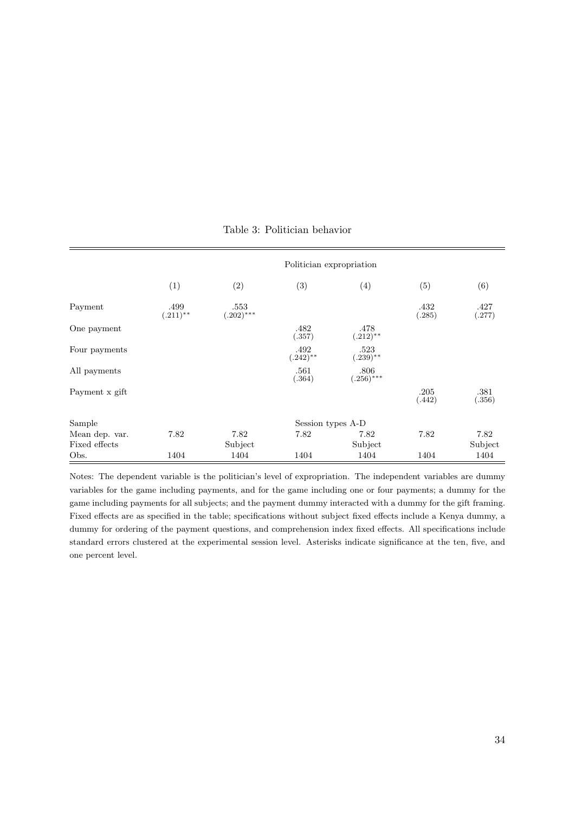<span id="page-34-0"></span>

|                | Politician expropriation |                     |                     |                     |                |                |  |
|----------------|--------------------------|---------------------|---------------------|---------------------|----------------|----------------|--|
|                | (1)                      | (2)                 | (3)                 | (4)                 | (5)            | (6)            |  |
| Payment        | .499<br>$(.211)$ **      | .553<br>$(.202)***$ |                     |                     | .432<br>(.285) | .427<br>(.277) |  |
| One payment    |                          |                     | .482<br>(.357)      | .478<br>$(.212)$ ** |                |                |  |
| Four payments  |                          |                     | .492<br>$(.242)$ ** | .523<br>$(.239)$ ** |                |                |  |
| All payments   |                          |                     | .561<br>(.364)      | .806<br>$(.256)***$ |                |                |  |
| Payment x gift |                          |                     |                     |                     | .205<br>(.442) | .381<br>(.356) |  |
| Sample         |                          |                     | Session types A-D   |                     |                |                |  |
| Mean dep. var. | 7.82                     | 7.82                | 7.82                | 7.82                | 7.82           | 7.82           |  |
| Fixed effects  |                          | Subject             |                     | Subject             |                | Subject        |  |
| Obs.           | 1404                     | 1404                | 1404                | 1404                | 1404           | 1404           |  |

## Table 3: Politician behavior

Notes: The dependent variable is the politician's level of expropriation. The independent variables are dummy variables for the game including payments, and for the game including one or four payments; a dummy for the game including payments for all subjects; and the payment dummy interacted with a dummy for the gift framing. Fixed effects are as specified in the table; specifications without subject fixed effects include a Kenya dummy, a dummy for ordering of the payment questions, and comprehension index fixed effects. All specifications include standard errors clustered at the experimental session level. Asterisks indicate significance at the ten, five, and one percent level.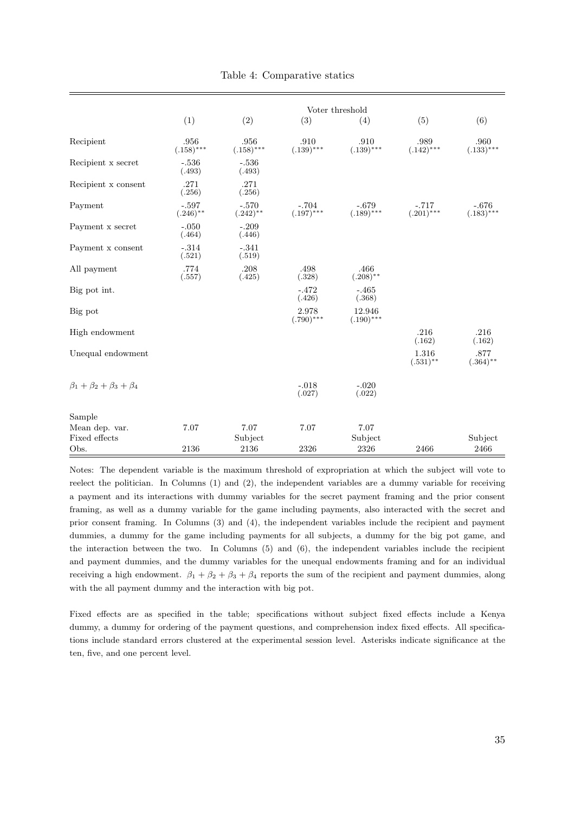<span id="page-35-0"></span>

|                                   | Voter threshold        |                        |                         |                         |                         |                        |
|-----------------------------------|------------------------|------------------------|-------------------------|-------------------------|-------------------------|------------------------|
|                                   | (1)                    | (2)                    | (3)                     | (4)                     | (5)                     | (6)                    |
| Recipient                         | .956<br>$(.158)$ ***   | .956<br>$(.158)$ ***   | .910<br>$(.139)$ ***    | .910<br>$(.139)$ ***    | .989<br>$(.142)$ ***    | .960<br>$(.133)***$    |
| Recipient x secret                | $-.536$<br>(.493)      | $-.536$<br>(.493)      |                         |                         |                         |                        |
| Recipient x consent               | .271<br>(.256)         | .271<br>(.256)         |                         |                         |                         |                        |
| Payment                           | $-.597$<br>$(.246)$ ** | $-.570$<br>$(.242)$ ** | $-.704$<br>$(.197)$ *** | $-.679$<br>$(.189)$ *** | $-.717$<br>$(.201)$ *** | $-.676$<br>$(.183)***$ |
| Payment x secret                  | $-.050$<br>(.464)      | $-.209$<br>(.446)      |                         |                         |                         |                        |
| Payment x consent                 | $-.314$<br>(.521)      | $-.341$<br>(.519)      |                         |                         |                         |                        |
| All payment                       | .774<br>(.557)         | .208<br>(.425)         | .498<br>(.328)          | .466<br>$(.208)$ **     |                         |                        |
| Big pot int.                      |                        |                        | $-.472$<br>(.426)       | $-.465$<br>(.368)       |                         |                        |
| Big pot                           |                        |                        | 2.978<br>$(.790)$ ***   | 12.946<br>$(.190)$ ***  |                         |                        |
| High endowment                    |                        |                        |                         |                         | .216<br>(.162)          | .216<br>(.162)         |
| Unequal endowment                 |                        |                        |                         |                         | 1.316<br>$(.531)$ **    | .877<br>$(.364)$ **    |
| $\beta_1+\beta_2+\beta_3+\beta_4$ |                        |                        | $-.018$<br>(.027)       | $-.020$<br>(.022)       |                         |                        |
| Sample                            |                        |                        |                         |                         |                         |                        |
| Mean dep. var.                    | 7.07                   | 7.07                   | 7.07                    | 7.07                    |                         |                        |
| Fixed effects<br>Obs.             | 2136                   | Subject<br>2136        | 2326                    | Subject<br>2326         | 2466                    | Subject<br>2466        |

Table 4: Comparative statics

Notes: The dependent variable is the maximum threshold of expropriation at which the subject will vote to reelect the politician. In Columns (1) and (2), the independent variables are a dummy variable for receiving a payment and its interactions with dummy variables for the secret payment framing and the prior consent framing, as well as a dummy variable for the game including payments, also interacted with the secret and prior consent framing. In Columns (3) and (4), the independent variables include the recipient and payment dummies, a dummy for the game including payments for all subjects, a dummy for the big pot game, and the interaction between the two. In Columns (5) and (6), the independent variables include the recipient and payment dummies, and the dummy variables for the unequal endowments framing and for an individual receiving a high endowment.  $\beta_1 + \beta_2 + \beta_3 + \beta_4$  reports the sum of the recipient and payment dummies, along with the all payment dummy and the interaction with big pot.

Fixed effects are as specified in the table; specifications without subject fixed effects include a Kenya dummy, a dummy for ordering of the payment questions, and comprehension index fixed effects. All specifications include standard errors clustered at the experimental session level. Asterisks indicate significance at the ten, five, and one percent level.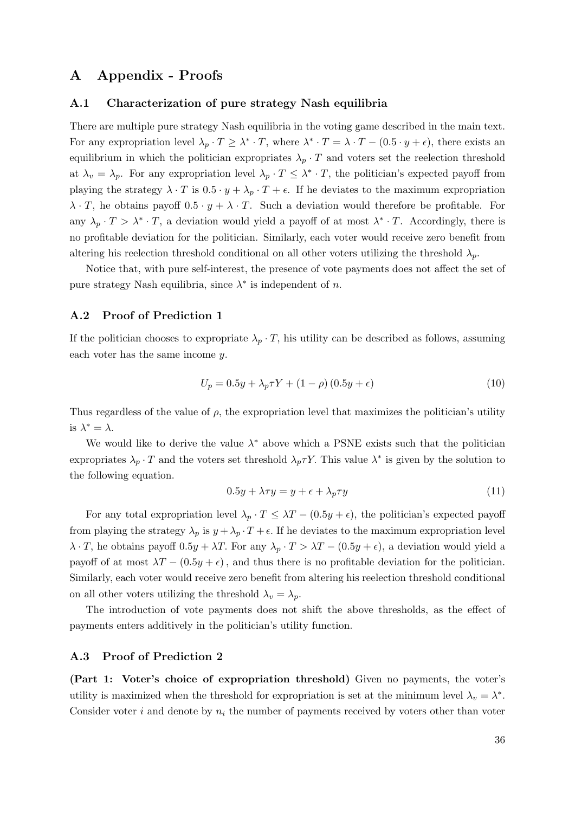# A Appendix - Proofs

#### <span id="page-36-0"></span>A.1 Characterization of pure strategy Nash equilibria

There are multiple pure strategy Nash equilibria in the voting game described in the main text. For any expropriation level  $\lambda_p \cdot T \geq \lambda^* \cdot T$ , where  $\lambda^* \cdot T = \lambda \cdot T - (0.5 \cdot y + \epsilon)$ , there exists an equilibrium in which the politician expropriates  $\lambda_p \cdot T$  and voters set the reelection threshold at  $\lambda_v = \lambda_p$ . For any expropriation level  $\lambda_p \cdot T \leq \lambda^* \cdot T$ , the politician's expected payoff from playing the strategy  $\lambda \cdot T$  is  $0.5 \cdot y + \lambda_p \cdot T + \epsilon$ . If he deviates to the maximum expropriation  $\lambda \cdot T$ , he obtains payoff  $0.5 \cdot y + \lambda \cdot T$ . Such a deviation would therefore be profitable. For any  $\lambda_p \cdot T > \lambda^* \cdot T$ , a deviation would yield a payoff of at most  $\lambda^* \cdot T$ . Accordingly, there is no profitable deviation for the politician. Similarly, each voter would receive zero benefit from altering his reelection threshold conditional on all other voters utilizing the threshold  $\lambda_p$ .

Notice that, with pure self-interest, the presence of vote payments does not affect the set of pure strategy Nash equilibria, since  $\lambda^*$  is independent of n.

## <span id="page-36-1"></span>A.2 Proof of Prediction [1](#page-10-1)

If the politician chooses to expropriate  $\lambda_p \cdot T$ , his utility can be described as follows, assuming each voter has the same income y.

$$
U_p = 0.5y + \lambda_p \tau Y + (1 - \rho)(0.5y + \epsilon)
$$
\n(10)

Thus regardless of the value of  $\rho$ , the expropriation level that maximizes the politician's utility is  $\lambda^* = \lambda$ .

We would like to derive the value  $\lambda^*$  above which a PSNE exists such that the politician expropriates  $\lambda_p \cdot T$  and the voters set threshold  $\lambda_p \tau Y$ . This value  $\lambda^*$  is given by the solution to the following equation.

$$
0.5y + \lambda \tau y = y + \epsilon + \lambda_p \tau y \tag{11}
$$

For any total expropriation level  $\lambda_p \cdot T \leq \lambda T - (0.5y + \epsilon)$ , the politician's expected payoff from playing the strategy  $\lambda_p$  is  $y + \lambda_p \cdot T + \epsilon$ . If he deviates to the maximum expropriation level  $\lambda \cdot T$ , he obtains payoff  $0.5y + \lambda T$ . For any  $\lambda_p \cdot T > \lambda T - (0.5y + \epsilon)$ , a deviation would yield a payoff of at most  $\lambda T - (0.5y + \epsilon)$ , and thus there is no profitable deviation for the politician. Similarly, each voter would receive zero benefit from altering his reelection threshold conditional on all other voters utilizing the threshold  $\lambda_v = \lambda_p$ .

The introduction of vote payments does not shift the above thresholds, as the effect of payments enters additively in the politician's utility function.

### <span id="page-36-2"></span>A.3 Proof of Prediction [2](#page-11-2)

(Part 1: Voter's choice of expropriation threshold) Given no payments, the voter's utility is maximized when the threshold for expropriation is set at the minimum level  $\lambda_v = \lambda^*$ . Consider voter i and denote by  $n_i$  the number of payments received by voters other than voter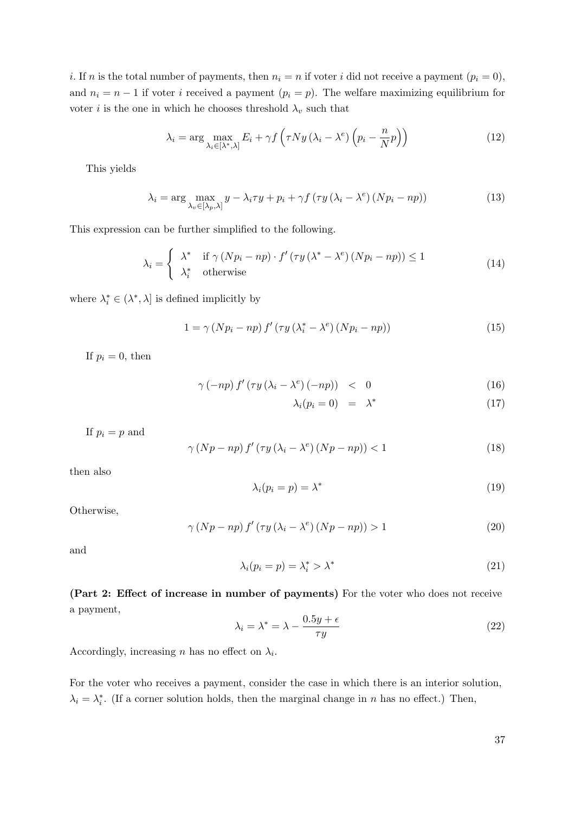i. If n is the total number of payments, then  $n_i = n$  if voter i did not receive a payment  $(p_i = 0)$ , and  $n_i = n - 1$  if voter i received a payment  $(p_i = p)$ . The welfare maximizing equilibrium for voter *i* is the one in which he chooses threshold  $\lambda_v$  such that

$$
\lambda_{i} = \arg \max_{\lambda_{i} \in [\lambda^{*}, \lambda]} E_{i} + \gamma f \left( \tau N y \left( \lambda_{i} - \lambda^{e} \right) \left( p_{i} - \frac{n}{N} p \right) \right)
$$
(12)

This yields

$$
\lambda_{i} = \arg \max_{\lambda_{v} \in [\lambda_{p}, \lambda]} y - \lambda_{i} \tau y + p_{i} + \gamma f \left( \tau y \left( \lambda_{i} - \lambda^{e} \right) \left( N p_{i} - n p \right) \right) \tag{13}
$$

This expression can be further simplified to the following.

$$
\lambda_{i} = \begin{cases}\n\lambda^{*} & \text{if } \gamma \left( Np_{i} - np \right) \cdot f' \left( \tau y \left( \lambda^{*} - \lambda^{e} \right) \left( Np_{i} - np \right) \right) \le 1 \\
\lambda_{i}^{*} & \text{otherwise}\n\end{cases} \tag{14}
$$

where  $\lambda_i^* \in (\lambda^*, \lambda]$  is defined implicitly by

$$
1 = \gamma (Np_i - np) f' (\tau y (\lambda_i^* - \lambda^e) (Np_i - np)) \tag{15}
$$

If  $p_i = 0$ , then

$$
\gamma\left(-np\right)f'\left(\tau y\left(\lambda_i-\lambda^e\right)\left(-np\right)\right) \quad < \quad 0\tag{16}
$$

$$
\lambda_i(p_i = 0) = \lambda^* \tag{17}
$$

If  $p_i = p$  and

$$
\gamma (Np - np) f' (\tau y (\lambda_i - \lambda^e) (Np - np)) < 1 \tag{18}
$$

then also

$$
\lambda_i(p_i = p) = \lambda^* \tag{19}
$$

Otherwise,

$$
\gamma (Np - np) f' (\tau y (\lambda_i - \lambda^e) (Np - np)) > 1
$$
\n(20)

and

$$
\lambda_i(p_i = p) = \lambda_i^* > \lambda^* \tag{21}
$$

(Part 2: Effect of increase in number of payments) For the voter who does not receive a payment,

$$
\lambda_i = \lambda^* = \lambda - \frac{0.5y + \epsilon}{\tau y} \tag{22}
$$

Accordingly, increasing *n* has no effect on  $\lambda_i$ .

For the voter who receives a payment, consider the case in which there is an interior solution,  $\lambda_i = \lambda_i^*$ . (If a corner solution holds, then the marginal change in n has no effect.) Then,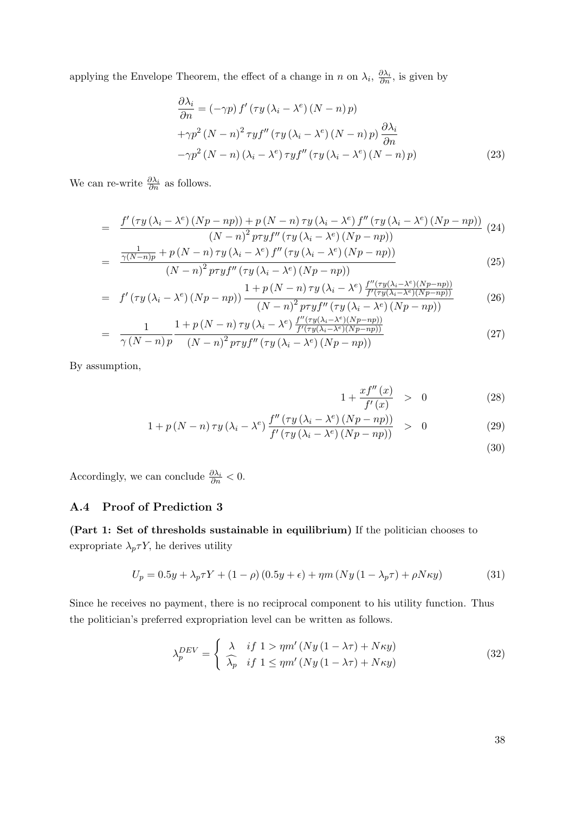applying the Envelope Theorem, the effect of a change in n on  $\lambda_i$ ,  $\frac{\partial \lambda_i}{\partial n}$ , is given by

$$
\frac{\partial \lambda_i}{\partial n} = (-\gamma p) f' (\tau y (\lambda_i - \lambda^e) (N - n) p)
$$
  
+ $\gamma p^2 (N - n)^2 \tau y f'' (\tau y (\lambda_i - \lambda^e) (N - n) p) \frac{\partial \lambda_i}{\partial n}$   
- $\gamma p^2 (N - n) (\lambda_i - \lambda^e) \tau y f'' (\tau y (\lambda_i - \lambda^e) (N - n) p)$  (23)

We can re-write  $\frac{\partial \lambda_i}{\partial n}$  as follows.

$$
= \frac{f'(\tau y (\lambda_i - \lambda^e) (Np - np)) + p (N - n) \tau y (\lambda_i - \lambda^e) f''(\tau y (\lambda_i - \lambda^e) (Np - np))}{(N - n)^2 p \tau y f''(\tau y (\lambda_i - \lambda^e) (Np - np))}
$$
(24)  

$$
\frac{1}{(N - n) \tau y (\lambda_i - \lambda^e) (Np - np)}
$$

$$
= \frac{\frac{1}{\gamma(N-n)p} + p(N-n)\,\tau y\left(\lambda_i - \lambda^e\right) f''\left(\tau y\left(\lambda_i - \lambda^e\right)\left(Np - np\right)\right)}{\left(N-n\right)^2 p\tau y f''\left(\tau y\left(\lambda_i - \lambda^e\right)\left(Np - np\right)\right)}\tag{25}
$$

$$
= f'(\tau y (\lambda_i - \lambda^e) (Np - np)) \frac{1 + p (N - n) \tau y (\lambda_i - \lambda^e) \frac{f''(\tau y (\lambda_i - \lambda^e) (Np - np))}{f'(\tau y (\lambda_i - \lambda^e) (Np - np))}}{(N - n)^2 p \tau y f''(\tau y (\lambda_i - \lambda^e) (Np - np))}
$$
(26)

$$
= \frac{1}{\gamma (N-n) p} \frac{1 + p (N-n) \tau y (\lambda_i - \lambda^e) \frac{f''(\tau y (\lambda_i - \lambda^e)(Np - np))}{f'(\tau y (\lambda_i - \lambda^e)(Np - np))}}{(N-n)^2 p \tau y f''(\tau y (\lambda_i - \lambda^e) (Np - np))}
$$
(27)

By assumption,

$$
1 + \frac{x f''(x)}{f'(x)} > 0 \tag{28}
$$

$$
1 + p(N - n)\tau y (\lambda_i - \lambda^e) \frac{f''(\tau y (\lambda_i - \lambda^e) (Np - np))}{f'(\tau y (\lambda_i - \lambda^e) (Np - np))} > 0
$$
\n(29)

(30)

Accordingly, we can conclude  $\frac{\partial \lambda_i}{\partial n} < 0$ .

## <span id="page-38-0"></span>A.4 Proof of Prediction [3](#page-12-1)

(Part 1: Set of thresholds sustainable in equilibrium) If the politician chooses to expropriate  $\lambda_p \tau Y$ , he derives utility

$$
U_p = 0.5y + \lambda_p \tau Y + (1 - \rho)(0.5y + \epsilon) + \eta m (Ny (1 - \lambda_p \tau) + \rho N \kappa y)
$$
\n(31)

Since he receives no payment, there is no reciprocal component to his utility function. Thus the politician's preferred expropriation level can be written as follows.

$$
\lambda_p^{DEV} = \begin{cases}\n\lambda & if 1 > \eta m' (Ny (1 - \lambda \tau) + N \kappa y) \\
\widehat{\lambda_p} & if 1 \le \eta m' (Ny (1 - \lambda \tau) + N \kappa y)\n\end{cases}
$$
\n(32)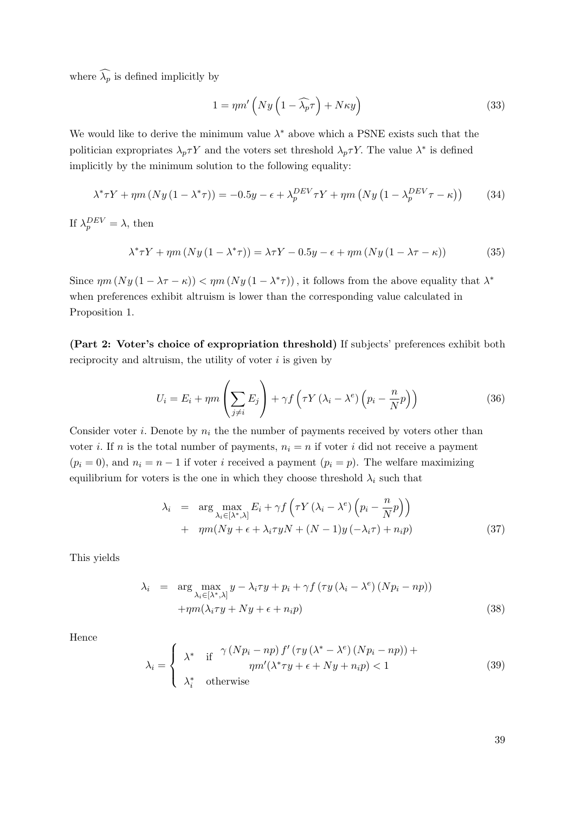where  $\widehat{\lambda_p}$  is defined implicitly by

$$
1 = \eta m' \left( N y \left( 1 - \widehat{\lambda_p} \tau \right) + N \kappa y \right) \tag{33}
$$

We would like to derive the minimum value  $\lambda^*$  above which a PSNE exists such that the politician expropriates  $\lambda_p \tau Y$  and the voters set threshold  $\lambda_p \tau Y$ . The value  $\lambda^*$  is defined implicitly by the minimum solution to the following equality:

$$
\lambda^* \tau Y + \eta m \left( N y \left( 1 - \lambda^* \tau \right) \right) = -0.5y - \epsilon + \lambda_p^{DEV} \tau Y + \eta m \left( N y \left( 1 - \lambda_p^{DEV} \tau - \kappa \right) \right) \tag{34}
$$

If  $\lambda_p^{DEV} = \lambda$ , then

$$
\lambda^* \tau Y + \eta m \left( N y \left( 1 - \lambda^* \tau \right) \right) = \lambda \tau Y - 0.5y - \epsilon + \eta m \left( N y \left( 1 - \lambda \tau - \kappa \right) \right) \tag{35}
$$

Since  $\eta m(Ny(1-\lambda\tau-\kappa)) < \eta m(Ny(1-\lambda^*\tau))$ , it follows from the above equality that  $\lambda^*$ when preferences exhibit altruism is lower than the corresponding value calculated in Proposition [1.](#page-10-1)

(Part 2: Voter's choice of expropriation threshold) If subjects' preferences exhibit both reciprocity and altruism, the utility of voter  $i$  is given by

$$
U_i = E_i + \eta m \left(\sum_{j \neq i} E_j\right) + \gamma f \left(\tau Y \left(\lambda_i - \lambda^e\right) \left(p_i - \frac{n}{N} p\right)\right) \tag{36}
$$

Consider voter *i*. Denote by  $n_i$  the the number of payments received by voters other than voter *i*. If *n* is the total number of payments,  $n<sub>i</sub> = n$  if voter *i* did not receive a payment  $(p_i = 0)$ , and  $n_i = n - 1$  if voter i received a payment  $(p_i = p)$ . The welfare maximizing equilibrium for voters is the one in which they choose threshold  $\lambda_i$  such that

$$
\lambda_i = \arg \max_{\lambda_i \in [\lambda^*, \lambda]} E_i + \gamma f \left( \tau Y (\lambda_i - \lambda^e) \left( p_i - \frac{n}{N} p \right) \right) + \eta m (Ny + \epsilon + \lambda_i \tau y N + (N - 1) y (-\lambda_i \tau) + n_i p)
$$
(37)

This yields

$$
\lambda_i = \arg \max_{\lambda_i \in [\lambda^*, \lambda]} y - \lambda_i \tau y + p_i + \gamma f (\tau y (\lambda_i - \lambda^e) (N p_i - n p)) + \eta m (\lambda_i \tau y + N y + \epsilon + n_i p)
$$
\n(38)

Hence

$$
\lambda_i = \begin{cases}\n\lambda^* & \text{if } \gamma (Np_i - np) f' (\tau y (\lambda^* - \lambda^e) (Np_i - np)) + \\
\eta m' (\lambda^* \tau y + \epsilon + Ny + n_i p) < 1 \\
\lambda_i^* & \text{otherwise}\n\end{cases} \tag{39}
$$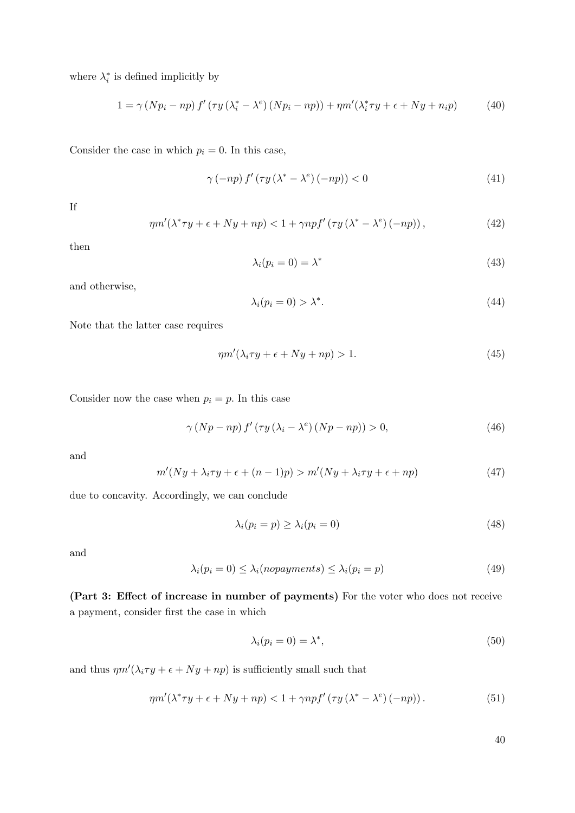where  $\lambda_i^*$  is defined implicitly by

$$
1 = \gamma (Np_i - np) f'(\tau y (\lambda_i^* - \lambda^e) (Np_i - np)) + \eta m'(\lambda_i^* \tau y + \epsilon + Ny + n_i p) \tag{40}
$$

Consider the case in which  $p_i = 0$ . In this case,

$$
\gamma\left(-np\right)f'\left(\tau y\left(\lambda^*-\lambda^e\right)\left(-np\right)\right)<0\tag{41}
$$

If

$$
\eta m'(\lambda^* \tau y + \epsilon + Ny + np) < 1 + \gamma npf'(\tau y (\lambda^* - \lambda^e)(-np)),\tag{42}
$$

then

$$
\lambda_i(p_i = 0) = \lambda^* \tag{43}
$$

and otherwise,

$$
\lambda_i(p_i = 0) > \lambda^*.\tag{44}
$$

Note that the latter case requires

$$
\eta m'(\lambda_i \tau y + \epsilon + Ny + np) > 1. \tag{45}
$$

Consider now the case when  $p_i = p$ . In this case

$$
\gamma (Np - np) f' (\tau y (\lambda_i - \lambda^e) (Np - np)) > 0,
$$
\n(46)

and

$$
m'(Ny + \lambda_i \tau y + \epsilon + (n-1)p) > m'(Ny + \lambda_i \tau y + \epsilon + np)
$$
\n(47)

due to concavity. Accordingly, we can conclude

$$
\lambda_i(p_i = p) \ge \lambda_i(p_i = 0) \tag{48}
$$

and

$$
\lambda_i(p_i = 0) \le \lambda_i(nopayments) \le \lambda_i(p_i = p) \tag{49}
$$

(Part 3: Effect of increase in number of payments) For the voter who does not receive a payment, consider first the case in which

$$
\lambda_i(p_i = 0) = \lambda^*,\tag{50}
$$

and thus  $\eta m'(\lambda_i \tau y + \epsilon + N y + n p)$  is sufficiently small such that

$$
\eta m'(\lambda^* \tau y + \epsilon + Ny + np) < 1 + \gamma npf' \left( \tau y (\lambda^* - \lambda^e) (-np) \right). \tag{51}
$$

40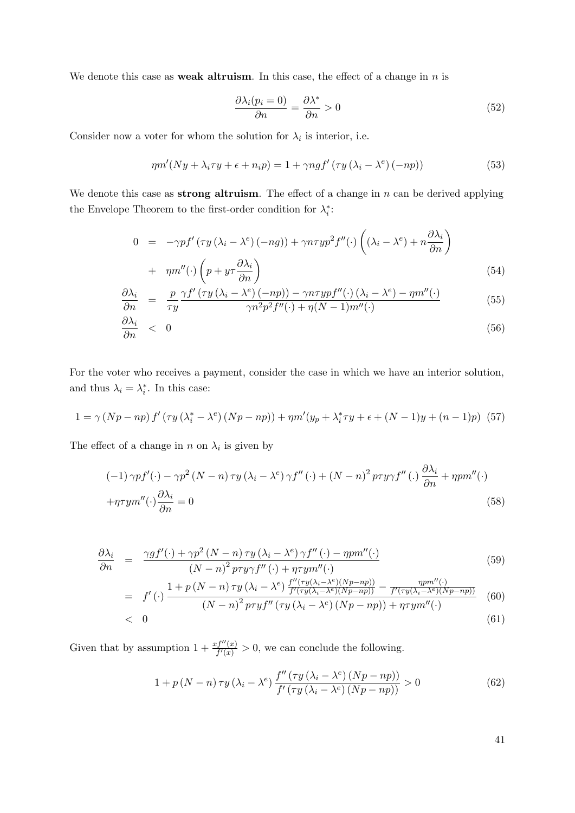We denote this case as **weak altruism**. In this case, the effect of a change in  $n$  is

$$
\frac{\partial \lambda_i(p_i = 0)}{\partial n} = \frac{\partial \lambda^*}{\partial n} > 0
$$
\n(52)

Consider now a voter for whom the solution for  $\lambda_i$  is interior, i.e.

$$
\eta m'(Ny + \lambda_i \tau y + \epsilon + n_i p) = 1 + \gamma n g f' (\tau y (\lambda_i - \lambda^e) (-np))
$$
\n(53)

We denote this case as **strong altruism**. The effect of a change in  $n$  can be derived applying the Envelope Theorem to the first-order condition for  $\lambda_i^* \colon$ 

$$
0 = -\gamma p f' (\tau y (\lambda_i - \lambda^e) (-ng)) + \gamma n \tau y p^2 f''(\cdot) \left( (\lambda_i - \lambda^e) + n \frac{\partial \lambda_i}{\partial n} \right) + \eta m''(\cdot) \left( p + y \tau \frac{\partial \lambda_i}{\partial n} \right)
$$
(54)

$$
\frac{\partial \lambda_i}{\partial n} = \frac{p}{\tau y} \frac{\gamma f'(\tau y (\lambda_i - \lambda^e)(-np)) - \gamma n \tau y p f''(\cdot) (\lambda_i - \lambda^e) - \eta m''(\cdot)}{\gamma n^2 p^2 f''(\cdot) + \eta (N-1) m''(\cdot)}
$$
(55)

$$
\frac{\partial \lambda_i}{\partial n} < 0 \tag{56}
$$

For the voter who receives a payment, consider the case in which we have an interior solution, and thus  $\lambda_i = \lambda_i^*$ . In this case:

$$
1 = \gamma (Np - np) f'(\tau y (\lambda_i^* - \lambda^e) (Np - np)) + \eta m'(y_p + \lambda_i^* \tau y + \epsilon + (N - 1)y + (n - 1)p)
$$
 (57)

The effect of a change in n on  $\lambda_i$  is given by

$$
(-1)\gamma p f'(\cdot) - \gamma p^2 (N - n)\tau y (\lambda_i - \lambda^e) \gamma f''(\cdot) + (N - n)^2 p \tau y \gamma f''(\cdot) \frac{\partial \lambda_i}{\partial n} + \eta p m''(\cdot)
$$

$$
+ \eta \tau y m''(\cdot) \frac{\partial \lambda_i}{\partial n} = 0
$$
(58)

$$
\frac{\partial \lambda_i}{\partial n} = \frac{\gamma g f'(\cdot) + \gamma p^2 (N - n) \tau y (\lambda_i - \lambda^e) \gamma f''(\cdot) - \eta p m''(\cdot)}{(N - n)^2 p \tau y \gamma f''(\cdot) + \eta \tau y m''(\cdot)}
$$
(59)

$$
= f'(\cdot) \frac{1 + p(N-n)\tau y(\lambda_i - \lambda^e) \frac{f''(\tau y(\lambda_i - \lambda^e)(Np - np))}{f'(\tau y(\lambda_i - \lambda^e)(Np - np))} - \frac{npm''(\cdot)}{f'(\tau y(\lambda_i - \lambda^e)(Np - np))}}{(N-n)^2 p\tau y f''(\tau y(\lambda_i - \lambda^e)(Np - np)) + \eta \tau y m''(\cdot)}
$$
(60)  
< 0 (61)

Given that by assumption  $1 + \frac{x f''(x)}{f'(x)} > 0$ , we can conclude the following.

$$
1 + p(N - n)\tau y (\lambda_i - \lambda^e) \frac{f''(\tau y (\lambda_i - \lambda^e) (Np - np))}{f'(\tau y (\lambda_i - \lambda^e) (Np - np))} > 0
$$
\n(62)

41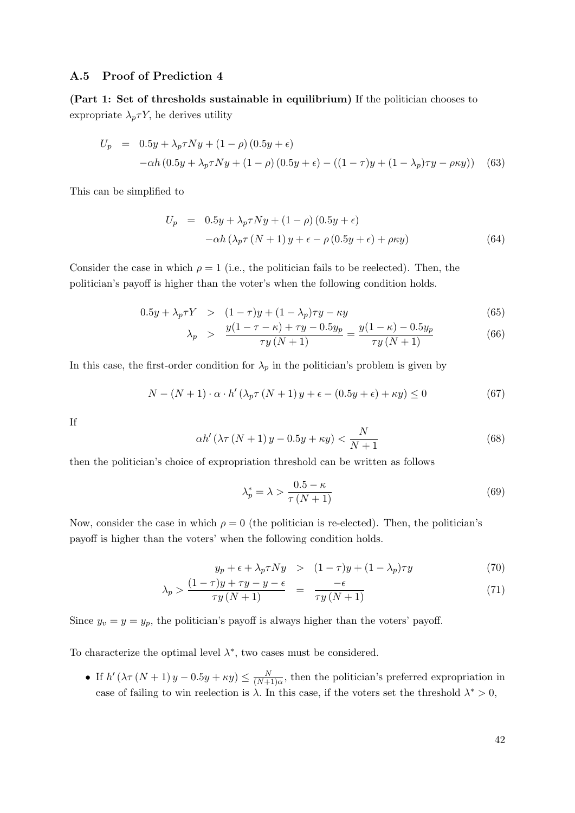## <span id="page-42-0"></span>A.5 Proof of Prediction [4](#page-13-0)

(Part 1: Set of thresholds sustainable in equilibrium) If the politician chooses to expropriate  $\lambda_p \tau Y$ , he derives utility

$$
U_p = 0.5y + \lambda_p \tau Ny + (1 - \rho) (0.5y + \epsilon)
$$
  
- $\alpha h (0.5y + \lambda_p \tau Ny + (1 - \rho) (0.5y + \epsilon) - ((1 - \tau)y + (1 - \lambda_p) \tau y - \rho \kappa y))$  (63)

This can be simplified to

$$
U_p = 0.5y + \lambda_p \tau Ny + (1 - \rho) (0.5y + \epsilon)
$$
  
-
$$
-\alpha h (\lambda_p \tau (N + 1) y + \epsilon - \rho (0.5y + \epsilon) + \rho \kappa y)
$$
(64)

Consider the case in which  $\rho = 1$  (i.e., the politician fails to be reelected). Then, the politician's payoff is higher than the voter's when the following condition holds.

$$
0.5y + \lambda_p \tau Y > (1 - \tau)y + (1 - \lambda_p)\tau y - \kappa y \tag{65}
$$

$$
\lambda_p > \frac{y(1 - \tau - \kappa) + \tau y - 0.5y_p}{\tau y(N + 1)} = \frac{y(1 - \kappa) - 0.5y_p}{\tau y(N + 1)}
$$
(66)

In this case, the first-order condition for  $\lambda_p$  in the politician's problem is given by

$$
N - (N+1) \cdot \alpha \cdot h' \left(\lambda_p \tau \left(N+1\right) y + \epsilon - (0.5y + \epsilon) + \kappa y\right) \le 0\tag{67}
$$

If

$$
\alpha h' \left(\lambda \tau \left(N+1\right) y - 0.5y + \kappa y\right) < \frac{N}{N+1} \tag{68}
$$

then the politician's choice of expropriation threshold can be written as follows

$$
\lambda_p^* = \lambda > \frac{0.5 - \kappa}{\tau (N + 1)}\tag{69}
$$

Now, consider the case in which  $\rho = 0$  (the politician is re-elected). Then, the politician's payoff is higher than the voters' when the following condition holds.

$$
y_p + \epsilon + \lambda_p \tau N y > (1 - \tau)y + (1 - \lambda_p)\tau y \tag{70}
$$

$$
\lambda_p > \frac{(1-\tau)y + \tau y - y - \epsilon}{\tau y \left(N+1\right)} = \frac{-\epsilon}{\tau y \left(N+1\right)}\tag{71}
$$

Since  $y_v = y = y_p$ , the politician's payoff is always higher than the voters' payoff.

To characterize the optimal level  $\lambda^*$ , two cases must be considered.

• If  $h'(\lambda \tau (N+1) y - 0.5y + \kappa y) \leq \frac{N}{(N+1)^2}$  $\frac{N}{(N+1)\alpha}$ , then the politician's preferred expropriation in case of failing to win reelection is  $\lambda$ . In this case, if the voters set the threshold  $\lambda^* > 0$ ,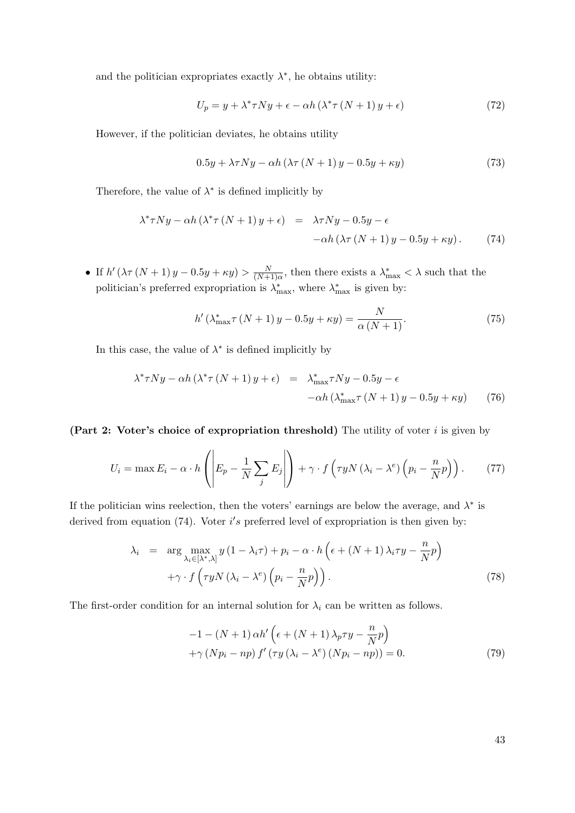and the politician expropriates exactly  $\lambda^*$ , he obtains utility:

$$
U_p = y + \lambda^* \tau N y + \epsilon - \alpha h \left(\lambda^* \tau \left(N + 1\right) y + \epsilon\right) \tag{72}
$$

However, if the politician deviates, he obtains utility

$$
0.5y + \lambda \tau Ny - \alpha h \left(\lambda \tau \left(N + 1\right)y - 0.5y + \kappa y\right) \tag{73}
$$

Therefore, the value of  $\lambda^*$  is defined implicitly by

<span id="page-43-0"></span>
$$
\lambda^* \tau N y - \alpha h (\lambda^* \tau (N+1) y + \epsilon) = \lambda \tau N y - 0.5y - \epsilon - \alpha h (\lambda \tau (N+1) y - 0.5y + \kappa y).
$$
 (74)

• If  $h'(\lambda \tau (N+1) y - 0.5y + \kappa y) > \frac{N}{(N+1)^2}$  $\frac{N}{(N+1)\alpha}$ , then there exists a  $\lambda_{\max}^* < \lambda$  such that the politician's preferred expropriation is  $\lambda_{\text{max}}^*$ , where  $\lambda_{\text{max}}^*$  is given by:

$$
h'(\lambda_{\max}^* \tau(N+1)y - 0.5y + \kappa y) = \frac{N}{\alpha(N+1)}.
$$
\n(75)

In this case, the value of  $\lambda^*$  is defined implicitly by

$$
\lambda^* \tau N y - \alpha h \left( \lambda^* \tau \left( N + 1 \right) y + \epsilon \right) = \lambda^*_{\max} \tau N y - 0.5y - \epsilon - \alpha h \left( \lambda^*_{\max} \tau \left( N + 1 \right) y - 0.5y + \kappa y \right) \tag{76}
$$

#### (Part 2: Voter's choice of expropriation threshold) The utility of voter  $i$  is given by

$$
U_i = \max E_i - \alpha \cdot h\left(\left| E_p - \frac{1}{N} \sum_j E_j \right|\right) + \gamma \cdot f\left(\tau y N \left(\lambda_i - \lambda^e\right) \left(p_i - \frac{n}{N} p\right)\right). \tag{77}
$$

If the politician wins reelection, then the voters' earnings are below the average, and  $\lambda^*$  is derived from equation  $(74)$ . Voter i's preferred level of expropriation is then given by:

$$
\lambda_i = \arg \max_{\lambda_i \in [\lambda^*, \lambda]} y (1 - \lambda_i \tau) + p_i - \alpha \cdot h \left( \epsilon + (N+1) \lambda_i \tau y - \frac{n}{N} p \right) + \gamma \cdot f \left( \tau y N (\lambda_i - \lambda^e) \left( p_i - \frac{n}{N} p \right) \right).
$$
 (78)

The first-order condition for an internal solution for  $\lambda_i$  can be written as follows.

<span id="page-43-1"></span>
$$
-1 - (N+1)\alpha h' \left(\epsilon + (N+1)\lambda_p \tau y - \frac{n}{N}p\right) + \gamma (Np_i - np) f' (\tau y (\lambda_i - \lambda^e) (Np_i - np)) = 0.
$$
 (79)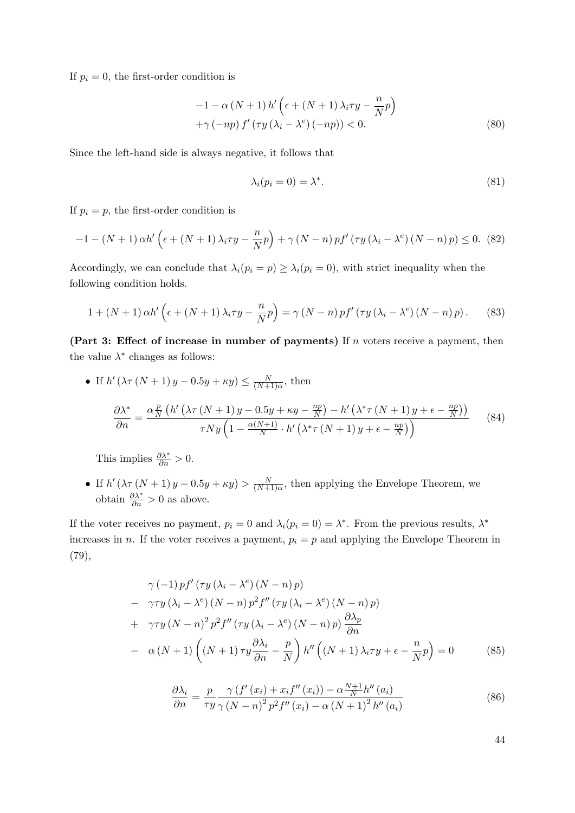If  $p_i = 0$ , the first-order condition is

$$
-1 - \alpha (N + 1) h' \left( \epsilon + (N + 1) \lambda_i \tau y - \frac{n}{N} p \right)
$$
  
+ \gamma (-np) f' (\tau y (\lambda\_i - \lambda^e) (-np)) < 0. \tag{80}

Since the left-hand side is always negative, it follows that

$$
\lambda_i(p_i = 0) = \lambda^*.\tag{81}
$$

If  $p_i = p$ , the first-order condition is

$$
-1 - (N+1)\alpha h' \left(\epsilon + (N+1)\lambda_i \tau y - \frac{n}{N}p\right) + \gamma (N-n)pf' \left(\tau y \left(\lambda_i - \lambda^e\right) (N-n)p\right) \le 0. \tag{82}
$$

Accordingly, we can conclude that  $\lambda_i(p_i = p) \geq \lambda_i(p_i = 0)$ , with strict inequality when the following condition holds.

$$
1 + (N+1)\alpha h' \left(\epsilon + (N+1)\lambda_i \tau y - \frac{n}{N}p\right) = \gamma (N-n) p f' \left(\tau y (\lambda_i - \lambda^e) (N-n)p\right). \tag{83}
$$

(Part 3: Effect of increase in number of payments) If  $n$  voters receive a payment, then the value  $\lambda^*$  changes as follows:

• If 
$$
h'(\lambda \tau (N + 1) y - 0.5y + \kappa y) \le \frac{N}{(N+1)\alpha}
$$
, then  
\n
$$
\frac{\partial \lambda^*}{\partial n} = \frac{\alpha \frac{p}{N} \left( h'(\lambda \tau (N + 1) y - 0.5y + \kappa y - \frac{np}{N}) - h'(\lambda^* \tau (N + 1) y + \epsilon - \frac{np}{N}) \right)}{\tau N y \left( 1 - \frac{\alpha (N+1)}{N} \cdot h'(\lambda^* \tau (N + 1) y + \epsilon - \frac{np}{N}) \right)}
$$
(84)

This implies  $\frac{\partial \lambda^*}{\partial n} > 0$ .

• If  $h'(\lambda \tau (N+1) y - 0.5y + \kappa y) > \frac{N}{(N+1)^2}$  $\frac{N}{(N+1)\alpha}$ , then applying the Envelope Theorem, we obtain  $\frac{\partial \lambda^*}{\partial n} > 0$  as above.

If the voter receives no payment,  $p_i = 0$  and  $\lambda_i(p_i = 0) = \lambda^*$ . From the previous results,  $\lambda^*$ increases in n. If the voter receives a payment,  $p_i = p$  and applying the Envelope Theorem in [\(79\)](#page-43-1),

$$
\gamma(-1) p f'(\tau y (\lambda_i - \lambda^e) (N - n) p)
$$
  
\n
$$
- \gamma \tau y (\lambda_i - \lambda^e) (N - n) p^2 f''(\tau y (\lambda_i - \lambda^e) (N - n) p)
$$
  
\n
$$
+ \gamma \tau y (N - n)^2 p^2 f''(\tau y (\lambda_i - \lambda^e) (N - n) p) \frac{\partial \lambda_p}{\partial n}
$$
  
\n
$$
- \alpha (N + 1) ((N + 1) \tau y \frac{\partial \lambda_i}{\partial n} - \frac{p}{N}) h''((N + 1) \lambda_i \tau y + \epsilon - \frac{n}{N} p) = 0
$$
 (85)

$$
\frac{\partial \lambda_i}{\partial n} = \frac{p}{\tau y} \frac{\gamma \left( f'(x_i) + x_i f''(x_i) \right) - \alpha \frac{N+1}{N} h''(a_i)}{\gamma \left( N - n \right)^2 p^2 f''(x_i) - \alpha \left( N + 1 \right)^2 h''(a_i)}
$$
(86)

44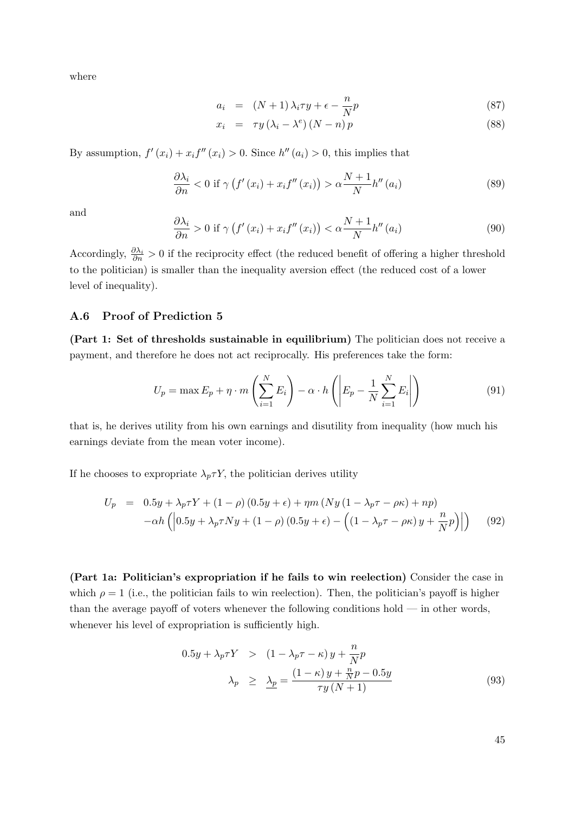where

$$
a_i = (N+1)\lambda_i \tau y + \epsilon - \frac{n}{N}p \tag{87}
$$

$$
x_i = \tau y (\lambda_i - \lambda^e) (N - n) p \tag{88}
$$

By assumption,  $f'(x_i) + x_i f''(x_i) > 0$ . Since  $h''(a_i) > 0$ , this implies that

$$
\frac{\partial \lambda_i}{\partial n} < 0 \text{ if } \gamma \left( f'(x_i) + x_i f''(x_i) \right) > \alpha \frac{N+1}{N} h''(a_i) \tag{89}
$$

and

$$
\frac{\partial \lambda_i}{\partial n} > 0 \text{ if } \gamma \left( f'(x_i) + x_i f''(x_i) \right) < \alpha \frac{N+1}{N} h''(a_i)
$$
\n
$$
(90)
$$

Accordingly,  $\frac{\partial \lambda_i}{\partial n} > 0$  if the reciprocity effect (the reduced benefit of offering a higher threshold to the politician) is smaller than the inequality aversion effect (the reduced cost of a lower level of inequality).

### <span id="page-45-0"></span>A.6 Proof of Prediction [5](#page-13-1)

(Part 1: Set of thresholds sustainable in equilibrium) The politician does not receive a payment, and therefore he does not act reciprocally. His preferences take the form:

$$
U_p = \max E_p + \eta \cdot m \left( \sum_{i=1}^N E_i \right) - \alpha \cdot h \left( \left| E_p - \frac{1}{N} \sum_{i=1}^N E_i \right| \right) \tag{91}
$$

that is, he derives utility from his own earnings and disutility from inequality (how much his earnings deviate from the mean voter income).

If he chooses to expropriate  $\lambda_p \tau Y$ , the politician derives utility

$$
U_p = 0.5y + \lambda_p \tau Y + (1 - \rho) (0.5y + \epsilon) + \eta m (Ny (1 - \lambda_p \tau - \rho \kappa) + np)
$$
  
-
$$
-\alpha h \left( \left| 0.5y + \lambda_p \tau Ny + (1 - \rho) (0.5y + \epsilon) - \left( (1 - \lambda_p \tau - \rho \kappa) y + \frac{n}{N} p \right) \right| \right) \tag{92}
$$

(Part 1a: Politician's expropriation if he fails to win reelection) Consider the case in which  $\rho = 1$  (i.e., the politician fails to win reelection). Then, the politician's payoff is higher than the average payoff of voters whenever the following conditions hold — in other words, whenever his level of expropriation is sufficiently high.

$$
0.5y + \lambda_p \tau Y > (1 - \lambda_p \tau - \kappa) y + \frac{n}{N} p
$$
  

$$
\lambda_p \ge \frac{\lambda_p}{\tau} = \frac{(1 - \kappa) y + \frac{n}{N} p - 0.5y}{\tau y (N + 1)}
$$
 (93)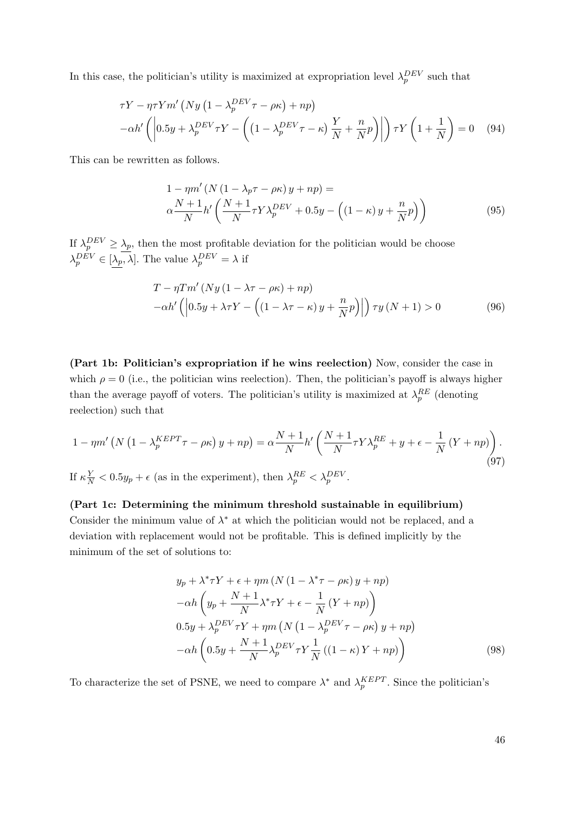In this case, the politician's utility is maximized at expropriation level  $\lambda_p^{DEV}$  such that

$$
\tau Y - \eta \tau Y m' \left( N y \left( 1 - \lambda_p^{DEV} \tau - \rho \kappa \right) + n p \right) - \alpha h' \left( \left| 0.5 y + \lambda_p^{DEV} \tau Y - \left( \left( 1 - \lambda_p^{DEV} \tau - \kappa \right) \frac{Y}{N} + \frac{n}{N} p \right) \right| \right) \tau Y \left( 1 + \frac{1}{N} \right) = 0 \quad (94)
$$

This can be rewritten as follows.

<span id="page-46-1"></span>
$$
1 - \eta m' (N (1 - \lambda_p \tau - \rho \kappa) y + np) =
$$
  
\n
$$
\alpha \frac{N+1}{N} h' \left( \frac{N+1}{N} \tau Y \lambda_p^{DEV} + 0.5y - \left( (1 - \kappa) y + \frac{n}{N} p \right) \right)
$$
\n(95)

If  $\lambda_p^{DEV} \geq \lambda_p$ , then the most profitable deviation for the politician would be choose  $\lambda_p^{DEV} \in [\lambda_p, \lambda]$ . The value  $\lambda_p^{DEV} = \lambda$  if

$$
T - \eta T m' (Ny (1 - \lambda \tau - \rho \kappa) + np)
$$
  
-
$$
\alpha h' \left( \left| 0.5y + \lambda \tau Y - \left( (1 - \lambda \tau - \kappa) y + \frac{n}{N} p \right) \right| \right) \tau y (N + 1) > 0
$$
 (96)

(Part 1b: Politician's expropriation if he wins reelection) Now, consider the case in which  $\rho = 0$  (i.e., the politician wins reelection). Then, the politician's payoff is always higher than the average payoff of voters. The politician's utility is maximized at  $\lambda_p^{RE}$  (denoting reelection) such that

<span id="page-46-2"></span>
$$
1 - \eta m' \left( N \left( 1 - \lambda_p^{KEPT} \tau - \rho \kappa \right) y + np \right) = \alpha \frac{N+1}{N} h' \left( \frac{N+1}{N} \tau Y \lambda_p^{RE} + y + \epsilon - \frac{1}{N} \left( Y + np \right) \right).
$$
  
If  $\kappa \frac{Y}{N} < 0.5y_p + \epsilon$  (as in the experiment), then  $\lambda_p^{RE} < \lambda_p^{BEV}$ . (97)

## (Part 1c: Determining the minimum threshold sustainable in equilibrium)

Consider the minimum value of  $\lambda^*$  at which the politician would not be replaced, and a deviation with replacement would not be profitable. This is defined implicitly by the minimum of the set of solutions to:

<span id="page-46-0"></span>
$$
y_p + \lambda^* \tau Y + \epsilon + \eta m \left( N \left( 1 - \lambda^* \tau - \rho \kappa \right) y + np \right) - \alpha h \left( y_p + \frac{N+1}{N} \lambda^* \tau Y + \epsilon - \frac{1}{N} \left( Y + np \right) \right) 0.5y + \lambda_p^{BEV} \tau Y + \eta m \left( N \left( 1 - \lambda_p^{BEV} \tau - \rho \kappa \right) y + np \right) - \alpha h \left( 0.5y + \frac{N+1}{N} \lambda_p^{BEV} \tau Y + \frac{1}{N} \left( (1 - \kappa) Y + np \right) \right)
$$
(98)

To characterize the set of PSNE, we need to compare  $\lambda^*$  and  $\lambda_p^{KEPT}$ . Since the politician's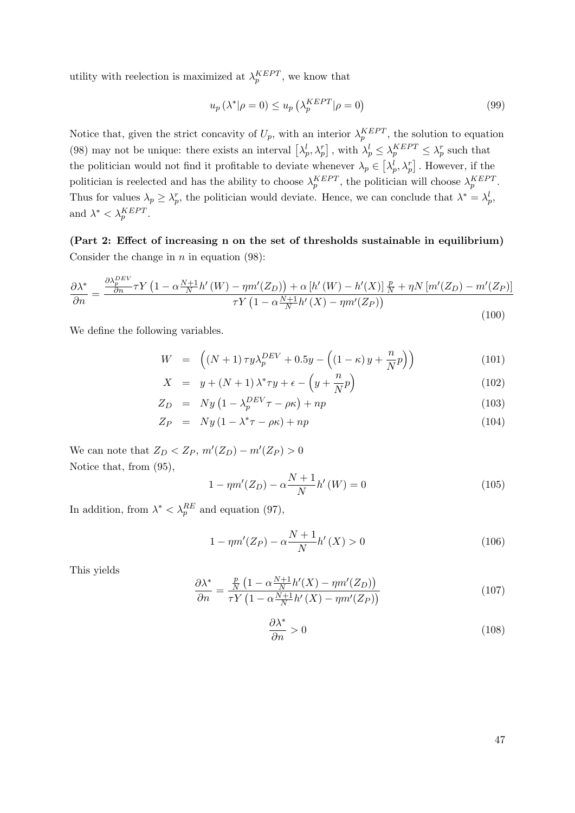utility with reelection is maximized at  $\lambda_p^{KEPT}$ , we know that

$$
u_p\left(\lambda^*|\rho=0\right) \le u_p\left(\lambda_p^{KEPT}|\rho=0\right) \tag{99}
$$

Notice that, given the strict concavity of  $U_p$ , with an interior  $\lambda_p^{KEPT}$ , the solution to equation [\(98\)](#page-46-0) may not be unique: there exists an interval  $\left[\lambda_p^l, \lambda_p^r\right]$ , with  $\lambda_p^l \leq \lambda_p^{KEPT} \leq \lambda_p^r$  such that the politician would not find it profitable to deviate whenever  $\lambda_p \in \left[\lambda_p^l, \lambda_p^r\right]$ . However, if the politician is reelected and has the ability to choose  $\lambda_p^{KEPT}$ , the politician will choose  $\lambda_p^{KEPT}$ . Thus for values  $\lambda_p \geq \lambda_p^r$ , the politician would deviate. Hence, we can conclude that  $\lambda^* = \lambda_p^l$ , and  $\lambda^* < \lambda_p^{KEPT}$ .

(Part 2: Effect of increasing n on the set of thresholds sustainable in equilibrium) Consider the change in  $n$  in equation [\(98\)](#page-46-0):

$$
\frac{\partial \lambda^*}{\partial n} = \frac{\frac{\partial \lambda_P^{BEV}}{\partial n} \tau Y \left(1 - \alpha \frac{N+1}{N} h'(W) - \eta m'(Z_D)\right) + \alpha \left[h'(W) - h'(X)\right] \frac{p}{N} + \eta N \left[m'(Z_D) - m'(Z_P)\right]}{\tau Y \left(1 - \alpha \frac{N+1}{N} h'(X) - \eta m'(Z_P)\right)}
$$
(100)

We define the following variables.

$$
W = \left( (N+1)\tau y \lambda_p^{BEV} + 0.5y - \left( (1-\kappa)y + \frac{n}{N}p \right) \right)
$$
(101)

$$
X = y + (N+1)\lambda^* \tau y + \epsilon - \left(y + \frac{n}{N}p\right)
$$
\n
$$
(102)
$$

$$
Z_D = Ny \left(1 - \lambda_p^{DEV} \tau - \rho \kappa\right) + np \tag{103}
$$

$$
Z_P = Ny(1 - \lambda^* \tau - \rho \kappa) + np \tag{104}
$$

We can note that  $Z_D < Z_P$ ,  $m'(Z_D) - m'(Z_P) > 0$ Notice that, from [\(95\)](#page-46-1),

$$
1 - \eta m'(Z_D) - \alpha \frac{N+1}{N} h'(W) = 0 \tag{105}
$$

In addition, from  $\lambda^* < \lambda_p^{RE}$  and equation [\(97\)](#page-46-2),

$$
1 - \eta m'(Z_P) - \alpha \frac{N+1}{N} h'(X) > 0
$$
\n(106)

This yields

$$
\frac{\partial \lambda^*}{\partial n} = \frac{\frac{p}{N} \left( 1 - \alpha \frac{N+1}{N} h'(X) - \eta m'(Z_D) \right)}{\tau Y \left( 1 - \alpha \frac{N+1}{N} h'(X) - \eta m'(Z_P) \right)}
$$
(107)

$$
\frac{\partial \lambda^*}{\partial n} > 0 \tag{108}
$$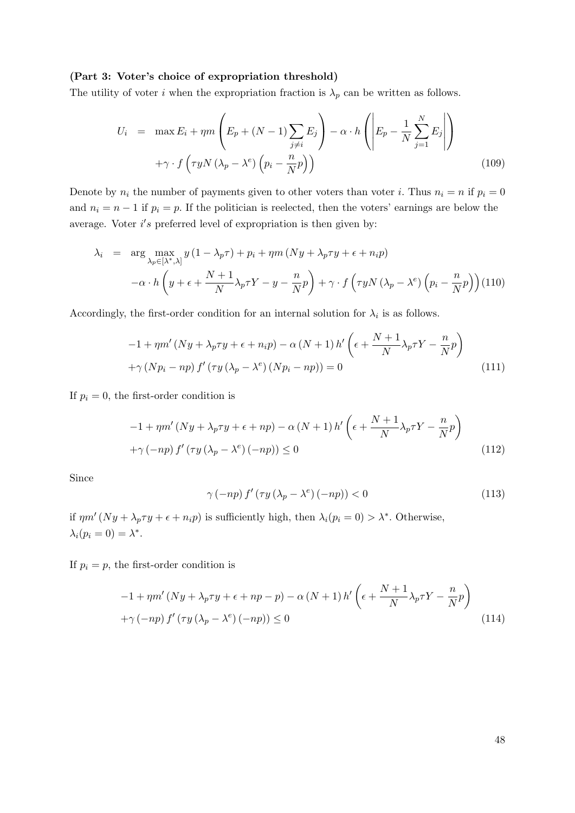#### (Part 3: Voter's choice of expropriation threshold)

The utility of voter i when the expropriation fraction is  $\lambda_p$  can be written as follows.

$$
U_i = \max E_i + \eta m \left( E_p + (N - 1) \sum_{j \neq i} E_j \right) - \alpha \cdot h \left( \left| E_p - \frac{1}{N} \sum_{j=1}^N E_j \right| \right)
$$
  
+ $\gamma \cdot f \left( \tau y N \left( \lambda_p - \lambda^e \right) \left( p_i - \frac{n}{N} p \right) \right)$  (109)

Denote by  $n_i$  the number of payments given to other voters than voter i. Thus  $n_i = n$  if  $p_i = 0$ and  $n_i = n - 1$  if  $p_i = p$ . If the politician is reelected, then the voters' earnings are below the average. Voter  $i's$  preferred level of expropriation is then given by:

$$
\lambda_i = \arg \max_{\lambda_p \in [\lambda^*, \lambda]} y (1 - \lambda_p \tau) + p_i + \eta m (Ny + \lambda_p \tau y + \epsilon + n_i p)
$$
  
 
$$
-\alpha \cdot h \left( y + \epsilon + \frac{N+1}{N} \lambda_p \tau Y - y - \frac{n}{N} p \right) + \gamma \cdot f \left( \tau y N (\lambda_p - \lambda^e) \left( p_i - \frac{n}{N} p \right) \right) (110)
$$

Accordingly, the first-order condition for an internal solution for  $\lambda_i$  is as follows.

$$
-1 + \eta m' (Ny + \lambda_p \tau y + \epsilon + n_i p) - \alpha (N+1) h' \left( \epsilon + \frac{N+1}{N} \lambda_p \tau Y - \frac{n}{N} p \right)
$$
  
+  $\gamma (N p_i - n p) f' (\tau y (\lambda_p - \lambda^e) (N p_i - n p)) = 0$  (111)

If  $p_i = 0$ , the first-order condition is

$$
-1 + \eta m' (Ny + \lambda_p \tau y + \epsilon + np) - \alpha (N+1) h' \left( \epsilon + \frac{N+1}{N} \lambda_p \tau Y - \frac{n}{N} p \right)
$$
  
 
$$
+ \gamma (-np) f' (\tau y (\lambda_p - \lambda^e) (-np)) \le 0
$$
 (112)

Since

$$
\gamma\left(-np\right)f'\left(\tau y\left(\lambda_p - \lambda^e\right)\left(-np\right)\right) < 0\tag{113}
$$

if  $\eta m'(Ny + \lambda_p \tau y + \epsilon + n_i p)$  is sufficiently high, then  $\lambda_i(p_i = 0) > \lambda^*$ . Otherwise,  $\lambda_i(p_i=0)=\lambda^*$ .

If  $p_i = p$ , the first-order condition is

$$
-1 + \eta m'(Ny + \lambda_p \tau y + \epsilon + np - p) - \alpha (N+1) h'\left(\epsilon + \frac{N+1}{N} \lambda_p \tau Y - \frac{n}{N} p\right)
$$
  
 
$$
+ \gamma \left(-np\right) f'\left(\tau y \left(\lambda_p - \lambda^e\right)(-np)\right) \le 0
$$
 (114)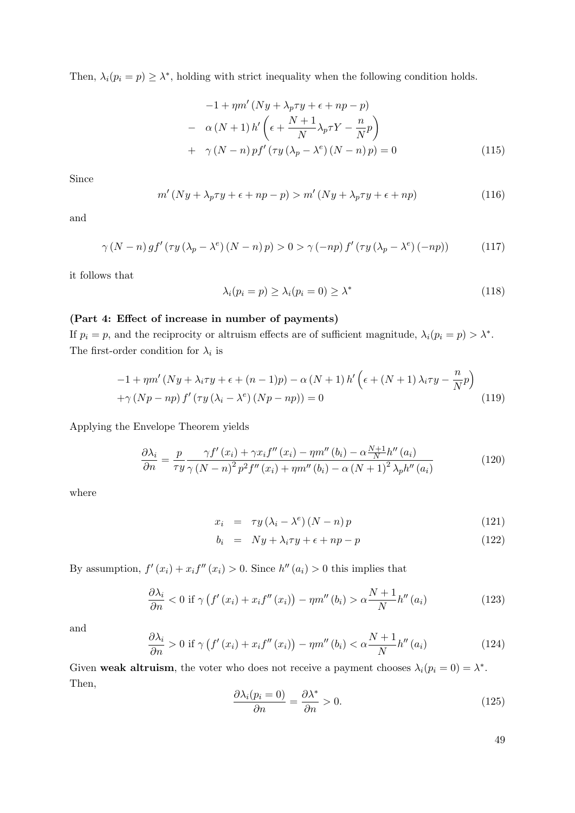Then,  $\lambda_i(p_i = p) \geq \lambda^*$ , holding with strict inequality when the following condition holds.

$$
-1 + \eta m' (Ny + \lambda_p \tau y + \epsilon + np - p)
$$
  

$$
- \alpha (N+1) h' \left( \epsilon + \frac{N+1}{N} \lambda_p \tau Y - \frac{n}{N} p \right)
$$
  

$$
+ \gamma (N-n) p f' (\tau y (\lambda_p - \lambda^e) (N-n) p) = 0
$$
 (115)

Since

$$
m'(Ny + \lambda_p \tau y + \epsilon + np - p) > m'(Ny + \lambda_p \tau y + \epsilon + np)
$$
\n(116)

and

$$
\gamma (N-n) gf' (\tau y (\lambda_p - \lambda^e) (N-n) p) > 0 > \gamma (-np) f' (\tau y (\lambda_p - \lambda^e) (-np))
$$
 (117)

it follows that

$$
\lambda_i(p_i = p) \ge \lambda_i(p_i = 0) \ge \lambda^* \tag{118}
$$

#### (Part 4: Effect of increase in number of payments)

If  $p_i = p$ , and the reciprocity or altruism effects are of sufficient magnitude,  $\lambda_i(p_i = p) > \lambda^*$ . The first-order condition for  $\lambda_i$  is

$$
-1 + \eta m' (Ny + \lambda_i \tau y + \epsilon + (n - 1)p) - \alpha (N + 1) h' \left( \epsilon + (N + 1) \lambda_i \tau y - \frac{n}{N} p \right)
$$
  
+ $\gamma (Np - np) f' (\tau y (\lambda_i - \lambda^e) (Np - np)) = 0$  (119)

Applying the Envelope Theorem yields

$$
\frac{\partial \lambda_i}{\partial n} = \frac{p}{\tau y} \frac{\gamma f'(x_i) + \gamma x_i f''(x_i) - \eta m''(b_i) - \alpha \frac{N+1}{N} h''(a_i)}{\gamma (N-n)^2 p^2 f''(x_i) + \eta m''(b_i) - \alpha (N+1)^2 \lambda_p h''(a_i)}
$$
(120)

where

$$
x_i = \tau y (\lambda_i - \lambda^e) (N - n) p \tag{121}
$$

$$
b_i = Ny + \lambda_i \tau y + \epsilon + np - p \tag{122}
$$

By assumption,  $f'(x_i) + x_i f''(x_i) > 0$ . Since  $h''(a_i) > 0$  this implies that

$$
\frac{\partial \lambda_i}{\partial n} < 0 \text{ if } \gamma \left( f'(x_i) + x_i f''(x_i) \right) - \eta m''(b_i) > \alpha \frac{N+1}{N} h''(a_i) \tag{123}
$$

and

$$
\frac{\partial \lambda_i}{\partial n} > 0 \text{ if } \gamma \left( f'(x_i) + x_i f''(x_i) \right) - \eta m''(b_i) < \alpha \frac{N+1}{N} h''(a_i) \tag{124}
$$

Given weak altruism, the voter who does not receive a payment chooses  $\lambda_i(p_i = 0) = \lambda^*$ . Then,

$$
\frac{\partial \lambda_i(p_i = 0)}{\partial n} = \frac{\partial \lambda^*}{\partial n} > 0.
$$
\n(125)

49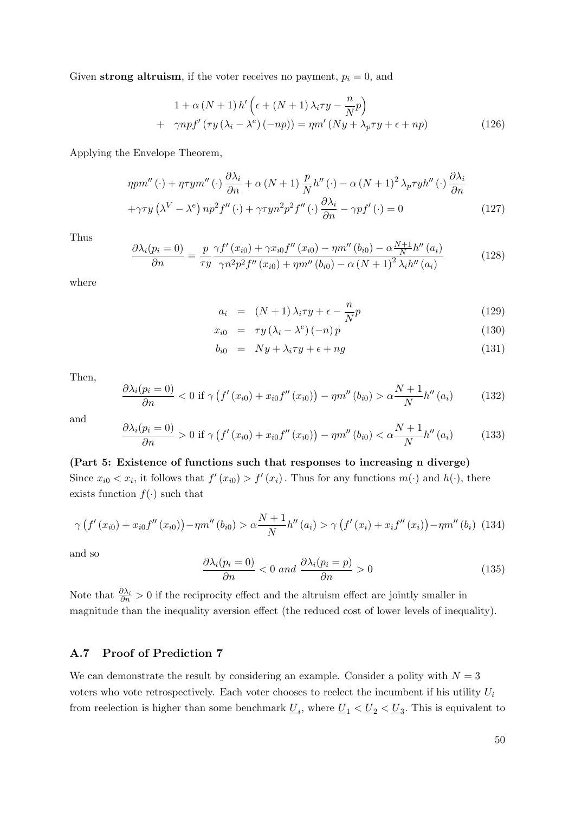Given strong altruism, if the voter receives no payment,  $p_i = 0$ , and

$$
1 + \alpha (N + 1) h' \left( \epsilon + (N + 1) \lambda_i \tau y - \frac{n}{N} p \right)
$$
  
+ 
$$
\gamma n p f' (\tau y (\lambda_i - \lambda^e) (-np)) = \eta m' (Ny + \lambda_p \tau y + \epsilon + np)
$$
 (126)

Applying the Envelope Theorem,

$$
\eta p m''(\cdot) + \eta \tau y m''(\cdot) \frac{\partial \lambda_i}{\partial n} + \alpha (N+1) \frac{p}{N} h''(\cdot) - \alpha (N+1)^2 \lambda_p \tau y h''(\cdot) \frac{\partial \lambda_i}{\partial n}
$$

$$
+ \gamma \tau y (\lambda^V - \lambda^e) n p^2 f''(\cdot) + \gamma \tau y n^2 p^2 f''(\cdot) \frac{\partial \lambda_i}{\partial n} - \gamma p f'(\cdot) = 0 \qquad (127)
$$

Thus

$$
\frac{\partial \lambda_i(p_i = 0)}{\partial n} = \frac{p}{\tau y} \frac{\gamma f'(x_{i0}) + \gamma x_{i0} f''(x_{i0}) - \eta m''(b_{i0}) - \alpha \frac{N+1}{N} h''(a_i)}{\gamma n^2 p^2 f''(x_{i0}) + \eta m''(b_{i0}) - \alpha (N+1)^2 \lambda_i h''(a_i)}
$$
(128)

where

$$
a_i = (N+1)\lambda_i \tau y + \epsilon - \frac{n}{N}p \tag{129}
$$

$$
x_{i0} = \tau y (\lambda_i - \lambda^e) (-n) p \tag{130}
$$

$$
b_{i0} = Ny + \lambda_i \tau y + \epsilon + ng \tag{131}
$$

Then,

$$
\frac{\partial \lambda_i(p_i = 0)}{\partial n} < 0 \text{ if } \gamma \left( f'(x_{i0}) + x_{i0} f''(x_{i0}) \right) - \eta m''(b_{i0}) > \alpha \frac{N+1}{N} h''(a_i) \tag{132}
$$

and

$$
\frac{\partial \lambda_i(p_i = 0)}{\partial n} > 0 \text{ if } \gamma \left( f'(x_{i0}) + x_{i0} f''(x_{i0}) \right) - \eta m''(b_{i0}) < \alpha \frac{N+1}{N} h''(a_i) \tag{133}
$$

(Part 5: Existence of functions such that responses to increasing n diverge) Since  $x_{i0} < x_i$ , it follows that  $f'(x_{i0}) > f'(x_i)$ . Thus for any functions  $m(\cdot)$  and  $h(\cdot)$ , there exists function  $f(.)$  such that

$$
\gamma \left( f'(x_{i0}) + x_{i0} f''(x_{i0}) \right) - \eta m''(b_{i0}) > \alpha \frac{N+1}{N} h''(a_i) > \gamma \left( f'(x_i) + x_i f''(x_i) \right) - \eta m''(b_i)
$$
 (134)

and so

$$
\frac{\partial \lambda_i(p_i = 0)}{\partial n} < 0 \text{ and } \frac{\partial \lambda_i(p_i = p)}{\partial n} > 0 \tag{135}
$$

Note that  $\frac{\partial \lambda_i}{\partial n} > 0$  if the reciprocity effect and the altruism effect are jointly smaller in magnitude than the inequality aversion effect (the reduced cost of lower levels of inequality).

## <span id="page-50-0"></span>A.7 Proof of Prediction [7](#page-15-0)

We can demonstrate the result by considering an example. Consider a polity with  $N = 3$ voters who vote retrospectively. Each voter chooses to reelect the incumbent if his utility  $U_i$ from reelection is higher than some benchmark  $\underline{U}_i$ , where  $\underline{U}_1 < \underline{U}_2 < \underline{U}_3$ . This is equivalent to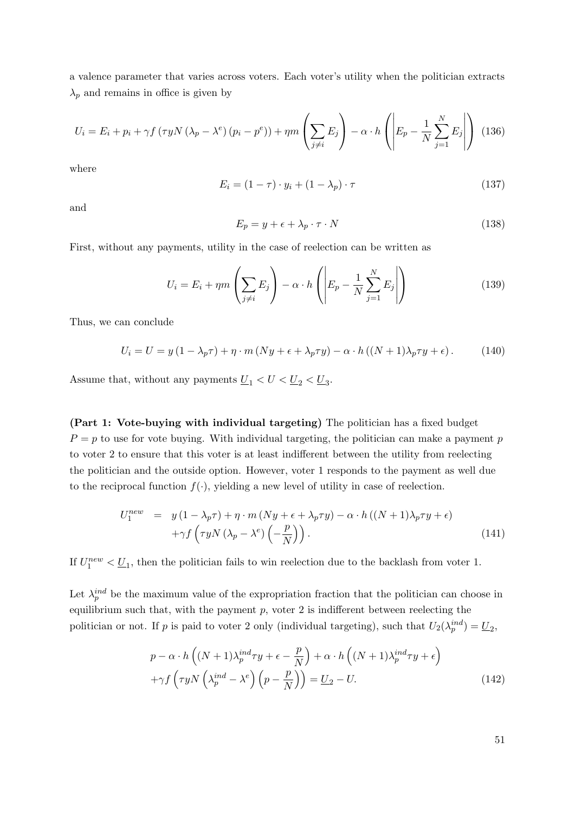a valence parameter that varies across voters. Each voter's utility when the politician extracts  $\lambda_p$  and remains in office is given by

$$
U_i = E_i + p_i + \gamma f \left( \tau y N \left( \lambda_p - \lambda^e \right) \left( p_i - p^e \right) \right) + \eta m \left( \sum_{j \neq i} E_j \right) - \alpha \cdot h \left( \left| E_p - \frac{1}{N} \sum_{j=1}^N E_j \right| \right) \tag{136}
$$

where

$$
E_i = (1 - \tau) \cdot y_i + (1 - \lambda_p) \cdot \tau \tag{137}
$$

and

$$
E_p = y + \epsilon + \lambda_p \cdot \tau \cdot N \tag{138}
$$

First, without any payments, utility in the case of reelection can be written as

$$
U_i = E_i + \eta m \left( \sum_{j \neq i} E_j \right) - \alpha \cdot h \left( \left| E_p - \frac{1}{N} \sum_{j=1}^N E_j \right| \right) \tag{139}
$$

Thus, we can conclude

$$
U_i = U = y(1 - \lambda_p \tau) + \eta \cdot m (Ny + \epsilon + \lambda_p \tau y) - \alpha \cdot h ((N+1)\lambda_p \tau y + \epsilon).
$$
 (140)

Assume that, without any payments  $\underline{U}_1 < U < \underline{U}_2 < \underline{U}_3$ .

(Part 1: Vote-buying with individual targeting) The politician has a fixed budget  $P = p$  to use for vote buying. With individual targeting, the politician can make a payment p to voter 2 to ensure that this voter is at least indifferent between the utility from reelecting the politician and the outside option. However, voter 1 responds to the payment as well due to the reciprocal function  $f(.)$ , yielding a new level of utility in case of reelection.

$$
U_1^{new} = y(1 - \lambda_p \tau) + \eta \cdot m (Ny + \epsilon + \lambda_p \tau y) - \alpha \cdot h ((N + 1)\lambda_p \tau y + \epsilon)
$$
  
+ $\gamma f \left( \tau y N (\lambda_p - \lambda^e) \left( -\frac{p}{N} \right) \right).$  (141)

If  $U_1^{new} < \underline{U}_1$ , then the politician fails to win reelection due to the backlash from voter 1.

Let  $\lambda_p^{ind}$  be the maximum value of the expropriation fraction that the politician can choose in equilibrium such that, with the payment  $p$ , voter 2 is indifferent between reelecting the politician or not. If p is paid to voter 2 only (individual targeting), such that  $U_2(\lambda_p^{ind}) = \underline{U}_2$ ,

$$
p - \alpha \cdot h\left((N+1)\lambda_p^{ind}\tau y + \epsilon - \frac{p}{N}\right) + \alpha \cdot h\left((N+1)\lambda_p^{ind}\tau y + \epsilon\right) + \gamma f\left(\tau y N\left(\lambda_p^{ind} - \lambda^e\right)\left(p - \frac{p}{N}\right)\right) = \underline{U}_2 - U.
$$
\n(142)

51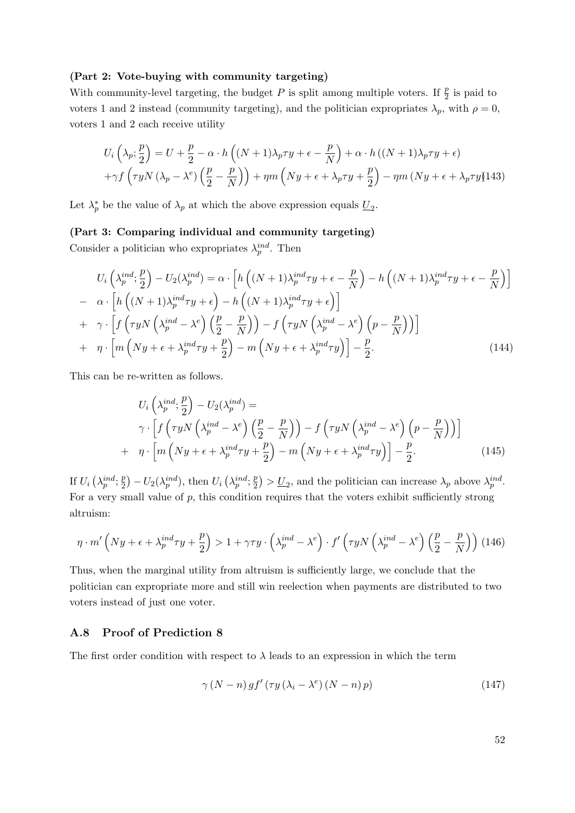#### (Part 2: Vote-buying with community targeting)

With community-level targeting, the budget P is split among multiple voters. If  $\frac{p}{2}$  is paid to voters 1 and 2 instead (community targeting), and the politician expropriates  $\lambda_p$ , with  $\rho = 0$ , voters 1 and 2 each receive utility

$$
U_i\left(\lambda_p; \frac{p}{2}\right) = U + \frac{p}{2} - \alpha \cdot h\left((N+1)\lambda_p \tau y + \epsilon - \frac{p}{N}\right) + \alpha \cdot h\left((N+1)\lambda_p \tau y + \epsilon\right) + \gamma f\left(\tau y N\left(\lambda_p - \lambda^e\right)\left(\frac{p}{2} - \frac{p}{N}\right)\right) + \eta m\left(Ny + \epsilon + \lambda_p \tau y + \frac{p}{2}\right) - \eta m\left(Ny + \epsilon + \lambda_p \tau y\right)
$$
143)

Let  $\lambda_p^*$  be the value of  $\lambda_p$  at which the above expression equals  $\underline{U}_2$ .

#### (Part 3: Comparing individual and community targeting)

Consider a politician who expropriates  $\lambda_p^{ind}$ . Then

$$
U_i\left(\lambda_p^{ind};\frac{p}{2}\right) - U_2(\lambda_p^{ind}) = \alpha \cdot \left[ h\left((N+1)\lambda_p^{ind}\tau y + \epsilon - \frac{p}{N}\right) - h\left((N+1)\lambda_p^{ind}\tau y + \epsilon - \frac{p}{N}\right) \right]
$$
  
\n
$$
- \alpha \cdot \left[ h\left((N+1)\lambda_p^{ind}\tau y + \epsilon\right) - h\left((N+1)\lambda_p^{ind}\tau y + \epsilon\right) \right]
$$
  
\n
$$
+ \gamma \cdot \left[ f\left(\tau y N\left(\lambda_p^{ind} - \lambda^e\right) \left(\frac{p}{2} - \frac{p}{N}\right)\right) - f\left(\tau y N\left(\lambda_p^{ind} - \lambda^e\right) \left(p - \frac{p}{N}\right)\right) \right]
$$
  
\n
$$
+ \eta \cdot \left[ m\left(Ny + \epsilon + \lambda_p^{ind}\tau y + \frac{p}{2}\right) - m\left(Ny + \epsilon + \lambda_p^{ind}\tau y\right) \right] - \frac{p}{2}.
$$
\n(144)

This can be re-written as follows.

$$
U_i\left(\lambda_p^{ind};\frac{p}{2}\right) - U_2(\lambda_p^{ind}) =
$$
  
\n
$$
\gamma \cdot \left[ f\left(\tau y N\left(\lambda_p^{ind} - \lambda^e\right) \left(\frac{p}{2} - \frac{p}{N}\right)\right) - f\left(\tau y N\left(\lambda_p^{ind} - \lambda^e\right) \left(p - \frac{p}{N}\right)\right) \right]
$$
  
\n
$$
+ \eta \cdot \left[ m\left(Ny + \epsilon + \lambda_p^{ind}\tau y + \frac{p}{2}\right) - m\left(Ny + \epsilon + \lambda_p^{ind}\tau y\right) \right] - \frac{p}{2}.
$$
\n(145)

If  $U_i\left(\lambda_p^{ind};\frac{p}{2}\right)$  $(\lambda_p^{\text{ind}}) - U_2(\lambda_p^{\text{ind}})$ , then  $U_i(\lambda_p^{\text{ind}}; \frac{p}{2})$  $\left(\frac{p}{2}\right) > \underline{U}_2$ , and the politician can increase  $\lambda_p$  above  $\lambda_p^{ind}$ . For a very small value of  $p$ , this condition requires that the voters exhibit sufficiently strong altruism:

$$
\eta \cdot m' \left( Ny + \epsilon + \lambda_p^{ind} \tau y + \frac{p}{2} \right) > 1 + \gamma \tau y \cdot \left( \lambda_p^{ind} - \lambda^e \right) \cdot f' \left( \tau y N \left( \lambda_p^{ind} - \lambda^e \right) \left( \frac{p}{2} - \frac{p}{N} \right) \right) (146)
$$

Thus, when the marginal utility from altruism is sufficiently large, we conclude that the politician can expropriate more and still win reelection when payments are distributed to two voters instead of just one voter.

## <span id="page-52-0"></span>A.8 Proof of Prediction [8](#page-15-1)

The first order condition with respect to  $\lambda$  leads to an expression in which the term

$$
\gamma (N-n) gf' (\tau y (\lambda_i - \lambda^e) (N-n) p) \tag{147}
$$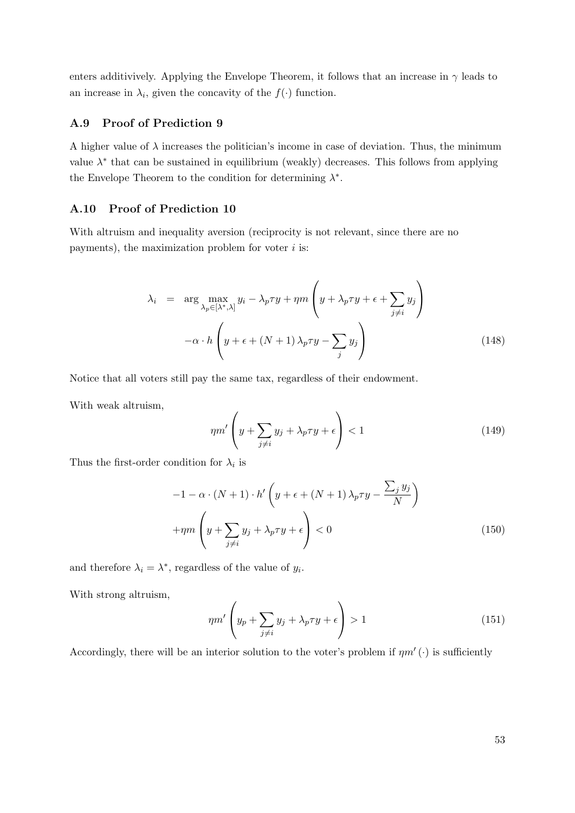enters additivively. Applying the Envelope Theorem, it follows that an increase in  $\gamma$  leads to an increase in  $\lambda_i$ , given the concavity of the  $f(\cdot)$  function.

## <span id="page-53-0"></span>A.9 Proof of Prediction [9](#page-15-2)

A higher value of  $\lambda$  increases the politician's income in case of deviation. Thus, the minimum value  $\lambda^*$  that can be sustained in equilibrium (weakly) decreases. This follows from applying the Envelope Theorem to the condition for determining  $\lambda^*$ .

## <span id="page-53-1"></span>A.10 Proof of Prediction [10](#page-16-1)

With altruism and inequality aversion (reciprocity is not relevant, since there are no payments), the maximization problem for voter  $i$  is:

$$
\lambda_i = \arg \max_{\lambda_p \in [\lambda^*, \lambda]} y_i - \lambda_p \tau y + \eta m \left( y + \lambda_p \tau y + \epsilon + \sum_{j \neq i} y_j \right)
$$

$$
-\alpha \cdot h \left( y + \epsilon + (N+1) \lambda_p \tau y - \sum_j y_j \right) \tag{148}
$$

Notice that all voters still pay the same tax, regardless of their endowment.

With weak altruism,

$$
\eta m' \left( y + \sum_{j \neq i} y_j + \lambda_p \tau y + \epsilon \right) < 1 \tag{149}
$$

Thus the first-order condition for  $\lambda_i$  is

$$
-1 - \alpha \cdot (N+1) \cdot h' \left( y + \epsilon + (N+1) \lambda_p \tau y - \frac{\sum_j y_j}{N} \right)
$$

$$
+ \eta m \left( y + \sum_{j \neq i} y_j + \lambda_p \tau y + \epsilon \right) < 0 \tag{150}
$$

and therefore  $\lambda_i = \lambda^*$ , regardless of the value of  $y_i$ .

With strong altruism,

$$
\eta m' \left( y_p + \sum_{j \neq i} y_j + \lambda_p \tau y + \epsilon \right) > 1 \tag{151}
$$

Accordingly, there will be an interior solution to the voter's problem if  $\eta m'$  ( $\cdot$ ) is sufficiently